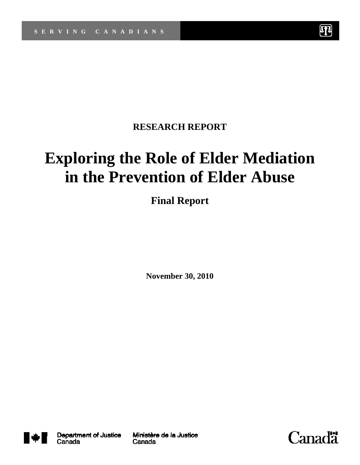

# **RESEARCH REPORT**

# **Exploring the Role of Elder Mediation in the Prevention of Elder Abuse**

# **Final Report**

**November 30, 2010** 



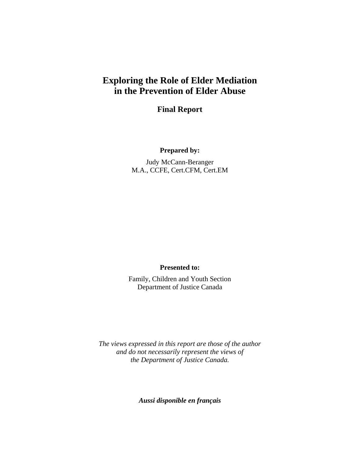# **Exploring the Role of Elder Mediation in the Prevention of Elder Abuse**

**Final Report** 

#### **Prepared by:**

Judy McCann-Beranger M.A., CCFE, Cert.CFM, Cert.EM

#### **Presented to:**

Family, Children and Youth Section Department of Justice Canada

*The views expressed in this report are those of the author and do not necessarily represent the views of the Department of Justice Canada.* 

*Aussi disponible en français*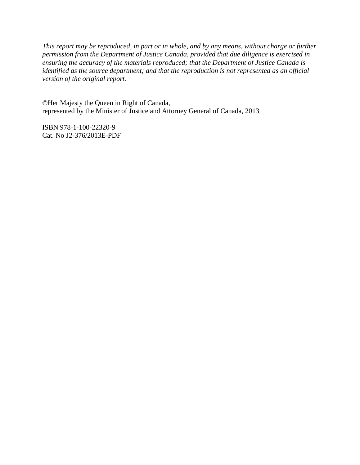*This report may be reproduced, in part or in whole, and by any means, without charge or further permission from the Department of Justice Canada, provided that due diligence is exercised in ensuring the accuracy of the materials reproduced; that the Department of Justice Canada is identified as the source department; and that the reproduction is not represented as an official version of the original report.* 

©Her Majesty the Queen in Right of Canada, represented by the Minister of Justice and Attorney General of Canada, 2013

ISBN 978-1-100-22320-9 Cat. No J2-376/2013E-PDF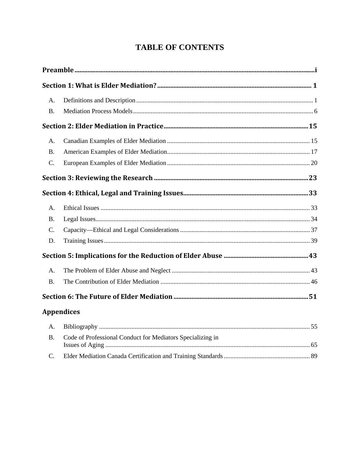# **TABLE OF CONTENTS**

| <b>B.</b> |                                                            |  |
|-----------|------------------------------------------------------------|--|
|           |                                                            |  |
| A.        |                                                            |  |
| <b>B.</b> |                                                            |  |
| C.        |                                                            |  |
|           |                                                            |  |
|           |                                                            |  |
| A.        |                                                            |  |
| <b>B.</b> |                                                            |  |
| C.        |                                                            |  |
| D.        |                                                            |  |
|           |                                                            |  |
| A.        |                                                            |  |
| <b>B.</b> |                                                            |  |
|           |                                                            |  |
|           | <b>Appendices</b>                                          |  |
| A.        |                                                            |  |
| <b>B.</b> | Code of Professional Conduct for Mediators Specializing in |  |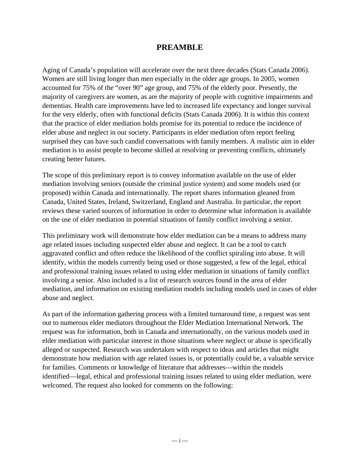#### **PREAMBLE**

Aging of Canada's population will accelerate over the next three decades (Stats Canada 2006). Women are still living longer than men especially in the older age groups. In 2005, women accounted for 75% of the "over 90" age group, and 75% of the elderly poor. Presently, the majority of caregivers are women, as are the majority of people with cognitive impairments and dementias. Health care improvements have led to increased life expectancy and longer survival for the very elderly, often with functional deficits (Stats Canada 2006). It is within this context that the practice of elder mediation holds promise for its potential to reduce the incidence of elder abuse and neglect in our society. Participants in elder mediation often report feeling surprised they can have such candid conversations with family members. A realistic aim in elder mediation is to assist people to become skilled at resolving or preventing conflicts, ultimately creating better futures.

The scope of this preliminary report is to convey information available on the use of elder mediation involving seniors (outside the criminal justice system) and some models used (or proposed) within Canada and internationally. The report shares information gleaned from Canada, United States, Ireland, Switzerland, England and Australia. In particular, the report reviews these varied sources of information in order to determine what information is available on the use of elder mediation in potential situations of family conflict involving a senior.

This preliminary work will demonstrate how elder mediation can be a means to address many age related issues including suspected elder abuse and neglect. It can be a tool to catch aggravated conflict and often reduce the likelihood of the conflict spiraling into abuse. It will identify, within the models currently being used or those suggested, a few of the legal, ethical and professional training issues related to using elder mediation in situations of family conflict involving a senior. Also included is a list of research sources found in the area of elder mediation, and information on existing mediation models including models used in cases of elder abuse and neglect.

As part of the information gathering process with a limited turnaround time, a request was sent out to numerous elder mediators throughout the Elder Mediation International Network. The request was for information, both in Canada and internationally, on the various models used in elder mediation with particular interest in those situations where neglect or abuse is specifically alleged or suspected. Research was undertaken with respect to ideas and articles that might demonstrate how mediation with age related issues is, or potentially could be, a valuable service for families. Comments or knowledge of literature that addresses—within the models identified—legal, ethical and professional training issues related to using elder mediation, were welcomed. The request also looked for comments on the following: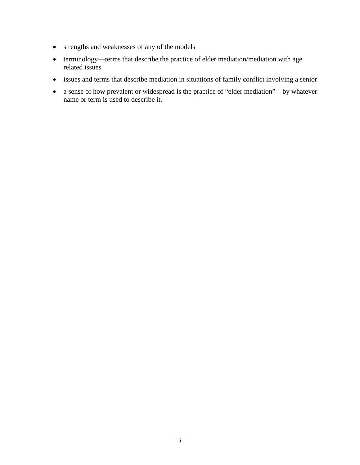- strengths and weaknesses of any of the models
- terminology—terms that describe the practice of elder mediation/mediation with age related issues
- issues and terms that describe mediation in situations of family conflict involving a senior
- a sense of how prevalent or widespread is the practice of "elder mediation"—by whatever name or term is used to describe it.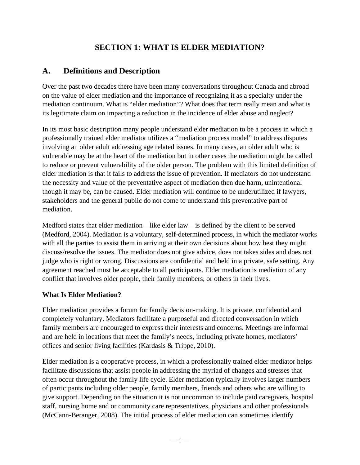# **SECTION 1: WHAT IS ELDER MEDIATION?**

# **A. Definitions and Description**

Over the past two decades there have been many conversations throughout Canada and abroad on the value of elder mediation and the importance of recognizing it as a specialty under the mediation continuum. What is "elder mediation"? What does that term really mean and what is its legitimate claim on impacting a reduction in the incidence of elder abuse and neglect?

In its most basic description many people understand elder mediation to be a process in which a professionally trained elder mediator utilizes a "mediation process model" to address disputes involving an older adult addressing age related issues. In many cases, an older adult who is vulnerable may be at the heart of the mediation but in other cases the mediation might be called to reduce or prevent vulnerability of the older person. The problem with this limited definition of elder mediation is that it fails to address the issue of prevention. If mediators do not understand the necessity and value of the preventative aspect of mediation then due harm, unintentional though it may be, can be caused. Elder mediation will continue to be underutilized if lawyers, stakeholders and the general public do not come to understand this preventative part of mediation.

Medford states that elder mediation—like elder law—is defined by the client to be served (Medford, 2004). Mediation is a voluntary, self-determined process, in which the mediator works with all the parties to assist them in arriving at their own decisions about how best they might discuss/resolve the issues. The mediator does not give advice, does not takes sides and does not judge who is right or wrong. Discussions are confidential and held in a private, safe setting. Any agreement reached must be acceptable to all participants. Elder mediation is mediation of any conflict that involves older people, their family members, or others in their lives.

#### **What Is Elder Mediation?**

Elder mediation provides a forum for family decision-making. It is private, confidential and completely voluntary. Mediators facilitate a purposeful and directed conversation in which family members are encouraged to express their interests and concerns. Meetings are informal and are held in locations that meet the family's needs, including private homes, mediators' offices and senior living facilities (Kardasis & Trippe, 2010).

Elder mediation is a cooperative process, in which a professionally trained elder mediator helps facilitate discussions that assist people in addressing the myriad of changes and stresses that often occur throughout the family life cycle. Elder mediation typically involves larger numbers of participants including older people, family members, friends and others who are willing to give support. Depending on the situation it is not uncommon to include paid caregivers, hospital staff, nursing home and or community care representatives, physicians and other professionals (McCann-Beranger, 2008). The initial process of elder mediation can sometimes identify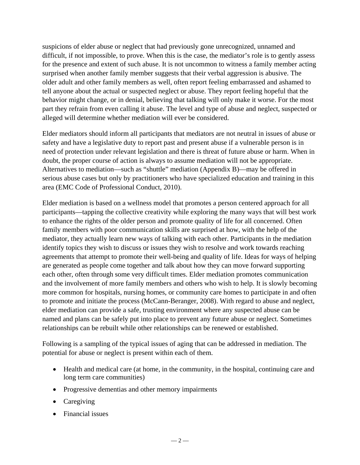suspicions of elder abuse or neglect that had previously gone unrecognized, unnamed and difficult, if not impossible, to prove. When this is the case, the mediator's role is to gently assess for the presence and extent of such abuse. It is not uncommon to witness a family member acting surprised when another family member suggests that their verbal aggression is abusive. The older adult and other family members as well, often report feeling embarrassed and ashamed to tell anyone about the actual or suspected neglect or abuse. They report feeling hopeful that the behavior might change, or in denial, believing that talking will only make it worse. For the most part they refrain from even calling it abuse. The level and type of abuse and neglect, suspected or alleged will determine whether mediation will ever be considered.

Elder mediators should inform all participants that mediators are not neutral in issues of abuse or safety and have a legislative duty to report past and present abuse if a vulnerable person is in need of protection under relevant legislation and there is threat of future abuse or harm. When in doubt, the proper course of action is always to assume mediation will not be appropriate. Alternatives to mediation—such as "shuttle" mediation (Appendix B)—may be offered in serious abuse cases but only by practitioners who have specialized education and training in this area (EMC Code of Professional Conduct, 2010).

Elder mediation is based on a wellness model that promotes a person centered approach for all participants—tapping the collective creativity while exploring the many ways that will best work to enhance the rights of the older person and promote quality of life for all concerned. Often family members with poor communication skills are surprised at how, with the help of the mediator, they actually learn new ways of talking with each other. Participants in the mediation identify topics they wish to discuss or issues they wish to resolve and work towards reaching agreements that attempt to promote their well-being and quality of life. Ideas for ways of helping are generated as people come together and talk about how they can move forward supporting each other, often through some very difficult times. Elder mediation promotes communication and the involvement of more family members and others who wish to help. It is slowly becoming more common for hospitals, nursing homes, or community care homes to participate in and often to promote and initiate the process (McCann-Beranger, 2008). With regard to abuse and neglect, elder mediation can provide a safe, trusting environment where any suspected abuse can be named and plans can be safely put into place to prevent any future abuse or neglect. Sometimes relationships can be rebuilt while other relationships can be renewed or established.

Following is a sampling of the typical issues of aging that can be addressed in mediation. The potential for abuse or neglect is present within each of them.

- Health and medical care (at home, in the community, in the hospital, continuing care and long term care communities)
- Progressive dementias and other memory impairments
- Caregiving
- Financial issues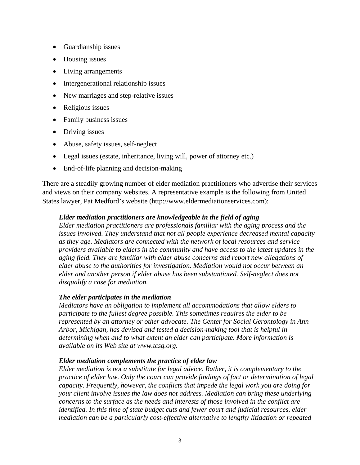- Guardianship issues
- Housing issues
- Living arrangements
- Intergenerational relationship issues
- New marriages and step-relative issues
- Religious issues
- Family business issues
- Driving issues
- Abuse, safety issues, self-neglect
- Legal issues (estate, inheritance, living will, power of attorney etc.)
- End-of-life planning and decision-making

There are a steadily growing number of elder mediation practitioners who advertise their services and views on their company websites. A representative example is the following from United States lawyer, Pat Medford's website (http://www.eldermediationservices.com):

#### *Elder mediation practitioners are knowledgeable in the field of aging*

*Elder mediation practitioners are professionals familiar with the aging process and the issues involved. They understand that not all people experience decreased mental capacity as they age. Mediators are connected with the network of local resources and service providers available to elders in the community and have access to the latest updates in the aging field. They are familiar with elder abuse concerns and report new allegations of elder abuse to the authorities for investigation. Mediation would not occur between an elder and another person if elder abuse has been substantiated. Self-neglect does not disqualify a case for mediation.* 

#### *The elder participates in the mediation*

*Mediators have an obligation to implement all accommodations that allow elders to participate to the fullest degree possible. This sometimes requires the elder to be represented by an attorney or other advocate. The Center for Social Gerontology in Ann Arbor, Michigan, has devised and tested a decision-making tool that is helpful in determining when and to what extent an elder can participate. More information is available on its Web site at www.tcsg.org.* 

#### *Elder mediation complements the practice of elder law*

*Elder mediation is not a substitute for legal advice. Rather, it is complementary to the practice of elder law. Only the court can provide findings of fact or determination of legal capacity. Frequently, however, the conflicts that impede the legal work you are doing for your client involve issues the law does not address. Mediation can bring these underlying concerns to the surface as the needs and interests of those involved in the conflict are identified. In this time of state budget cuts and fewer court and judicial resources, elder mediation can be a particularly cost-effective alternative to lengthy litigation or repeated*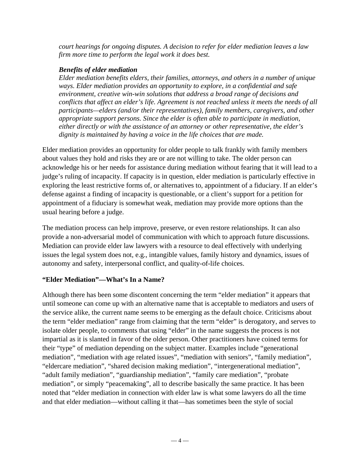*court hearings for ongoing disputes. A decision to refer for elder mediation leaves a law firm more time to perform the legal work it does best.* 

#### *Benefits of elder mediation*

*Elder mediation benefits elders, their families, attorneys, and others in a number of unique ways. Elder mediation provides an opportunity to explore, in a confidential and safe environment, creative win-win solutions that address a broad range of decisions and conflicts that affect an elder's life. Agreement is not reached unless it meets the needs of all participants—elders (and/or their representatives), family members, caregivers, and other appropriate support persons. Since the elder is often able to participate in mediation, either directly or with the assistance of an attorney or other representative, the elder's dignity is maintained by having a voice in the life choices that are made.* 

Elder mediation provides an opportunity for older people to talk frankly with family members about values they hold and risks they are or are not willing to take. The older person can acknowledge his or her needs for assistance during mediation without fearing that it will lead to a judge's ruling of incapacity. If capacity is in question, elder mediation is particularly effective in exploring the least restrictive forms of, or alternatives to, appointment of a fiduciary. If an elder's defense against a finding of incapacity is questionable, or a client's support for a petition for appointment of a fiduciary is somewhat weak, mediation may provide more options than the usual hearing before a judge.

The mediation process can help improve, preserve, or even restore relationships. It can also provide a non-adversarial model of communication with which to approach future discussions. Mediation can provide elder law lawyers with a resource to deal effectively with underlying issues the legal system does not, e.g., intangible values, family history and dynamics, issues of autonomy and safety, interpersonal conflict, and quality-of-life choices.

#### **"Elder Mediation"—What's In a Name?**

Although there has been some discontent concerning the term "elder mediation" it appears that until someone can come up with an alternative name that is acceptable to mediators and users of the service alike, the current name seems to be emerging as the default choice. Criticisms about the term "elder mediation" range from claiming that the term "elder" is derogatory, and serves to isolate older people, to comments that using "elder" in the name suggests the process is not impartial as it is slanted in favor of the older person. Other practitioners have coined terms for their "type" of mediation depending on the subject matter. Examples include "generational mediation", "mediation with age related issues", "mediation with seniors", "family mediation", "eldercare mediation", "shared decision making mediation", "intergenerational mediation", "adult family mediation", "guardianship mediation", "family care mediation", "probate mediation", or simply "peacemaking", all to describe basically the same practice. It has been noted that "elder mediation in connection with elder law is what some lawyers do all the time and that elder mediation—without calling it that—has sometimes been the style of social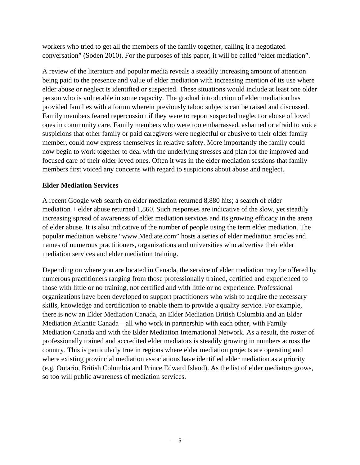workers who tried to get all the members of the family together, calling it a negotiated conversation" (Soden 2010). For the purposes of this paper, it will be called "elder mediation".

A review of the literature and popular media reveals a steadily increasing amount of attention being paid to the presence and value of elder mediation with increasing mention of its use where elder abuse or neglect is identified or suspected. These situations would include at least one older person who is vulnerable in some capacity. The gradual introduction of elder mediation has provided families with a forum wherein previously taboo subjects can be raised and discussed. Family members feared repercussion if they were to report suspected neglect or abuse of loved ones in community care. Family members who were too embarrassed, ashamed or afraid to voice suspicions that other family or paid caregivers were neglectful or abusive to their older family member, could now express themselves in relative safety. More importantly the family could now begin to work together to deal with the underlying stresses and plan for the improved and focused care of their older loved ones. Often it was in the elder mediation sessions that family members first voiced any concerns with regard to suspicions about abuse and neglect.

#### **Elder Mediation Services**

A recent Google web search on elder mediation returned 8,880 hits; a search of elder mediation + elder abuse returned 1,860. Such responses are indicative of the slow, yet steadily increasing spread of awareness of elder mediation services and its growing efficacy in the arena of elder abuse. It is also indicative of the number of people using the term elder mediation. The popular mediation website "www.Mediate.com" hosts a series of elder mediation articles and names of numerous practitioners, organizations and universities who advertise their elder mediation services and elder mediation training.

Depending on where you are located in Canada, the service of elder mediation may be offered by numerous practitioners ranging from those professionally trained, certified and experienced to those with little or no training, not certified and with little or no experience. Professional organizations have been developed to support practitioners who wish to acquire the necessary skills, knowledge and certification to enable them to provide a quality service. For example, there is now an Elder Mediation Canada, an Elder Mediation British Columbia and an Elder Mediation Atlantic Canada—all who work in partnership with each other, with Family Mediation Canada and with the Elder Mediation International Network. As a result, the roster of professionally trained and accredited elder mediators is steadily growing in numbers across the country. This is particularly true in regions where elder mediation projects are operating and where existing provincial mediation associations have identified elder mediation as a priority (e.g. Ontario, British Columbia and Prince Edward Island). As the list of elder mediators grows, so too will public awareness of mediation services.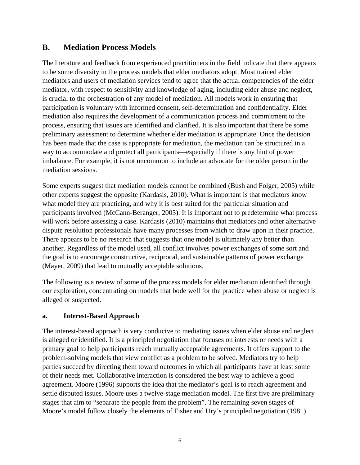# **B. Mediation Process Models**

The literature and feedback from experienced practitioners in the field indicate that there appears to be some diversity in the process models that elder mediators adopt. Most trained elder mediators and users of mediation services tend to agree that the actual competencies of the elder mediator, with respect to sensitivity and knowledge of aging, including elder abuse and neglect, is crucial to the orchestration of any model of mediation. All models work in ensuring that participation is voluntary with informed consent, self-determination and confidentiality. Elder mediation also requires the development of a communication process and commitment to the process, ensuring that issues are identified and clarified. It is also important that there be some preliminary assessment to determine whether elder mediation is appropriate. Once the decision has been made that the case is appropriate for mediation, the mediation can be structured in a way to accommodate and protect all participants—especially if there is any hint of power imbalance. For example, it is not uncommon to include an advocate for the older person in the mediation sessions.

Some experts suggest that mediation models cannot be combined (Bush and Folger, 2005) while other experts suggest the opposite (Kardasis, 2010). What is important is that mediators know what model they are practicing, and why it is best suited for the particular situation and participants involved (McCann-Beranger, 2005). It is important not to predetermine what process will work before assessing a case. Kardasis (2010) maintains that mediators and other alternative dispute resolution professionals have many processes from which to draw upon in their practice. There appears to be no research that suggests that one model is ultimately any better than another. Regardless of the model used, all conflict involves power exchanges of some sort and the goal is to encourage constructive, reciprocal, and sustainable patterns of power exchange (Mayer, 2009) that lead to mutually acceptable solutions.

The following is a review of some of the process models for elder mediation identified through our exploration, concentrating on models that bode well for the practice when abuse or neglect is alleged or suspected.

#### **a. Interest-Based Approach**

The interest-based approach is very conducive to mediating issues when elder abuse and neglect is alleged or identified. It is a principled negotiation that focuses on interests or needs with a primary goal to help participants reach mutually acceptable agreements. It offers support to the problem-solving models that view conflict as a problem to be solved. Mediators try to help parties succeed by directing them toward outcomes in which all participants have at least some of their needs met. Collaborative interaction is considered the best way to achieve a good agreement. Moore (1996) supports the idea that the mediator's goal is to reach agreement and settle disputed issues. Moore uses a twelve-stage mediation model. The first five are preliminary stages that aim to "separate the people from the problem". The remaining seven stages of Moore's model follow closely the elements of Fisher and Ury's principled negotiation (1981)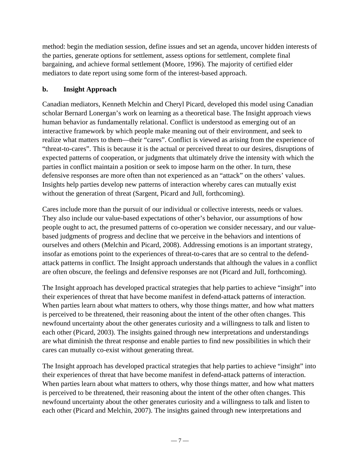method: begin the mediation session, define issues and set an agenda, uncover hidden interests of the parties, generate options for settlement, assess options for settlement, complete final bargaining, and achieve formal settlement (Moore, 1996). The majority of certified elder mediators to date report using some form of the interest-based approach.

#### **b. Insight Approach**

Canadian mediators, Kenneth Melchin and Cheryl Picard, developed this model using Canadian scholar Bernard Lonergan's work on learning as a theoretical base. The Insight approach views human behavior as fundamentally relational. Conflict is understood as emerging out of an interactive framework by which people make meaning out of their environment, and seek to realize what matters to them—their "cares". Conflict is viewed as arising from the experience of "threat-to-cares". This is because it is the actual or perceived threat to our desires, disruptions of expected patterns of cooperation, or judgments that ultimately drive the intensity with which the parties in conflict maintain a position or seek to impose harm on the other. In turn, these defensive responses are more often than not experienced as an "attack" on the others' values. Insights help parties develop new patterns of interaction whereby cares can mutually exist without the generation of threat (Sargent, Picard and Jull, forthcoming).

Cares include more than the pursuit of our individual or collective interests, needs or values. They also include our value-based expectations of other's behavior, our assumptions of how people ought to act, the presumed patterns of co-operation we consider necessary, and our valuebased judgments of progress and decline that we perceive in the behaviors and intentions of ourselves and others (Melchin and Picard, 2008). Addressing emotions is an important strategy, insofar as emotions point to the experiences of threat-to-cares that are so central to the defendattack patterns in conflict. The Insight approach understands that although the values in a conflict are often obscure, the feelings and defensive responses are not (Picard and Jull, forthcoming).

The Insight approach has developed practical strategies that help parties to achieve "insight" into their experiences of threat that have become manifest in defend-attack patterns of interaction. When parties learn about what matters to others, why those things matter, and how what matters is perceived to be threatened, their reasoning about the intent of the other often changes. This newfound uncertainty about the other generates curiosity and a willingness to talk and listen to each other (Picard, 2003). The insights gained through new interpretations and understandings are what diminish the threat response and enable parties to find new possibilities in which their cares can mutually co-exist without generating threat.

The Insight approach has developed practical strategies that help parties to achieve "insight" into their experiences of threat that have become manifest in defend-attack patterns of interaction. When parties learn about what matters to others, why those things matter, and how what matters is perceived to be threatened, their reasoning about the intent of the other often changes. This newfound uncertainty about the other generates curiosity and a willingness to talk and listen to each other (Picard and Melchin, 2007). The insights gained through new interpretations and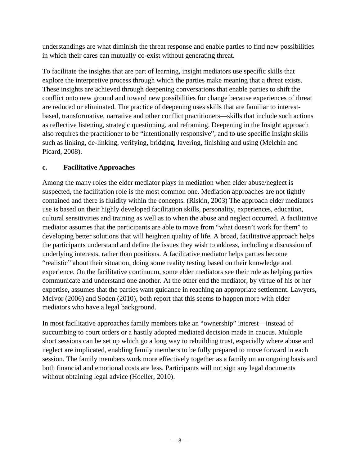understandings are what diminish the threat response and enable parties to find new possibilities in which their cares can mutually co-exist without generating threat.

To facilitate the insights that are part of learning, insight mediators use specific skills that explore the interpretive process through which the parties make meaning that a threat exists. These insights are achieved through deepening conversations that enable parties to shift the conflict onto new ground and toward new possibilities for change because experiences of threat are reduced or eliminated. The practice of deepening uses skills that are familiar to interestbased, transformative, narrative and other conflict practitioners—skills that include such actions as reflective listening, strategic questioning, and reframing. Deepening in the Insight approach also requires the practitioner to be "intentionally responsive", and to use specific Insight skills such as linking, de-linking, verifying, bridging, layering, finishing and using (Melchin and Picard, 2008).

#### **c. Facilitative Approaches**

Among the many roles the elder mediator plays in mediation when elder abuse/neglect is suspected, the facilitation role is the most common one. Mediation approaches are not tightly contained and there is fluidity within the concepts. (Riskin, 2003) The approach elder mediators use is based on their highly developed facilitation skills, personality, experiences, education, cultural sensitivities and training as well as to when the abuse and neglect occurred. A facilitative mediator assumes that the participants are able to move from "what doesn't work for them" to developing better solutions that will heighten quality of life. A broad, facilitative approach helps the participants understand and define the issues they wish to address, including a discussion of underlying interests, rather than positions. A facilitative mediator helps parties become "realistic" about their situation, doing some reality testing based on their knowledge and experience. On the facilitative continuum, some elder mediators see their role as helping parties communicate and understand one another. At the other end the mediator, by virtue of his or her expertise, assumes that the parties want guidance in reaching an appropriate settlement. Lawyers, McIvor (2006) and Soden (2010), both report that this seems to happen more with elder mediators who have a legal background.

In most facilitative approaches family members take an "ownership" interest—instead of succumbing to court orders or a hastily adopted mediated decision made in caucus. Multiple short sessions can be set up which go a long way to rebuilding trust, especially where abuse and neglect are implicated, enabling family members to be fully prepared to move forward in each session. The family members work more effectively together as a family on an ongoing basis and both financial and emotional costs are less. Participants will not sign any legal documents without obtaining legal advice (Hoeller, 2010).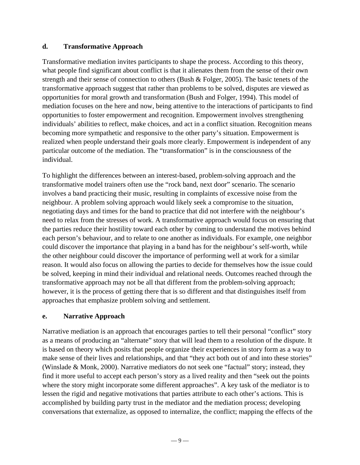#### **d. Transformative Approach**

Transformative mediation invites participants to shape the process. According to this theory, what people find significant about conflict is that it alienates them from the sense of their own strength and their sense of connection to others (Bush  $\&$  Folger, 2005). The basic tenets of the transformative approach suggest that rather than problems to be solved, disputes are viewed as opportunities for moral growth and transformation (Bush and Folger, 1994). This model of mediation focuses on the here and now, being attentive to the interactions of participants to find opportunities to foster empowerment and recognition. Empowerment involves strengthening individuals' abilities to reflect, make choices, and act in a conflict situation. Recognition means becoming more sympathetic and responsive to the other party's situation. Empowerment is realized when people understand their goals more clearly. Empowerment is independent of any particular outcome of the mediation. The "transformation" is in the consciousness of the individual.

To highlight the differences between an interest-based, problem-solving approach and the transformative model trainers often use the "rock band, next door" scenario. The scenario involves a band practicing their music, resulting in complaints of excessive noise from the neighbour. A problem solving approach would likely seek a compromise to the situation, negotiating days and times for the band to practice that did not interfere with the neighbour's need to relax from the stresses of work. A transformative approach would focus on ensuring that the parties reduce their hostility toward each other by coming to understand the motives behind each person's behaviour, and to relate to one another as individuals. For example, one neighbor could discover the importance that playing in a band has for the neighbour's self-worth, while the other neighbour could discover the importance of performing well at work for a similar reason. It would also focus on allowing the parties to decide for themselves how the issue could be solved, keeping in mind their individual and relational needs. Outcomes reached through the transformative approach may not be all that different from the problem-solving approach; however, it is the process of getting there that is so different and that distinguishes itself from approaches that emphasize problem solving and settlement.

#### **e. Narrative Approach**

Narrative mediation is an approach that encourages parties to tell their personal "conflict" story as a means of producing an "alternate" story that will lead them to a resolution of the dispute. It is based on theory which posits that people organize their experiences in story form as a way to make sense of their lives and relationships, and that "they act both out of and into these stories" (Winslade & Monk, 2000). Narrative mediators do not seek one "factual" story; instead, they find it more useful to accept each person's story as a lived reality and then "seek out the points where the story might incorporate some different approaches". A key task of the mediator is to lessen the rigid and negative motivations that parties attribute to each other's actions. This is accomplished by building party trust in the mediator and the mediation process; developing conversations that externalize, as opposed to internalize, the conflict; mapping the effects of the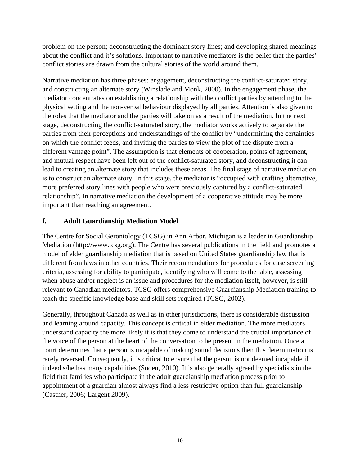problem on the person; deconstructing the dominant story lines; and developing shared meanings about the conflict and it's solutions. Important to narrative mediators is the belief that the parties' conflict stories are drawn from the cultural stories of the world around them.

Narrative mediation has three phases: engagement, deconstructing the conflict-saturated story, and constructing an alternate story (Winslade and Monk, 2000). In the engagement phase, the mediator concentrates on establishing a relationship with the conflict parties by attending to the physical setting and the non-verbal behaviour displayed by all parties. Attention is also given to the roles that the mediator and the parties will take on as a result of the mediation. In the next stage, deconstructing the conflict-saturated story, the mediator works actively to separate the parties from their perceptions and understandings of the conflict by "undermining the certainties on which the conflict feeds, and inviting the parties to view the plot of the dispute from a different vantage point". The assumption is that elements of cooperation, points of agreement, and mutual respect have been left out of the conflict-saturated story, and deconstructing it can lead to creating an alternate story that includes these areas. The final stage of narrative mediation is to construct an alternate story. In this stage, the mediator is "occupied with crafting alternative, more preferred story lines with people who were previously captured by a conflict-saturated relationship". In narrative mediation the development of a cooperative attitude may be more important than reaching an agreement.

#### **f. Adult Guardianship Mediation Model**

The Centre for Social Gerontology (TCSG) in Ann Arbor, Michigan is a leader in Guardianship Mediation (http://www.tcsg.org). The Centre has several publications in the field and promotes a model of elder guardianship mediation that is based on United States guardianship law that is different from laws in other countries. Their recommendations for procedures for case screening criteria, assessing for ability to participate, identifying who will come to the table, assessing when abuse and/or neglect is an issue and procedures for the mediation itself, however, is still relevant to Canadian mediators. TCSG offers comprehensive Guardianship Mediation training to teach the specific knowledge base and skill sets required (TCSG, 2002).

Generally, throughout Canada as well as in other jurisdictions, there is considerable discussion and learning around capacity. This concept is critical in elder mediation. The more mediators understand capacity the more likely it is that they come to understand the crucial importance of the voice of the person at the heart of the conversation to be present in the mediation. Once a court determines that a person is incapable of making sound decisions then this determination is rarely reversed. Consequently, it is critical to ensure that the person is not deemed incapable if indeed s/he has many capabilities (Soden, 2010). It is also generally agreed by specialists in the field that families who participate in the adult guardianship mediation process prior to appointment of a guardian almost always find a less restrictive option than full guardianship (Castner, 2006; Largent 2009).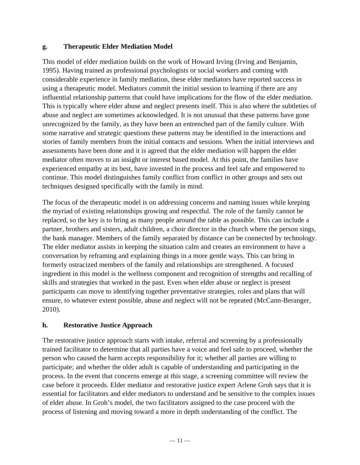#### **g. Therapeutic Elder Mediation Model**

This model of elder mediation builds on the work of Howard Irving (Irving and Benjamin, 1995). Having trained as professional psychologists or social workers and coming with considerable experience in family mediation, these elder mediators have reported success in using a therapeutic model. Mediators commit the initial session to learning if there are any influential relationship patterns that could have implications for the flow of the elder mediation. This is typically where elder abuse and neglect presents itself. This is also where the subtleties of abuse and neglect are sometimes acknowledged. It is not unusual that these patterns have gone unrecognized by the family, as they have been an entrenched part of the family culture. With some narrative and strategic questions these patterns may be identified in the interactions and stories of family members from the initial contacts and sessions. When the initial interviews and assessments have been done and it is agreed that the elder mediation will happen the elder mediator often moves to an insight or interest based model. At this point, the families have experienced empathy at its best, have invested in the process and feel safe and empowered to continue. This model distinguishes family conflict from conflict in other groups and sets out techniques designed specifically with the family in mind.

The focus of the therapeutic model is on addressing concerns and naming issues while keeping the myriad of existing relationships growing and respectful. The role of the family cannot be replaced, so the key is to bring as many people around the table as possible. This can include a partner, brothers and sisters, adult children, a choir director in the church where the person sings, the bank manager. Members of the family separated by distance can be connected by technology. The elder mediator assists in keeping the situation calm and creates an environment to have a conversation by reframing and explaining things in a more gentle ways. This can bring in formerly ostracized members of the family and relationships are strengthened. A focused ingredient in this model is the wellness component and recognition of strengths and recalling of skills and strategies that worked in the past. Even when elder abuse or neglect is present participants can move to identifying together preventative strategies, roles and plans that will ensure, to whatever extent possible, abuse and neglect will not be repeated (McCann-Beranger, 2010).

#### **h. Restorative Justice Approach**

The restorative justice approach starts with intake, referral and screening by a professionally trained facilitator to determine that all parties have a voice and feel safe to proceed, whether the person who caused the harm accepts responsibility for it; whether all parties are willing to participate; and whether the older adult is capable of understanding and participating in the process. In the event that concerns emerge at this stage, a screening committee will review the case before it proceeds. Elder mediator and restorative justice expert Arlene Groh says that it is essential for facilitators and elder mediators to understand and be sensitive to the complex issues of elder abuse. In Groh's model, the two facilitators assigned to the case proceed with the process of listening and moving toward a more in depth understanding of the conflict. The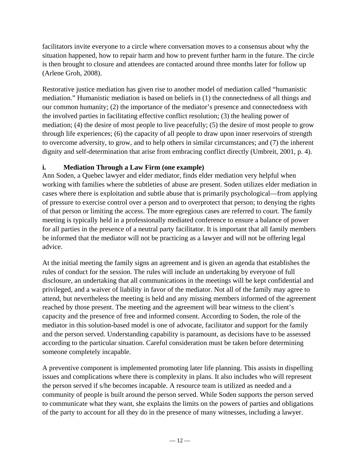facilitators invite everyone to a circle where conversation moves to a consensus about why the situation happened, how to repair harm and how to prevent further harm in the future. The circle is then brought to closure and attendees are contacted around three months later for follow up (Arlene Groh, 2008).

Restorative justice mediation has given rise to another model of mediation called "humanistic mediation." Humanistic mediation is based on beliefs in (1) the connectedness of all things and our common humanity; (2) the importance of the mediator's presence and connectedness with the involved parties in facilitating effective conflict resolution; (3) the healing power of mediation; (4) the desire of most people to live peacefully; (5) the desire of most people to grow through life experiences; (6) the capacity of all people to draw upon inner reservoirs of strength to overcome adversity, to grow, and to help others in similar circumstances; and (7) the inherent dignity and self-determination that arise from embracing conflict directly (Umbreit, 2001, p. 4).

#### **i. Mediation Through a Law Firm (one example)**

Ann Soden, a Quebec lawyer and elder mediator, finds elder mediation very helpful when working with families where the subtleties of abuse are present. Soden utilizes elder mediation in cases where there is exploitation and subtle abuse that is primarily psychological—from applying of pressure to exercise control over a person and to overprotect that person; to denying the rights of that person or limiting the access. The more egregious cases are referred to court. The family meeting is typically held in a professionally mediated conference to ensure a balance of power for all parties in the presence of a neutral party facilitator. It is important that all family members be informed that the mediator will not be practicing as a lawyer and will not be offering legal advice.

At the initial meeting the family signs an agreement and is given an agenda that establishes the rules of conduct for the session. The rules will include an undertaking by everyone of full disclosure, an undertaking that all communications in the meetings will be kept confidential and privileged, and a waiver of liability in favor of the mediator. Not all of the family may agree to attend, but nevertheless the meeting is held and any missing members informed of the agreement reached by those present. The meeting and the agreement will bear witness to the client's capacity and the presence of free and informed consent. According to Soden, the role of the mediator in this solution-based model is one of advocate, facilitator and support for the family and the person served. Understanding capability is paramount, as decisions have to be assessed according to the particular situation. Careful consideration must be taken before determining someone completely incapable.

A preventive component is implemented promoting later life planning. This assists in dispelling issues and complications where there is complexity in plans. It also includes who will represent the person served if s/he becomes incapable. A resource team is utilized as needed and a community of people is built around the person served. While Soden supports the person served to communicate what they want, she explains the limits on the powers of parties and obligations of the party to account for all they do in the presence of many witnesses, including a lawyer.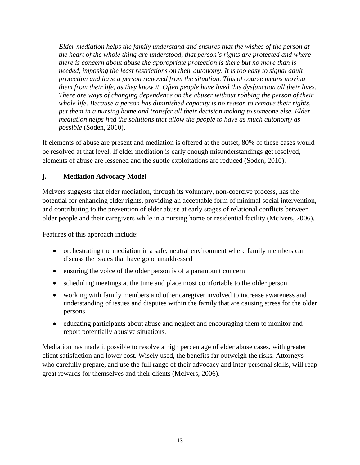*Elder mediation helps the family understand and ensures that the wishes of the person at the heart of the whole thing are understood, that person's rights are protected and where there is concern about abuse the appropriate protection is there but no more than is needed, imposing the least restrictions on their autonomy. It is too easy to signal adult protection and have a person removed from the situation. This of course means moving them from their life, as they know it. Often people have lived this dysfunction all their lives. There are ways of changing dependence on the abuser without robbing the person of their whole life. Because a person has diminished capacity is no reason to remove their rights, put them in a nursing home and transfer all their decision making to someone else. Elder mediation helps find the solutions that allow the people to have as much autonomy as possible* (Soden, 2010).

If elements of abuse are present and mediation is offered at the outset, 80% of these cases would be resolved at that level. If elder mediation is early enough misunderstandings get resolved, elements of abuse are lessened and the subtle exploitations are reduced (Soden, 2010).

#### **j. Mediation Advocacy Model**

McIvers suggests that elder mediation, through its voluntary, non-coercive process, has the potential for enhancing elder rights, providing an acceptable form of minimal social intervention, and contributing to the prevention of elder abuse at early stages of relational conflicts between older people and their caregivers while in a nursing home or residential facility (McIvers, 2006).

Features of this approach include:

- orchestrating the mediation in a safe, neutral environment where family members can discuss the issues that have gone unaddressed
- ensuring the voice of the older person is of a paramount concern
- scheduling meetings at the time and place most comfortable to the older person
- working with family members and other caregiver involved to increase awareness and understanding of issues and disputes within the family that are causing stress for the older persons
- educating participants about abuse and neglect and encouraging them to monitor and report potentially abusive situations.

Mediation has made it possible to resolve a high percentage of elder abuse cases, with greater client satisfaction and lower cost. Wisely used, the benefits far outweigh the risks. Attorneys who carefully prepare, and use the full range of their advocacy and inter-personal skills, will reap great rewards for themselves and their clients (McIvers, 2006).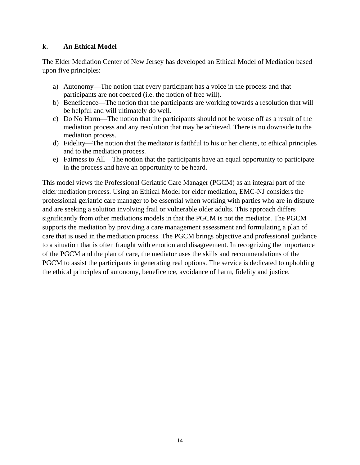#### **k. An Ethical Model**

The Elder Mediation Center of New Jersey has developed an Ethical Model of Mediation based upon five principles:

- a) Autonomy—The notion that every participant has a voice in the process and that participants are not coerced (i.e. the notion of free will).
- b) Beneficence—The notion that the participants are working towards a resolution that will be helpful and will ultimately do well.
- c) Do No Harm—The notion that the participants should not be worse off as a result of the mediation process and any resolution that may be achieved. There is no downside to the mediation process.
- d) Fidelity—The notion that the mediator is faithful to his or her clients, to ethical principles and to the mediation process.
- e) Fairness to All—The notion that the participants have an equal opportunity to participate in the process and have an opportunity to be heard.

This model views the Professional Geriatric Care Manager (PGCM) as an integral part of the elder mediation process. Using an Ethical Model for elder mediation, EMC-NJ considers the professional geriatric care manager to be essential when working with parties who are in dispute and are seeking a solution involving frail or vulnerable older adults. This approach differs significantly from other mediations models in that the PGCM is not the mediator. The PGCM supports the mediation by providing a care management assessment and formulating a plan of care that is used in the mediation process. The PGCM brings objective and professional guidance to a situation that is often fraught with emotion and disagreement. In recognizing the importance of the PGCM and the plan of care, the mediator uses the skills and recommendations of the PGCM to assist the participants in generating real options. The service is dedicated to upholding the ethical principles of autonomy, beneficence, avoidance of harm, fidelity and justice.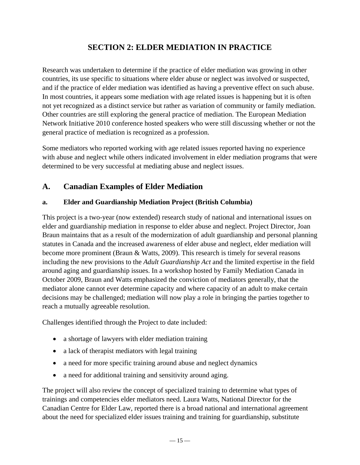# **SECTION 2: ELDER MEDIATION IN PRACTICE**

Research was undertaken to determine if the practice of elder mediation was growing in other countries, its use specific to situations where elder abuse or neglect was involved or suspected, and if the practice of elder mediation was identified as having a preventive effect on such abuse. In most countries, it appears some mediation with age related issues is happening but it is often not yet recognized as a distinct service but rather as variation of community or family mediation. Other countries are still exploring the general practice of mediation. The European Mediation Network Initiative 2010 conference hosted speakers who were still discussing whether or not the general practice of mediation is recognized as a profession.

Some mediators who reported working with age related issues reported having no experience with abuse and neglect while others indicated involvement in elder mediation programs that were determined to be very successful at mediating abuse and neglect issues.

# **A. Canadian Examples of Elder Mediation**

#### **a. Elder and Guardianship Mediation Project (British Columbia)**

This project is a two-year (now extended) research study of national and international issues on elder and guardianship mediation in response to elder abuse and neglect. Project Director, Joan Braun maintains that as a result of the modernization of adult guardianship and personal planning statutes in Canada and the increased awareness of elder abuse and neglect, elder mediation will become more prominent (Braun & Watts, 2009). This research is timely for several reasons including the new provisions to the *Adult Guardianship Act* and the limited expertise in the field around aging and guardianship issues. In a workshop hosted by Family Mediation Canada in October 2009, Braun and Watts emphasized the conviction of mediators generally, that the mediator alone cannot ever determine capacity and where capacity of an adult to make certain decisions may be challenged; mediation will now play a role in bringing the parties together to reach a mutually agreeable resolution.

Challenges identified through the Project to date included:

- a shortage of lawyers with elder mediation training
- a lack of therapist mediators with legal training
- a need for more specific training around abuse and neglect dynamics
- a need for additional training and sensitivity around aging.

The project will also review the concept of specialized training to determine what types of trainings and competencies elder mediators need. Laura Watts, National Director for the Canadian Centre for Elder Law, reported there is a broad national and international agreement about the need for specialized elder issues training and training for guardianship, substitute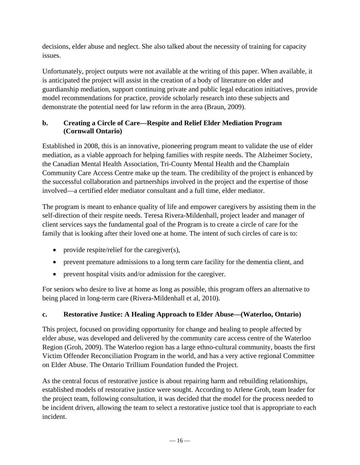decisions, elder abuse and neglect. She also talked about the necessity of training for capacity issues.

Unfortunately, project outputs were not available at the writing of this paper. When available, it is anticipated the project will assist in the creation of a body of literature on elder and guardianship mediation, support continuing private and public legal education initiatives, provide model recommendations for practice, provide scholarly research into these subjects and demonstrate the potential need for law reform in the area (Braun, 2009).

#### **b. Creating a Circle of Care—Respite and Relief Elder Mediation Program (Cornwall Ontario)**

Established in 2008, this is an innovative, pioneering program meant to validate the use of elder mediation, as a viable approach for helping families with respite needs. The Alzheimer Society, the Canadian Mental Health Association, Tri-County Mental Health and the Champlain Community Care Access Centre make up the team. The credibility of the project is enhanced by the successful collaboration and partnerships involved in the project and the expertise of those involved—a certified elder mediator consultant and a full time, elder mediator.

The program is meant to enhance quality of life and empower caregivers by assisting them in the self-direction of their respite needs. Teresa Rivera-Mildenhall, project leader and manager of client services says the fundamental goal of the Program is to create a circle of care for the family that is looking after their loved one at home. The intent of such circles of care is to:

- provide respite/relief for the caregiver(s),
- prevent premature admissions to a long term care facility for the dementia client, and
- prevent hospital visits and/or admission for the caregiver.

For seniors who desire to live at home as long as possible, this program offers an alternative to being placed in long-term care (Rivera-Mildenhall et al, 2010).

# **c. Restorative Justice: A Healing Approach to Elder Abuse—(Waterloo, Ontario)**

This project, focused on providing opportunity for change and healing to people affected by elder abuse, was developed and delivered by the community care access centre of the Waterloo Region (Groh, 2009). The Waterloo region has a large ethno-cultural community, boasts the first Victim Offender Reconciliation Program in the world, and has a very active regional Committee on Elder Abuse. The Ontario Trillium Foundation funded the Project.

As the central focus of restorative justice is about repairing harm and rebuilding relationships, established models of restorative justice were sought. According to Arlene Groh, team leader for the project team, following consultation, it was decided that the model for the process needed to be incident driven, allowing the team to select a restorative justice tool that is appropriate to each incident.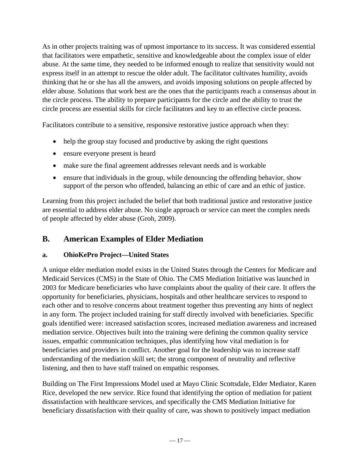As in other projects training was of upmost importance to its success. It was considered essential that facilitators were empathetic, sensitive and knowledgeable about the complex issue of elder abuse. At the same time, they needed to be informed enough to realize that sensitivity would not express itself in an attempt to rescue the older adult. The facilitator cultivates humility, avoids thinking that he or she has all the answers, and avoids imposing solutions on people affected by elder abuse. Solutions that work best are the ones that the participants reach a consensus about in the circle process. The ability to prepare participants for the circle and the ability to trust the circle process are essential skills for circle facilitators and key to an effective circle process.

Facilitators contribute to a sensitive, responsive restorative justice approach when they:

- help the group stay focused and productive by asking the right questions
- ensure everyone present is heard
- make sure the final agreement addresses relevant needs and is workable
- ensure that individuals in the group, while denouncing the offending behavior, show support of the person who offended, balancing an ethic of care and an ethic of justice.

Learning from this project included the belief that both traditional justice and restorative justice are essential to address elder abuse. No single approach or service can meet the complex needs of people affected by elder abuse (Groh, 2009).

# **B. American Examples of Elder Mediation**

#### **a. OhioKePro Project—United States**

A unique elder mediation model exists in the United States through the Centers for Medicare and Medicaid Services (CMS) in the State of Ohio. The CMS Mediation Initiative was launched in 2003 for Medicare beneficiaries who have complaints about the quality of their care. It offers the opportunity for beneficiaries, physicians, hospitals and other healthcare services to respond to each other and to resolve concerns about treatment together thus preventing any hints of neglect in any form. The project included training for staff directly involved with beneficiaries. Specific goals identified were: increased satisfaction scores, increased mediation awareness and increased mediation service. Objectives built into the training were defining the common quality service issues, empathic communication techniques, plus identifying how vital mediation is for beneficiaries and providers in conflict. Another goal for the leadership was to increase staff understanding of the mediation skill set; the strong component of neutrality and reflective listening, and then to have staff trained on empathic responses.

Building on The First Impressions Model used at Mayo Clinic Scottsdale, Elder Mediator, Karen Rice, developed the new service. Rice found that identifying the option of mediation for patient dissatisfaction with healthcare services, and specifically the CMS Mediation Initiative for beneficiary dissatisfaction with their quality of care, was shown to positively impact mediation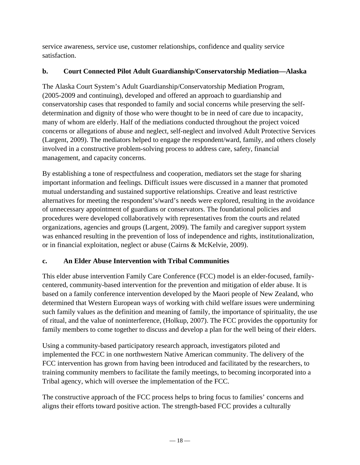service awareness, service use, customer relationships, confidence and quality service satisfaction.

### **b. Court Connected Pilot Adult Guardianship/Conservatorship Mediation—Alaska**

The Alaska Court System's Adult Guardianship/Conservatorship Mediation Program, (2005-2009 and continuing), developed and offered an approach to guardianship and conservatorship cases that responded to family and social concerns while preserving the selfdetermination and dignity of those who were thought to be in need of care due to incapacity, many of whom are elderly. Half of the mediations conducted throughout the project voiced concerns or allegations of abuse and neglect, self-neglect and involved Adult Protective Services (Largent, 2009). The mediators helped to engage the respondent/ward, family, and others closely involved in a constructive problem-solving process to address care, safety, financial management, and capacity concerns.

By establishing a tone of respectfulness and cooperation, mediators set the stage for sharing important information and feelings. Difficult issues were discussed in a manner that promoted mutual understanding and sustained supportive relationships. Creative and least restrictive alternatives for meeting the respondent's/ward's needs were explored, resulting in the avoidance of unnecessary appointment of guardians or conservators. The foundational policies and procedures were developed collaboratively with representatives from the courts and related organizations, agencies and groups (Largent, 2009). The family and caregiver support system was enhanced resulting in the prevention of loss of independence and rights, institutionalization, or in financial exploitation, neglect or abuse (Cairns & McKelvie, 2009).

## **c. An Elder Abuse Intervention with Tribal Communities**

This elder abuse intervention Family Care Conference (FCC) model is an elder-focused, familycentered, community-based intervention for the prevention and mitigation of elder abuse. It is based on a family conference intervention developed by the Maori people of New Zealand, who determined that Western European ways of working with child welfare issues were undermining such family values as the definition and meaning of family, the importance of spirituality, the use of ritual, and the value of noninterference, (Holkup, 2007). The FCC provides the opportunity for family members to come together to discuss and develop a plan for the well being of their elders.

Using a community-based participatory research approach, investigators piloted and implemented the FCC in one northwestern Native American community. The delivery of the FCC intervention has grown from having been introduced and facilitated by the researchers, to training community members to facilitate the family meetings, to becoming incorporated into a Tribal agency, which will oversee the implementation of the FCC.

The constructive approach of the FCC process helps to bring focus to families' concerns and aligns their efforts toward positive action. The strength-based FCC provides a culturally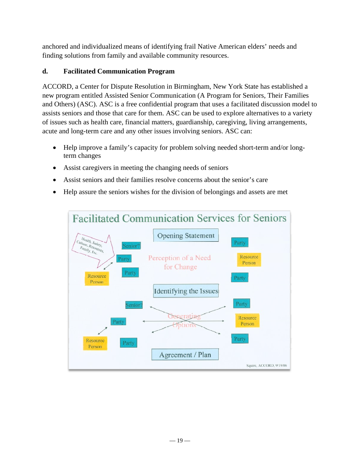anchored and individualized means of identifying frail Native American elders' needs and finding solutions from family and available community resources.

# **d. Facilitated Communication Program**

ACCORD, a Center for Dispute Resolution in Birmingham, New York State has established a new program entitled Assisted Senior Communication (A Program for Seniors, Their Families and Others) (ASC). ASC is a free confidential program that uses a facilitated discussion model to assists seniors and those that care for them. ASC can be used to explore alternatives to a variety of issues such as health care, financial matters, guardianship, caregiving, living arrangements, acute and long-term care and any other issues involving seniors. ASC can:

- Help improve a family's capacity for problem solving needed short-term and/or longterm changes
- Assist caregivers in meeting the changing needs of seniors
- Assist seniors and their families resolve concerns about the senior's care
- Help assure the seniors wishes for the division of belongings and assets are met

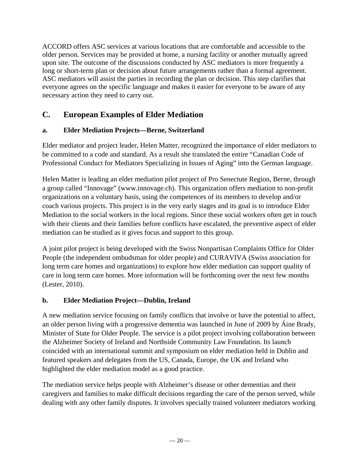ACCORD offers ASC services at various locations that are comfortable and accessible to the older person. Services may be provided at home, a nursing facility or another mutually agreed upon site. The outcome of the discussions conducted by ASC mediators is more frequently a long or short-term plan or decision about future arrangements rather than a formal agreement. ASC mediators will assist the parties in recording the plan or decision. This step clarifies that everyone agrees on the specific language and makes it easier for everyone to be aware of any necessary action they need to carry out.

# **C. European Examples of Elder Mediation**

#### **a. Elder Mediation Projects—Berne, Switzerland**

Elder mediator and project leader, Helen Matter, recognized the importance of elder mediators to be committed to a code and standard. As a result she translated the entire "Canadian Code of Professional Conduct for Mediators Specializing in Issues of Aging" into the German language.

Helen Matter is leading an elder mediation pilot project of Pro Senectute Region, Berne, through a group called "Innovage" (www.innovage.ch). This organization offers mediation to non-profit organizations on a voluntary basis, using the competences of its members to develop and/or coach various projects. This project is in the very early stages and its goal is to introduce Elder Mediation to the social workers in the local regions. Since these social workers often get in touch with their clients and their families before conflicts have escalated, the preventive aspect of elder mediation can be studied as it gives focus and support to this group.

A joint pilot project is being developed with the Swiss Nonpartisan Complaints Office for Older People (the independent ombudsman for older people) and CURAVIVA (Swiss association for long term care homes and organizations) to explore how elder mediation can support quality of care in long term care homes. More information will be forthcoming over the next few months (Lester, 2010).

## **b. Elder Mediation Project—Dublin, Ireland**

A new mediation service focusing on family conflicts that involve or have the potential to affect, an older person living with a progressive dementia was launched in June of 2009 by Áine Brady, Minister of State for Older People. The service is a pilot project involving collaboration between the Alzheimer Society of Ireland and Northside Community Law Foundation. Its launch coincided with an international summit and symposium on elder mediation held in Dublin and featured speakers and delegates from the US, Canada, Europe, the UK and Ireland who highlighted the elder mediation model as a good practice.

The mediation service helps people with Alzheimer's disease or other dementias and their caregivers and families to make difficult decisions regarding the care of the person served, while dealing with any other family disputes. It involves specially trained volunteer mediators working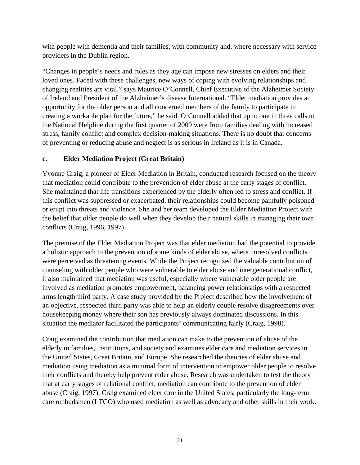with people with dementia and their families, with community and, where necessary with service providers in the Dublin region.

"Changes in people's needs and roles as they age can impose new stresses on elders and their loved ones. Faced with these challenges, new ways of coping with evolving relationships and changing realities are vital," says Maurice O'Connell, Chief Executive of the Alzheimer Society of Ireland and President of the Alzheimer's disease International. "Elder mediation provides an opportunity for the older person and all concerned members of the family to participate in creating a workable plan for the future," he said. O'Connell added that up to one in three calls to the National Helpline during the first quarter of 2009 were from families dealing with increased stress, family conflict and complex decision-making situations. There is no doubt that concerns of preventing or reducing abuse and neglect is as serious in Ireland as it is in Canada.

#### **c. Elder Mediation Project (Great Britain)**

Yvonne Craig, a pioneer of Elder Mediation in Britain, conducted research focused on the theory that mediation could contribute to the prevention of elder abuse at the early stages of conflict. She maintained that life transitions experienced by the elderly often led to stress and conflict. If this conflict was suppressed or exacerbated, their relationships could become painfully poisoned or erupt into threats and violence. She and her team developed the Elder Mediation Project with the belief that older people do well when they develop their natural skills in managing their own conflicts (Craig, 1996, 1997).

The premise of the Elder Mediation Project was that elder mediation had the potential to provide a holistic approach to the prevention of some kinds of elder abuse, where unresolved conflicts were perceived as threatening events. While the Project recognized the valuable contribution of counseling with older people who were vulnerable to elder abuse and intergenerational conflict, it also maintained that mediation was useful, especially where vulnerable older people are involved as mediation promotes empowerment, balancing power relationships with a respected arms length third party. A case study provided by the Project described how the involvement of an objective, respected third party was able to help an elderly couple resolve disagreements over housekeeping money where their son has previously always dominated discussions. In this situation the mediator facilitated the participants' communicating fairly (Craig, 1998).

Craig examined the contribution that mediation can make to the prevention of abuse of the elderly in families, institutions, and society and examines elder care and mediation services in the United States, Great Britain, and Europe. She researched the theories of elder abuse and mediation using mediation as a minimal form of intervention to empower older people to resolve their conflicts and thereby help prevent elder abuse. Research was undertaken to test the theory that at early stages of relational conflict, mediation can contribute to the prevention of elder abuse (Craig, 1997). Craig examined elder care in the United States, particularly the long-term care ombudsmen (LTCO) who used mediation as well as advocacy and other skills in their work.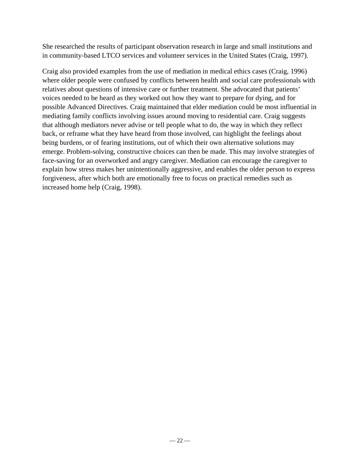She researched the results of participant observation research in large and small institutions and in community-based LTCO services and volunteer services in the United States (Craig, 1997).

Craig also provided examples from the use of mediation in medical ethics cases (Craig, 1996) where older people were confused by conflicts between health and social care professionals with relatives about questions of intensive care or further treatment. She advocated that patients' voices needed to be heard as they worked out how they want to prepare for dying, and for possible Advanced Directives. Craig maintained that elder mediation could be most influential in mediating family conflicts involving issues around moving to residential care. Craig suggests that although mediators never advise or tell people what to do, the way in which they reflect back, or reframe what they have heard from those involved, can highlight the feelings about being burdens, or of fearing institutions, out of which their own alternative solutions may emerge. Problem-solving, constructive choices can then be made. This may involve strategies of face-saving for an overworked and angry caregiver. Mediation can encourage the caregiver to explain how stress makes her unintentionally aggressive, and enables the older person to express forgiveness, after which both are emotionally free to focus on practical remedies such as increased home help (Craig, 1998).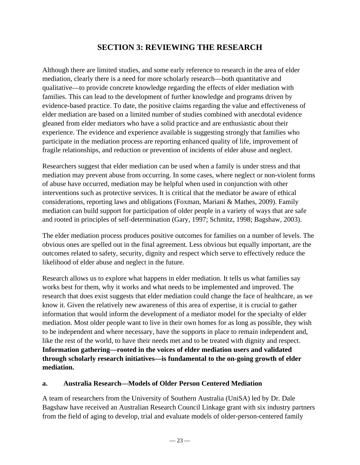# **SECTION 3: REVIEWING THE RESEARCH**

Although there are limited studies, and some early reference to research in the area of elder mediation, clearly there is a need for more scholarly research—both quantitative and qualitative—to provide concrete knowledge regarding the effects of elder mediation with families. This can lead to the development of further knowledge and programs driven by evidence-based practice. To date, the positive claims regarding the value and effectiveness of elder mediation are based on a limited number of studies combined with anecdotal evidence gleaned from elder mediators who have a solid practice and are enthusiastic about their experience. The evidence and experience available is suggesting strongly that families who participate in the mediation process are reporting enhanced quality of life, improvement of fragile relationships, and reduction or prevention of incidents of elder abuse and neglect.

Researchers suggest that elder mediation can be used when a family is under stress and that mediation may prevent abuse from occurring. In some cases, where neglect or non-violent forms of abuse have occurred, mediation may be helpful when used in conjunction with other interventions such as protective services. It is critical that the mediator be aware of ethical considerations, reporting laws and obligations (Foxman, Mariani & Mathes, 2009). Family mediation can build support for participation of older people in a variety of ways that are safe and rooted in principles of self-determination (Gary, 1997; Schmitz, 1998; Bagshaw, 2003).

The elder mediation process produces positive outcomes for families on a number of levels. The obvious ones are spelled out in the final agreement. Less obvious but equally important, are the outcomes related to safety, security, dignity and respect which serve to effectively reduce the likelihood of elder abuse and neglect in the future.

Research allows us to explore what happens in elder mediation. It tells us what families say works best for them, why it works and what needs to be implemented and improved. The research that does exist suggests that elder mediation could change the face of healthcare, as we know it. Given the relatively new awareness of this area of expertise, it is crucial to gather information that would inform the development of a mediator model for the specialty of elder mediation. Most older people want to live in their own homes for as long as possible, they wish to be independent and where necessary, have the supports in place to remain independent and, like the rest of the world, to have their needs met and to be treated with dignity and respect. **Information gathering—rooted in the voices of elder mediation users and validated through scholarly research initiatives—is fundamental to the on-going growth of elder mediation.** 

#### **a. Australia Research—Models of Older Person Centered Mediation**

A team of researchers from the University of Southern Australia (UniSA) led by Dr. Dale Bagshaw have received an Australian Research Council Linkage grant with six industry partners from the field of aging to develop, trial and evaluate models of older-person-centered family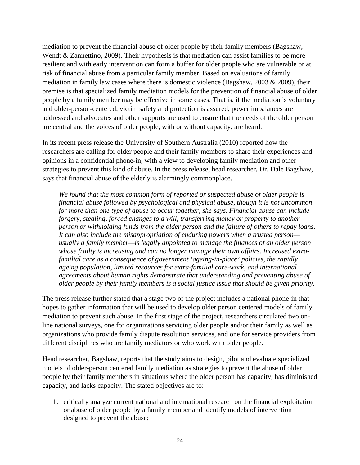mediation to prevent the financial abuse of older people by their family members (Bagshaw, Wendt & Zannettino, 2009). Their hypothesis is that mediation can assist families to be more resilient and with early intervention can form a buffer for older people who are vulnerable or at risk of financial abuse from a particular family member. Based on evaluations of family mediation in family law cases where there is domestic violence (Bagshaw, 2003 & 2009), their premise is that specialized family mediation models for the prevention of financial abuse of older people by a family member may be effective in some cases. That is, if the mediation is voluntary and older-person-centered, victim safety and protection is assured, power imbalances are addressed and advocates and other supports are used to ensure that the needs of the older person are central and the voices of older people, with or without capacity, are heard.

In its recent press release the University of Southern Australia (2010) reported how the researchers are calling for older people and their family members to share their experiences and opinions in a confidential phone-in, with a view to developing family mediation and other strategies to prevent this kind of abuse. In the press release, head researcher, Dr. Dale Bagshaw, says that financial abuse of the elderly is alarmingly commonplace.

*We found that the most common form of reported or suspected abuse of older people is financial abuse followed by psychological and physical abuse, though it is not uncommon for more than one type of abuse to occur together, she says. Financial abuse can include forgery, stealing, forced changes to a will, transferring money or property to another person or withholding funds from the older person and the failure of others to repay loans. It can also include the misappropriation of enduring powers when a trusted person usually a family member—is legally appointed to manage the finances of an older person whose frailty is increasing and can no longer manage their own affairs. Increased extrafamilial care as a consequence of government 'ageing-in-place' policies, the rapidly ageing population, limited resources for extra-familial care-work, and international agreements about human rights demonstrate that understanding and preventing abuse of older people by their family members is a social justice issue that should be given priority.* 

The press release further stated that a stage two of the project includes a national phone-in that hopes to gather information that will be used to develop older person centered models of family mediation to prevent such abuse. In the first stage of the project, researchers circulated two online national surveys, one for organizations servicing older people and/or their family as well as organizations who provide family dispute resolution services, and one for service providers from different disciplines who are family mediators or who work with older people.

Head researcher, Bagshaw, reports that the study aims to design, pilot and evaluate specialized models of older-person centered family mediation as strategies to prevent the abuse of older people by their family members in situations where the older person has capacity, has diminished capacity, and lacks capacity. The stated objectives are to:

1. critically analyze current national and international research on the financial exploitation or abuse of older people by a family member and identify models of intervention designed to prevent the abuse;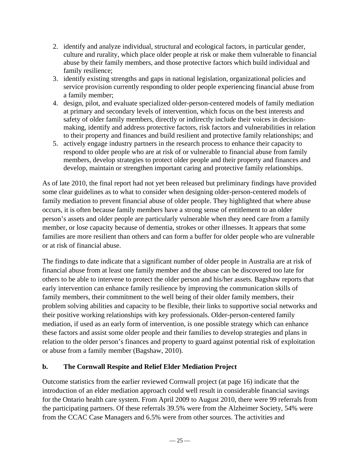- 2. identify and analyze individual, structural and ecological factors, in particular gender, culture and rurality, which place older people at risk or make them vulnerable to financial abuse by their family members, and those protective factors which build individual and family resilience;
- 3. identify existing strengths and gaps in national legislation, organizational policies and service provision currently responding to older people experiencing financial abuse from a family member;
- 4. design, pilot, and evaluate specialized older-person-centered models of family mediation at primary and secondary levels of intervention, which focus on the best interests and safety of older family members, directly or indirectly include their voices in decisionmaking, identify and address protective factors, risk factors and vulnerabilities in relation to their property and finances and build resilient and protective family relationships; and
- 5. actively engage industry partners in the research process to enhance their capacity to respond to older people who are at risk of or vulnerable to financial abuse from family members, develop strategies to protect older people and their property and finances and develop, maintain or strengthen important caring and protective family relationships.

As of late 2010, the final report had not yet been released but preliminary findings have provided some clear guidelines as to what to consider when designing older-person-centered models of family mediation to prevent financial abuse of older people. They highlighted that where abuse occurs, it is often because family members have a strong sense of entitlement to an older person's assets and older people are particularly vulnerable when they need care from a family member, or lose capacity because of dementia, strokes or other illnesses. It appears that some families are more resilient than others and can form a buffer for older people who are vulnerable or at risk of financial abuse.

The findings to date indicate that a significant number of older people in Australia are at risk of financial abuse from at least one family member and the abuse can be discovered too late for others to be able to intervene to protect the older person and his/her assets. Bagshaw reports that early intervention can enhance family resilience by improving the communication skills of family members, their commitment to the well being of their older family members, their problem solving abilities and capacity to be flexible, their links to supportive social networks and their positive working relationships with key professionals. Older-person-centered family mediation, if used as an early form of intervention, is one possible strategy which can enhance these factors and assist some older people and their families to develop strategies and plans in relation to the older person's finances and property to guard against potential risk of exploitation or abuse from a family member (Bagshaw, 2010).

#### **b. The Cornwall Respite and Relief Elder Mediation Project**

Outcome statistics from the earlier reviewed Cornwall project (at page 16) indicate that the introduction of an elder mediation approach could well result in considerable financial savings for the Ontario health care system. From April 2009 to August 2010, there were 99 referrals from the participating partners. Of these referrals 39.5% were from the Alzheimer Society, 54% were from the CCAC Case Managers and 6.5% were from other sources. The activities and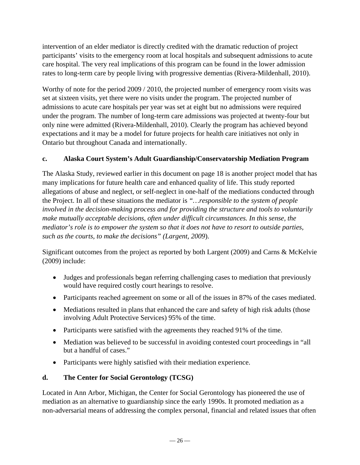intervention of an elder mediator is directly credited with the dramatic reduction of project participants' visits to the emergency room at local hospitals and subsequent admissions to acute care hospital. The very real implications of this program can be found in the lower admission rates to long-term care by people living with progressive dementias (Rivera-Mildenhall, 2010).

Worthy of note for the period 2009 / 2010, the projected number of emergency room visits was set at sixteen visits, yet there were no visits under the program. The projected number of admissions to acute care hospitals per year was set at eight but no admissions were required under the program. The number of long-term care admissions was projected at twenty-four but only nine were admitted (Rivera-Mildenhall, 2010). Clearly the program has achieved beyond expectations and it may be a model for future projects for health care initiatives not only in Ontario but throughout Canada and internationally.

#### **c. Alaska Court System's Adult Guardianship/Conservatorship Mediation Program**

The Alaska Study, reviewed earlier in this document on page 18 is another project model that has many implications for future health care and enhanced quality of life. This study reported allegations of abuse and neglect, or self-neglect in one-half of the mediations conducted through the Project. In all of these situations the mediator is *"…responsible to the system of people involved in the decision-making process and for providing the structure and tools to voluntarily make mutually acceptable decisions, often under difficult circumstances. In this sense, the mediator's role is to empower the system so that it does not have to resort to outside parties, such as the courts, to make the decisions" (Largent, 2009*).

Significant outcomes from the project as reported by both Largent (2009) and Carns & McKelvie (2009) include:

- Judges and professionals began referring challenging cases to mediation that previously would have required costly court hearings to resolve.
- Participants reached agreement on some or all of the issues in 87% of the cases mediated.
- Mediations resulted in plans that enhanced the care and safety of high risk adults (those involving Adult Protective Services) 95% of the time.
- Participants were satisfied with the agreements they reached 91% of the time.
- Mediation was believed to be successful in avoiding contested court proceedings in "all" but a handful of cases."
- Participants were highly satisfied with their mediation experience.

## **d. The Center for Social Gerontology (TCSG)**

Located in Ann Arbor, Michigan, the Center for Social Gerontology has pioneered the use of mediation as an alternative to guardianship since the early 1990s. It promoted mediation as a non-adversarial means of addressing the complex personal, financial and related issues that often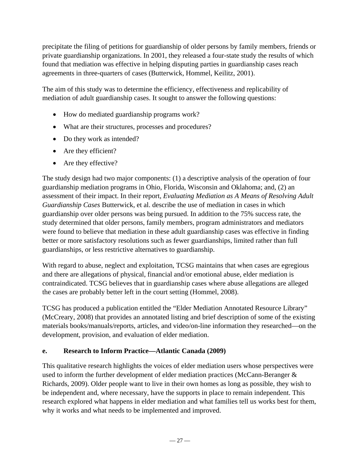precipitate the filing of petitions for guardianship of older persons by family members, friends or private guardianship organizations. In 2001, they released a four-state study the results of which found that mediation was effective in helping disputing parties in guardianship cases reach agreements in three-quarters of cases (Butterwick, Hommel, Keilitz, 2001).

The aim of this study was to determine the efficiency, effectiveness and replicability of mediation of adult guardianship cases. It sought to answer the following questions:

- How do mediated guardianship programs work?
- What are their structures, processes and procedures?
- Do they work as intended?
- Are they efficient?
- Are they effective?

The study design had two major components: (1) a descriptive analysis of the operation of four guardianship mediation programs in Ohio, Florida, Wisconsin and Oklahoma; and, (2) an assessment of their impact. In their report*, Evaluating Mediation as A Means of Resolving Adult Guardianship Cases* Butterwick, et al. describe the use of mediation in cases in which guardianship over older persons was being pursued. In addition to the 75% success rate, the study determined that older persons, family members, program administrators and mediators were found to believe that mediation in these adult guardianship cases was effective in finding better or more satisfactory resolutions such as fewer guardianships, limited rather than full guardianships, or less restrictive alternatives to guardianship.

With regard to abuse, neglect and exploitation, TCSG maintains that when cases are egregious and there are allegations of physical, financial and/or emotional abuse, elder mediation is contraindicated. TCSG believes that in guardianship cases where abuse allegations are alleged the cases are probably better left in the court setting (Hommel, 2008).

TCSG has produced a publication entitled the "Elder Mediation Annotated Resource Library" (McCreary, 2008) that provides an annotated listing and brief description of some of the existing materials books/manuals/reports, articles, and video/on-line information they researched—on the development, provision, and evaluation of elder mediation.

#### **e. Research to Inform Practice—Atlantic Canada (2009)**

This qualitative research highlights the voices of elder mediation users whose perspectives were used to inform the further development of elder mediation practices (McCann-Beranger & Richards, 2009). Older people want to live in their own homes as long as possible, they wish to be independent and, where necessary, have the supports in place to remain independent. This research explored what happens in elder mediation and what families tell us works best for them, why it works and what needs to be implemented and improved.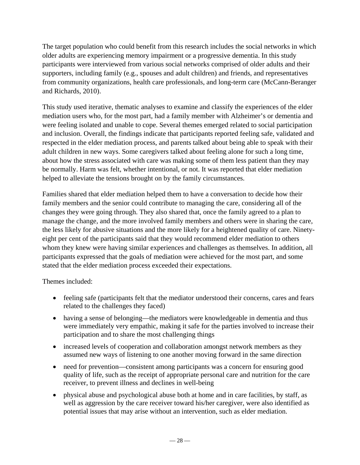The target population who could benefit from this research includes the social networks in which older adults are experiencing memory impairment or a progressive dementia. In this study participants were interviewed from various social networks comprised of older adults and their supporters, including family (e.g., spouses and adult children) and friends, and representatives from community organizations, health care professionals, and long-term care (McCann-Beranger and Richards, 2010).

This study used iterative, thematic analyses to examine and classify the experiences of the elder mediation users who, for the most part, had a family member with Alzheimer's or dementia and were feeling isolated and unable to cope. Several themes emerged related to social participation and inclusion. Overall, the findings indicate that participants reported feeling safe, validated and respected in the elder mediation process, and parents talked about being able to speak with their adult children in new ways. Some caregivers talked about feeling alone for such a long time, about how the stress associated with care was making some of them less patient than they may be normally. Harm was felt, whether intentional, or not. It was reported that elder mediation helped to alleviate the tensions brought on by the family circumstances.

Families shared that elder mediation helped them to have a conversation to decide how their family members and the senior could contribute to managing the care, considering all of the changes they were going through. They also shared that, once the family agreed to a plan to manage the change, and the more involved family members and others were in sharing the care, the less likely for abusive situations and the more likely for a heightened quality of care. Ninetyeight per cent of the participants said that they would recommend elder mediation to others whom they knew were having similar experiences and challenges as themselves. In addition, all participants expressed that the goals of mediation were achieved for the most part, and some stated that the elder mediation process exceeded their expectations.

Themes included:

- feeling safe (participants felt that the mediator understood their concerns, cares and fears related to the challenges they faced)
- having a sense of belonging—the mediators were knowledgeable in dementia and thus were immediately very empathic, making it safe for the parties involved to increase their participation and to share the most challenging things
- increased levels of cooperation and collaboration amongst network members as they assumed new ways of listening to one another moving forward in the same direction
- need for prevention—consistent among participants was a concern for ensuring good quality of life, such as the receipt of appropriate personal care and nutrition for the care receiver, to prevent illness and declines in well-being
- physical abuse and psychological abuse both at home and in care facilities, by staff, as well as aggression by the care receiver toward his/her caregiver, were also identified as potential issues that may arise without an intervention, such as elder mediation.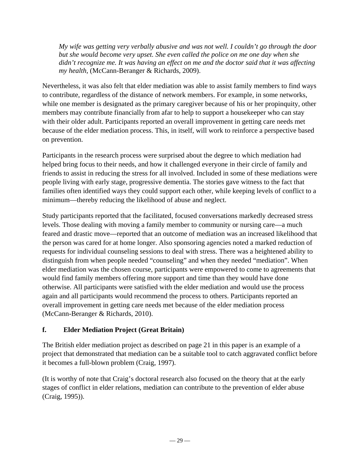*My wife was getting very verbally abusive and was not well. I couldn't go through the door but she would become very upset. She even called the police on me one day when she didn't recognize me. It was having an effect on me and the doctor said that it was affecting my health,* (McCann-Beranger & Richards, 2009).

Nevertheless, it was also felt that elder mediation was able to assist family members to find ways to contribute, regardless of the distance of network members. For example, in some networks, while one member is designated as the primary caregiver because of his or her propinquity, other members may contribute financially from afar to help to support a housekeeper who can stay with their older adult. Participants reported an overall improvement in getting care needs met because of the elder mediation process. This, in itself, will work to reinforce a perspective based on prevention.

Participants in the research process were surprised about the degree to which mediation had helped bring focus to their needs, and how it challenged everyone in their circle of family and friends to assist in reducing the stress for all involved. Included in some of these mediations were people living with early stage, progressive dementia. The stories gave witness to the fact that families often identified ways they could support each other, while keeping levels of conflict to a minimum—thereby reducing the likelihood of abuse and neglect.

Study participants reported that the facilitated, focused conversations markedly decreased stress levels. Those dealing with moving a family member to community or nursing care—a much feared and drastic move—reported that an outcome of mediation was an increased likelihood that the person was cared for at home longer. Also sponsoring agencies noted a marked reduction of requests for individual counseling sessions to deal with stress. There was a heightened ability to distinguish from when people needed "counseling" and when they needed "mediation". When elder mediation was the chosen course, participants were empowered to come to agreements that would find family members offering more support and time than they would have done otherwise. All participants were satisfied with the elder mediation and would use the process again and all participants would recommend the process to others. Participants reported an overall improvement in getting care needs met because of the elder mediation process (McCann-Beranger & Richards, 2010).

#### **f. Elder Mediation Project (Great Britain)**

The British elder mediation project as described on page 21 in this paper is an example of a project that demonstrated that mediation can be a suitable tool to catch aggravated conflict before it becomes a full-blown problem (Craig, 1997).

(It is worthy of note that Craig's doctoral research also focused on the theory that at the early stages of conflict in elder relations, mediation can contribute to the prevention of elder abuse (Craig, 1995)).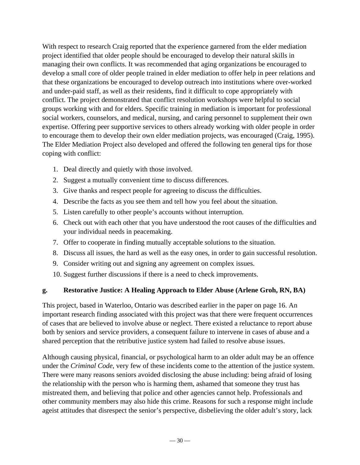With respect to research Craig reported that the experience garnered from the elder mediation project identified that older people should be encouraged to develop their natural skills in managing their own conflicts. It was recommended that aging organizations be encouraged to develop a small core of older people trained in elder mediation to offer help in peer relations and that these organizations be encouraged to develop outreach into institutions where over-worked and under-paid staff, as well as their residents, find it difficult to cope appropriately with conflict. The project demonstrated that conflict resolution workshops were helpful to social groups working with and for elders. Specific training in mediation is important for professional social workers, counselors, and medical, nursing, and caring personnel to supplement their own expertise. Offering peer supportive services to others already working with older people in order to encourage them to develop their own elder mediation projects, was encouraged (Craig, 1995). The Elder Mediation Project also developed and offered the following ten general tips for those coping with conflict:

- 1. Deal directly and quietly with those involved.
- 2. Suggest a mutually convenient time to discuss differences.
- 3. Give thanks and respect people for agreeing to discuss the difficulties.
- 4. Describe the facts as you see them and tell how you feel about the situation.
- 5. Listen carefully to other people's accounts without interruption.
- 6. Check out with each other that you have understood the root causes of the difficulties and your individual needs in peacemaking.
- 7. Offer to cooperate in finding mutually acceptable solutions to the situation.
- 8. Discuss all issues, the hard as well as the easy ones, in order to gain successful resolution.
- 9. Consider writing out and signing any agreement on complex issues.
- 10. Suggest further discussions if there is a need to check improvements.

#### **g. Restorative Justice: A Healing Approach to Elder Abuse (Arlene Groh, RN, BA)**

This project, based in Waterloo, Ontario was described earlier in the paper on page 16. An important research finding associated with this project was that there were frequent occurrences of cases that are believed to involve abuse or neglect. There existed a reluctance to report abuse both by seniors and service providers, a consequent failure to intervene in cases of abuse and a shared perception that the retributive justice system had failed to resolve abuse issues.

Although causing physical, financial, or psychological harm to an older adult may be an offence under the *Criminal Code*, very few of these incidents come to the attention of the justice system. There were many reasons seniors avoided disclosing the abuse including: being afraid of losing the relationship with the person who is harming them, ashamed that someone they trust has mistreated them, and believing that police and other agencies cannot help. Professionals and other community members may also hide this crime. Reasons for such a response might include ageist attitudes that disrespect the senior's perspective, disbelieving the older adult's story, lack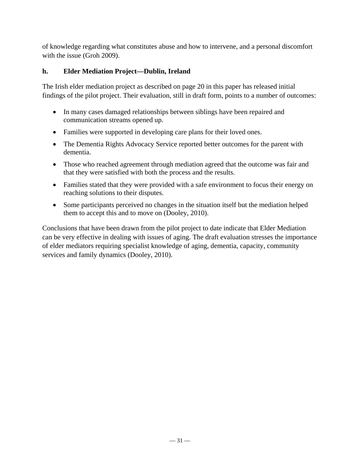of knowledge regarding what constitutes abuse and how to intervene, and a personal discomfort with the issue (Groh 2009).

#### **h. Elder Mediation Project—Dublin, Ireland**

The Irish elder mediation project as described on page 20 in this paper has released initial findings of the pilot project. Their evaluation, still in draft form, points to a number of outcomes:

- In many cases damaged relationships between siblings have been repaired and communication streams opened up.
- Families were supported in developing care plans for their loved ones.
- The Dementia Rights Advocacy Service reported better outcomes for the parent with dementia.
- Those who reached agreement through mediation agreed that the outcome was fair and that they were satisfied with both the process and the results.
- Families stated that they were provided with a safe environment to focus their energy on reaching solutions to their disputes.
- Some participants perceived no changes in the situation itself but the mediation helped them to accept this and to move on (Dooley, 2010).

Conclusions that have been drawn from the pilot project to date indicate that Elder Mediation can be very effective in dealing with issues of aging. The draft evaluation stresses the importance of elder mediators requiring specialist knowledge of aging, dementia, capacity, community services and family dynamics (Dooley, 2010).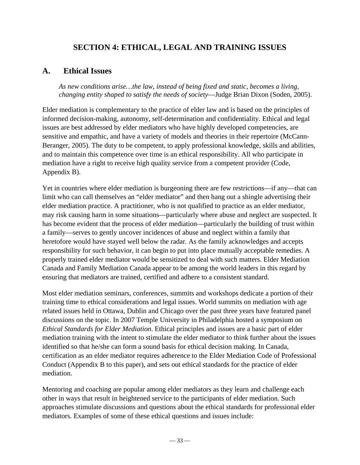## **SECTION 4: ETHICAL, LEGAL AND TRAINING ISSUES**

### **A. Ethical Issues**

*As new conditions arise…the law, instead of being fixed and static, becomes a living, changing entity shaped to satisfy the needs of society*—Judge Brian Dixon (Soden, 2005).

Elder mediation is complementary to the practice of elder law and is based on the principles of informed decision-making, autonomy, self-determination and confidentiality. Ethical and legal issues are best addressed by elder mediators who have highly developed competencies, are sensitive and empathic, and have a variety of models and theories in their repertoire (McCann-Beranger, 2005). The duty to be competent, to apply professional knowledge, skills and abilities, and to maintain this competence over time is an ethical responsibility. All who participate in mediation have a right to receive high quality service from a competent provider (Code, Appendix B).

Yet in countries where elder mediation is burgeoning there are few restrictions—if any—that can limit who can call themselves an "elder mediator" and then hang out a shingle advertising their elder mediation practice. A practitioner, who is not qualified to practice as an elder mediator, may risk causing harm in some situations—particularly where abuse and neglect are suspected. It has become evident that the process of elder mediation—particularly the building of trust within a family—serves to gently uncover incidences of abuse and neglect within a family that heretofore would have stayed well below the radar. As the family acknowledges and accepts responsibility for such behavior, it can begin to put into place mutually acceptable remedies. A properly trained elder mediator would be sensitized to deal with such matters. Elder Mediation Canada and Family Mediation Canada appear to be among the world leaders in this regard by ensuring that mediators are trained, certified and adhere to a consistent standard.

Most elder mediation seminars, conferences, summits and workshops dedicate a portion of their training time to ethical considerations and legal issues. World summits on mediation with age related issues held in Ottawa, Dublin and Chicago over the past three years have featured panel discussions on the topic. In 2007 Temple University in Philadelphia hosted a symposium on *Ethical Standards for Elder Mediation*. Ethical principles and issues are a basic part of elder mediation training with the intent to stimulate the elder mediator to think further about the issues identified so that he/she can form a sound basis for ethical decision making. In Canada, certification as an elder mediator requires adherence to the Elder Mediation Code of Professional Conduct (Appendix B to this paper), and sets out ethical standards for the practice of elder mediation.

Mentoring and coaching are popular among elder mediators as they learn and challenge each other in ways that result in heightened service to the participants of elder mediation. Such approaches stimulate discussions and questions about the ethical standards for professional elder mediators. Examples of some of these ethical questions and issues include: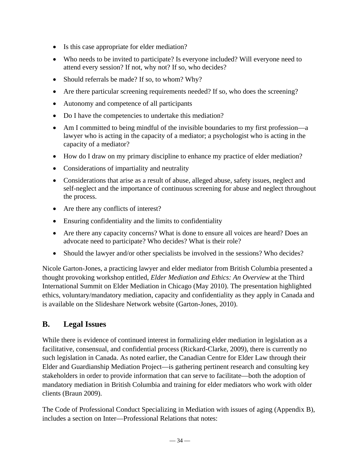- Is this case appropriate for elder mediation?
- Who needs to be invited to participate? Is everyone included? Will everyone need to attend every session? If not, why not? If so, who decides?
- Should referrals be made? If so, to whom? Why?
- Are there particular screening requirements needed? If so, who does the screening?
- Autonomy and competence of all participants
- Do I have the competencies to undertake this mediation?
- Am I committed to being mindful of the invisible boundaries to my first profession—a lawyer who is acting in the capacity of a mediator; a psychologist who is acting in the capacity of a mediator?
- How do I draw on my primary discipline to enhance my practice of elder mediation?
- Considerations of impartiality and neutrality
- Considerations that arise as a result of abuse, alleged abuse, safety issues, neglect and self-neglect and the importance of continuous screening for abuse and neglect throughout the process.
- Are there any conflicts of interest?
- Ensuring confidentiality and the limits to confidentiality
- Are there any capacity concerns? What is done to ensure all voices are heard? Does an advocate need to participate? Who decides? What is their role?
- Should the lawyer and/or other specialists be involved in the sessions? Who decides?

Nicole Garton-Jones, a practicing lawyer and elder mediator from British Columbia presented a thought provoking workshop entitled, *Elder Mediation and Ethics: An Overview* at the Third International Summit on Elder Mediation in Chicago (May 2010). The presentation highlighted ethics, voluntary/mandatory mediation, capacity and confidentiality as they apply in Canada and is available on the Slideshare Network website (Garton-Jones, 2010).

## **B. Legal Issues**

While there is evidence of continued interest in formalizing elder mediation in legislation as a facilitative, consensual, and confidential process (Rickard-Clarke, 2009), there is currently no such legislation in Canada. As noted earlier, the Canadian Centre for Elder Law through their Elder and Guardianship Mediation Project—is gathering pertinent research and consulting key stakeholders in order to provide information that can serve to facilitate—both the adoption of mandatory mediation in British Columbia and training for elder mediators who work with older clients (Braun 2009).

The Code of Professional Conduct Specializing in Mediation with issues of aging (Appendix B), includes a section on Inter—Professional Relations that notes: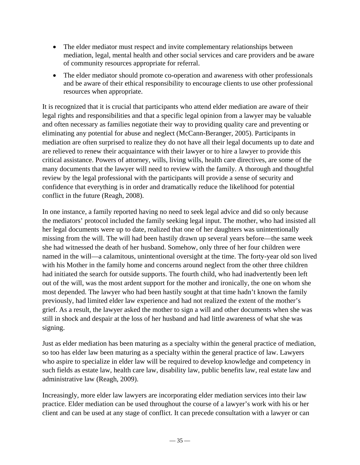- The elder mediator must respect and invite complementary relationships between mediation, legal, mental health and other social services and care providers and be aware of community resources appropriate for referral.
- The elder mediator should promote co-operation and awareness with other professionals and be aware of their ethical responsibility to encourage clients to use other professional resources when appropriate.

It is recognized that it is crucial that participants who attend elder mediation are aware of their legal rights and responsibilities and that a specific legal opinion from a lawyer may be valuable and often necessary as families negotiate their way to providing quality care and preventing or eliminating any potential for abuse and neglect (McCann-Beranger, 2005). Participants in mediation are often surprised to realize they do not have all their legal documents up to date and are relieved to renew their acquaintance with their lawyer or to hire a lawyer to provide this critical assistance. Powers of attorney, wills, living wills, health care directives, are some of the many documents that the lawyer will need to review with the family. A thorough and thoughtful review by the legal professional with the participants will provide a sense of security and confidence that everything is in order and dramatically reduce the likelihood for potential conflict in the future (Reagh, 2008).

In one instance, a family reported having no need to seek legal advice and did so only because the mediators' protocol included the family seeking legal input. The mother, who had insisted all her legal documents were up to date, realized that one of her daughters was unintentionally missing from the will. The will had been hastily drawn up several years before—the same week she had witnessed the death of her husband. Somehow, only three of her four children were named in the will—a calamitous, unintentional oversight at the time. The forty-year old son lived with his Mother in the family home and concerns around neglect from the other three children had initiated the search for outside supports. The fourth child, who had inadvertently been left out of the will, was the most ardent support for the mother and ironically, the one on whom she most depended. The lawyer who had been hastily sought at that time hadn't known the family previously, had limited elder law experience and had not realized the extent of the mother's grief. As a result, the lawyer asked the mother to sign a will and other documents when she was still in shock and despair at the loss of her husband and had little awareness of what she was signing.

Just as elder mediation has been maturing as a specialty within the general practice of mediation, so too has elder law been maturing as a specialty within the general practice of law. Lawyers who aspire to specialize in elder law will be required to develop knowledge and competency in such fields as estate law, health care law, disability law, public benefits law, real estate law and administrative law (Reagh, 2009).

Increasingly, more elder law lawyers are incorporating elder mediation services into their law practice. Elder mediation can be used throughout the course of a lawyer's work with his or her client and can be used at any stage of conflict. It can precede consultation with a lawyer or can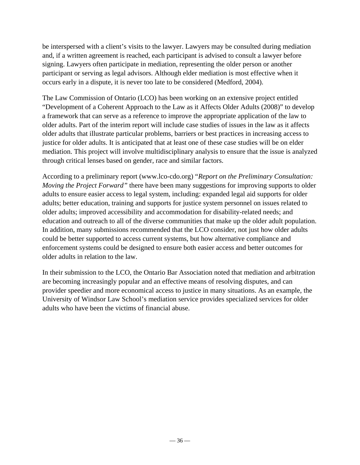be interspersed with a client's visits to the lawyer. Lawyers may be consulted during mediation and, if a written agreement is reached, each participant is advised to consult a lawyer before signing. Lawyers often participate in mediation, representing the older person or another participant or serving as legal advisors. Although elder mediation is most effective when it occurs early in a dispute, it is never too late to be considered (Medford, 2004).

The Law Commission of Ontario (LCO) has been working on an extensive project entitled "Development of a Coherent Approach to the Law as it Affects Older Adults (2008)" to develop a framework that can serve as a reference to improve the appropriate application of the law to older adults. Part of the interim report will include case studies of issues in the law as it affects older adults that illustrate particular problems, barriers or best practices in increasing access to justice for older adults. It is anticipated that at least one of these case studies will be on elder mediation. This project will involve multidisciplinary analysis to ensure that the issue is analyzed through critical lenses based on gender, race and similar factors.

According to a preliminary report (www.lco-cdo.org) "*Report on the Preliminary Consultation: Moving the Project Forward"* there have been many suggestions for improving supports to older adults to ensure easier access to legal system, including: expanded legal aid supports for older adults; better education, training and supports for justice system personnel on issues related to older adults; improved accessibility and accommodation for disability-related needs; and education and outreach to all of the diverse communities that make up the older adult population. In addition, many submissions recommended that the LCO consider, not just how older adults could be better supported to access current systems, but how alternative compliance and enforcement systems could be designed to ensure both easier access and better outcomes for older adults in relation to the law.

In their submission to the LCO, the Ontario Bar Association noted that mediation and arbitration are becoming increasingly popular and an effective means of resolving disputes, and can provider speedier and more economical access to justice in many situations. As an example, the University of Windsor Law School's mediation service provides specialized services for older adults who have been the victims of financial abuse.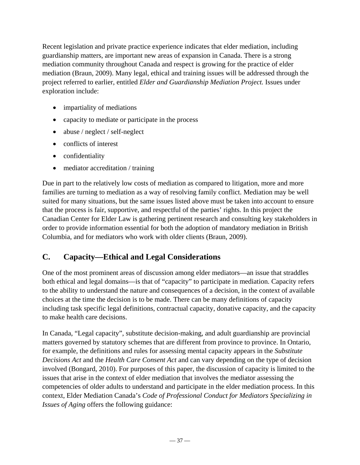Recent legislation and private practice experience indicates that elder mediation, including guardianship matters, are important new areas of expansion in Canada. There is a strong mediation community throughout Canada and respect is growing for the practice of elder mediation (Braun, 2009). Many legal, ethical and training issues will be addressed through the project referred to earlier, entitled *Elder and Guardianship Mediation Project.* Issues under exploration include:

- impartiality of mediations
- capacity to mediate or participate in the process
- abuse / neglect / self-neglect
- conflicts of interest
- confidentiality
- mediator accreditation / training

Due in part to the relatively low costs of mediation as compared to litigation, more and more families are turning to mediation as a way of resolving family conflict. Mediation may be well suited for many situations, but the same issues listed above must be taken into account to ensure that the process is fair, supportive, and respectful of the parties' rights. In this project the Canadian Center for Elder Law is gathering pertinent research and consulting key stakeholders in order to provide information essential for both the adoption of mandatory mediation in British Columbia, and for mediators who work with older clients (Braun, 2009).

## **C. Capacity—Ethical and Legal Considerations**

One of the most prominent areas of discussion among elder mediators—an issue that straddles both ethical and legal domains—is that of "capacity" to participate in mediation. Capacity refers to the ability to understand the nature and consequences of a decision, in the context of available choices at the time the decision is to be made. There can be many definitions of capacity including task specific legal definitions, contractual capacity, donative capacity, and the capacity to make health care decisions.

In Canada, "Legal capacity", substitute decision-making, and adult guardianship are provincial matters governed by statutory schemes that are different from province to province. In Ontario, for example, the definitions and rules for assessing mental capacity appears in the *Substitute Decisions Act* and the *Health Care Consent Act* and can vary depending on the type of decision involved (Bongard, 2010). For purposes of this paper, the discussion of capacity is limited to the issues that arise in the context of elder mediation that involves the mediator assessing the competencies of older adults to understand and participate in the elder mediation process. In this context, Elder Mediation Canada's *Code of Professional Conduct for Mediators Specializing in Issues of Aging* offers the following guidance: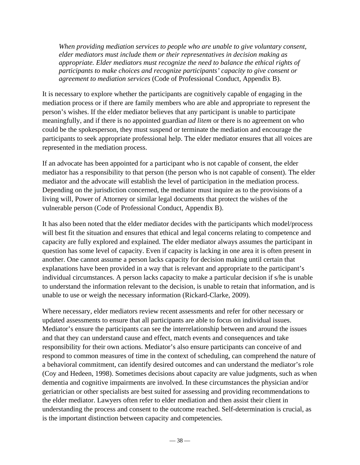*When providing mediation services to people who are unable to give voluntary consent, elder mediators must include them or their representatives in decision making as appropriate. Elder mediators must recognize the need to balance the ethical rights of participants to make choices and recognize participants' capacity to give consent or agreement to mediation services* (Code of Professional Conduct, Appendix B).

It is necessary to explore whether the participants are cognitively capable of engaging in the mediation process or if there are family members who are able and appropriate to represent the person's wishes. If the elder mediator believes that any participant is unable to participate meaningfully, and if there is no appointed guardian *ad litem* or there is no agreement on who could be the spokesperson, they must suspend or terminate the mediation and encourage the participants to seek appropriate professional help. The elder mediator ensures that all voices are represented in the mediation process.

If an advocate has been appointed for a participant who is not capable of consent, the elder mediator has a responsibility to that person (the person who is not capable of consent). The elder mediator and the advocate will establish the level of participation in the mediation process. Depending on the jurisdiction concerned, the mediator must inquire as to the provisions of a living will, Power of Attorney or similar legal documents that protect the wishes of the vulnerable person (Code of Professional Conduct, Appendix B).

It has also been noted that the elder mediator decides with the participants which model/process will best fit the situation and ensures that ethical and legal concerns relating to competence and capacity are fully explored and explained. The elder mediator always assumes the participant in question has some level of capacity. Even if capacity is lacking in one area it is often present in another. One cannot assume a person lacks capacity for decision making until certain that explanations have been provided in a way that is relevant and appropriate to the participant's individual circumstances. A person lacks capacity to make a particular decision if s/he is unable to understand the information relevant to the decision, is unable to retain that information, and is unable to use or weigh the necessary information (Rickard-Clarke, 2009).

Where necessary, elder mediators review recent assessments and refer for other necessary or updated assessments to ensure that all participants are able to focus on individual issues. Mediator's ensure the participants can see the interrelationship between and around the issues and that they can understand cause and effect, match events and consequences and take responsibility for their own actions. Mediator's also ensure participants can conceive of and respond to common measures of time in the context of scheduling, can comprehend the nature of a behavioral commitment, can identify desired outcomes and can understand the mediator's role (Coy and Hedeen, 1998). Sometimes decisions about capacity are value judgments, such as when dementia and cognitive impairments are involved. In these circumstances the physician and/or geriatrician or other specialists are best suited for assessing and providing recommendations to the elder mediator. Lawyers often refer to elder mediation and then assist their client in understanding the process and consent to the outcome reached. Self-determination is crucial, as is the important distinction between capacity and competencies.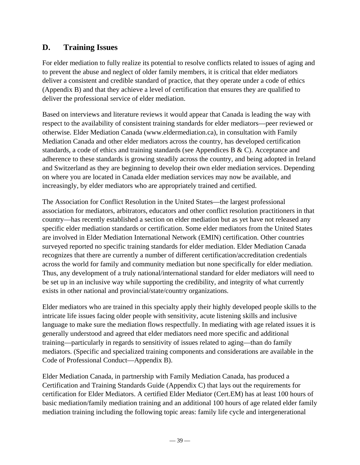## **D. Training Issues**

For elder mediation to fully realize its potential to resolve conflicts related to issues of aging and to prevent the abuse and neglect of older family members, it is critical that elder mediators deliver a consistent and credible standard of practice, that they operate under a code of ethics (Appendix B) and that they achieve a level of certification that ensures they are qualified to deliver the professional service of elder mediation.

Based on interviews and literature reviews it would appear that Canada is leading the way with respect to the availability of consistent training standards for elder mediators—peer reviewed or otherwise. Elder Mediation Canada (www.eldermediation.ca), in consultation with Family Mediation Canada and other elder mediators across the country, has developed certification standards, a code of ethics and training standards (see Appendices B & C). Acceptance and adherence to these standards is growing steadily across the country, and being adopted in Ireland and Switzerland as they are beginning to develop their own elder mediation services. Depending on where you are located in Canada elder mediation services may now be available, and increasingly, by elder mediators who are appropriately trained and certified.

The Association for Conflict Resolution in the United States—the largest professional association for mediators, arbitrators, educators and other conflict resolution practitioners in that country—has recently established a section on elder mediation but as yet have not released any specific elder mediation standards or certification. Some elder mediators from the United States are involved in Elder Mediation International Network (EMIN) certification. Other countries surveyed reported no specific training standards for elder mediation. Elder Mediation Canada recognizes that there are currently a number of different certification/accreditation credentials across the world for family and community mediation but none specifically for elder mediation. Thus, any development of a truly national/international standard for elder mediators will need to be set up in an inclusive way while supporting the credibility, and integrity of what currently exists in other national and provincial/state/country organizations.

Elder mediators who are trained in this specialty apply their highly developed people skills to the intricate life issues facing older people with sensitivity, acute listening skills and inclusive language to make sure the mediation flows respectfully. In mediating with age related issues it is generally understood and agreed that elder mediators need more specific and additional training—particularly in regards to sensitivity of issues related to aging—than do family mediators. (Specific and specialized training components and considerations are available in the Code of Professional Conduct—Appendix B).

Elder Mediation Canada, in partnership with Family Mediation Canada, has produced a Certification and Training Standards Guide (Appendix C) that lays out the requirements for certification for Elder Mediators. A certified Elder Mediator (Cert.EM) has at least 100 hours of basic mediation/family mediation training and an additional 100 hours of age related elder family mediation training including the following topic areas: family life cycle and intergenerational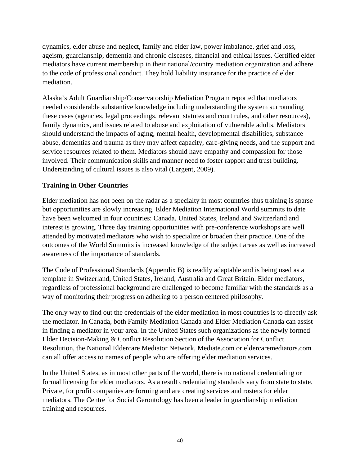dynamics, elder abuse and neglect, family and elder law, power imbalance, grief and loss, ageism, guardianship, dementia and chronic diseases, financial and ethical issues. Certified elder mediators have current membership in their national/country mediation organization and adhere to the code of professional conduct. They hold liability insurance for the practice of elder mediation.

Alaska's Adult Guardianship/Conservatorship Mediation Program reported that mediators needed considerable substantive knowledge including understanding the system surrounding these cases (agencies, legal proceedings, relevant statutes and court rules, and other resources), family dynamics, and issues related to abuse and exploitation of vulnerable adults. Mediators should understand the impacts of aging, mental health, developmental disabilities, substance abuse, dementias and trauma as they may affect capacity, care-giving needs, and the support and service resources related to them. Mediators should have empathy and compassion for those involved. Their communication skills and manner need to foster rapport and trust building. Understanding of cultural issues is also vital (Largent, 2009).

#### **Training in Other Countries**

Elder mediation has not been on the radar as a specialty in most countries thus training is sparse but opportunities are slowly increasing. Elder Mediation International World summits to date have been welcomed in four countries: Canada, United States, Ireland and Switzerland and interest is growing. Three day training opportunities with pre-conference workshops are well attended by motivated mediators who wish to specialize or broaden their practice. One of the outcomes of the World Summits is increased knowledge of the subject areas as well as increased awareness of the importance of standards.

The Code of Professional Standards (Appendix B) is readily adaptable and is being used as a template in Switzerland, United States, Ireland, Australia and Great Britain. Elder mediators, regardless of professional background are challenged to become familiar with the standards as a way of monitoring their progress on adhering to a person centered philosophy.

The only way to find out the credentials of the elder mediation in most countries is to directly ask the mediator. In Canada, both Family Mediation Canada and Elder Mediation Canada can assist in finding a mediator in your area. In the United States such organizations as the newly formed Elder Decision-Making & Conflict Resolution Section of the Association for Conflict Resolution, the National Eldercare Mediator Network, Mediate.com or eldercaremediators.com can all offer access to names of people who are offering elder mediation services.

In the United States, as in most other parts of the world, there is no national credentialing or formal licensing for elder mediators. As a result credentialing standards vary from state to state. Private, for profit companies are forming and are creating services and rosters for elder mediators. The Centre for Social Gerontology has been a leader in guardianship mediation training and resources.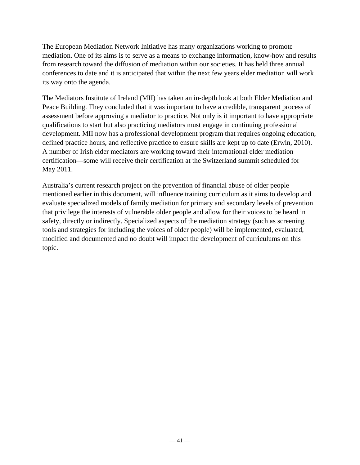The European Mediation Network Initiative has many organizations working to promote mediation. One of its aims is to serve as a means to exchange information, know-how and results from research toward the diffusion of mediation within our societies. It has held three annual conferences to date and it is anticipated that within the next few years elder mediation will work its way onto the agenda.

The Mediators Institute of Ireland (MII) has taken an in-depth look at both Elder Mediation and Peace Building. They concluded that it was important to have a credible, transparent process of assessment before approving a mediator to practice. Not only is it important to have appropriate qualifications to start but also practicing mediators must engage in continuing professional development. MII now has a professional development program that requires ongoing education, defined practice hours, and reflective practice to ensure skills are kept up to date (Erwin, 2010). A number of Irish elder mediators are working toward their international elder mediation certification—some will receive their certification at the Switzerland summit scheduled for May 2011.

Australia's current research project on the prevention of financial abuse of older people mentioned earlier in this document, will influence training curriculum as it aims to develop and evaluate specialized models of family mediation for primary and secondary levels of prevention that privilege the interests of vulnerable older people and allow for their voices to be heard in safety, directly or indirectly. Specialized aspects of the mediation strategy (such as screening tools and strategies for including the voices of older people) will be implemented, evaluated, modified and documented and no doubt will impact the development of curriculums on this topic.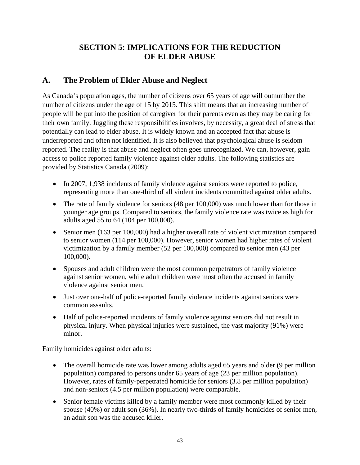## **SECTION 5: IMPLICATIONS FOR THE REDUCTION OF ELDER ABUSE**

## **A. The Problem of Elder Abuse and Neglect**

As Canada's population ages, the number of citizens over 65 years of age will outnumber the number of citizens under the age of 15 by 2015. This shift means that an increasing number of people will be put into the position of caregiver for their parents even as they may be caring for their own family. Juggling these responsibilities involves, by necessity, a great deal of stress that potentially can lead to elder abuse. It is widely known and an accepted fact that abuse is underreported and often not identified. It is also believed that psychological abuse is seldom reported. The reality is that abuse and neglect often goes unrecognized. We can, however, gain access to police reported family violence against older adults. The following statistics are provided by Statistics Canada (2009):

- In 2007, 1,938 incidents of family violence against seniors were reported to police, representing more than one-third of all violent incidents committed against older adults.
- The rate of family violence for seniors (48 per 100,000) was much lower than for those in younger age groups. Compared to seniors, the family violence rate was twice as high for adults aged 55 to 64 (104 per 100,000).
- Senior men (163 per 100,000) had a higher overall rate of violent victimization compared to senior women (114 per 100,000). However, senior women had higher rates of violent victimization by a family member (52 per 100,000) compared to senior men (43 per 100,000).
- Spouses and adult children were the most common perpetrators of family violence against senior women, while adult children were most often the accused in family violence against senior men.
- Just over one-half of police-reported family violence incidents against seniors were common assaults.
- Half of police-reported incidents of family violence against seniors did not result in physical injury. When physical injuries were sustained, the vast majority (91%) were minor.

Family homicides against older adults:

- The overall homicide rate was lower among adults aged 65 years and older (9 per million population) compared to persons under 65 years of age (23 per million population). However, rates of family-perpetrated homicide for seniors (3.8 per million population) and non-seniors (4.5 per million population) were comparable.
- Senior female victims killed by a family member were most commonly killed by their spouse (40%) or adult son (36%). In nearly two-thirds of family homicides of senior men, an adult son was the accused killer.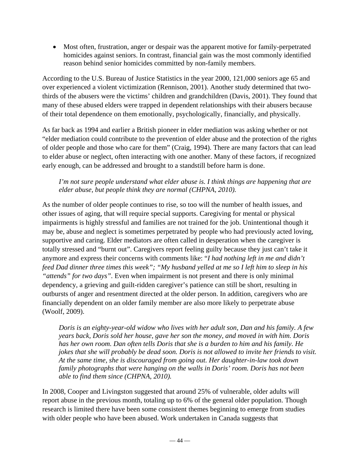Most often, frustration, anger or despair was the apparent motive for family-perpetrated homicides against seniors. In contrast, financial gain was the most commonly identified reason behind senior homicides committed by non-family members.

According to the U.S. Bureau of Justice Statistics in the year 2000, 121,000 seniors age 65 and over experienced a violent victimization (Rennison, 2001). Another study determined that twothirds of the abusers were the victims' children and grandchildren (Davis, 2001). They found that many of these abused elders were trapped in dependent relationships with their abusers because of their total dependence on them emotionally, psychologically, financially, and physically.

As far back as 1994 and earlier a British pioneer in elder mediation was asking whether or not "elder mediation could contribute to the prevention of elder abuse and the protection of the rights of older people and those who care for them" (Craig, 1994). There are many factors that can lead to elder abuse or neglect, often interacting with one another. Many of these factors, if recognized early enough, can be addressed and brought to a standstill before harm is done.

#### *I'm not sure people understand what elder abuse is. I think things are happening that are elder abuse, but people think they are normal (CHPNA, 2010).*

As the number of older people continues to rise, so too will the number of health issues, and other issues of aging, that will require special supports. Caregiving for mental or physical impairments is highly stressful and families are not trained for the job. Unintentional though it may be, abuse and neglect is sometimes perpetrated by people who had previously acted loving, supportive and caring. Elder mediators are often called in desperation when the caregiver is totally stressed and "burnt out". Caregivers report feeling guilty because they just can't take it anymore and express their concerns with comments like: "*I had nothing left in me and didn't feed Dad dinner three times this week"; "My husband yelled at me so I left him to sleep in his "attends" for two days".* Even when impairment is not present and there is only minimal dependency, a grieving and guilt-ridden caregiver's patience can still be short, resulting in outbursts of anger and resentment directed at the older person. In addition, caregivers who are financially dependent on an older family member are also more likely to perpetrate abuse (Woolf, 2009).

*Doris is an eighty-year-old widow who lives with her adult son, Dan and his family. A few years back, Doris sold her house, gave her son the money, and moved in with him. Doris has her own room. Dan often tells Doris that she is a burden to him and his family. He jokes that she will probably be dead soon. Doris is not allowed to invite her friends to visit. At the same time, she is discouraged from going out. Her daughter-in-law took down family photographs that were hanging on the walls in Doris' room. Doris has not been able to find them since (CHPNA, 2010).* 

In 2008, Cooper and Livingston suggested that around 25% of vulnerable, older adults will report abuse in the previous month, totaling up to 6% of the general older population. Though research is limited there have been some consistent themes beginning to emerge from studies with older people who have been abused. Work undertaken in Canada suggests that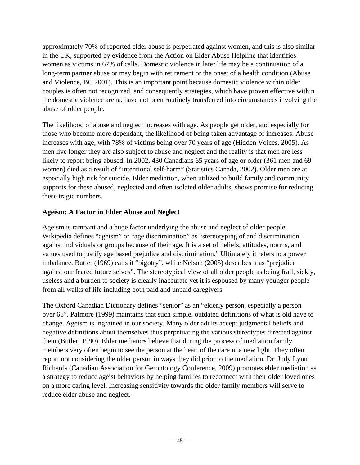approximately 70% of reported elder abuse is perpetrated against women, and this is also similar in the UK, supported by evidence from the Action on Elder Abuse Helpline that identifies women as victims in 67% of calls. Domestic violence in later life may be a continuation of a long-term partner abuse or may begin with retirement or the onset of a health condition (Abuse and Violence, BC 2001). This is an important point because domestic violence within older couples is often not recognized, and consequently strategies, which have proven effective within the domestic violence arena, have not been routinely transferred into circumstances involving the abuse of older people.

The likelihood of abuse and neglect increases with age. As people get older, and especially for those who become more dependant, the likelihood of being taken advantage of increases. Abuse increases with age, with 78% of victims being over 70 years of age (Hidden Voices, 2005). As men live longer they are also subject to abuse and neglect and the reality is that men are less likely to report being abused. In 2002, 430 Canadians 65 years of age or older (361 men and 69 women) died as a result of "intentional self-harm" (Statistics Canada, 2002). Older men are at especially high risk for suicide. Elder mediation, when utilized to build family and community supports for these abused, neglected and often isolated older adults, shows promise for reducing these tragic numbers.

#### **Ageism: A Factor in Elder Abuse and Neglect**

Ageism is rampant and a huge factor underlying the abuse and neglect of older people. Wikipedia defines "ageism" or "age discrimination" as "stereotyping of and discrimination against individuals or groups because of their age. It is a set of beliefs, attitudes, norms, and values used to justify age based prejudice and discrimination." Ultimately it refers to a power imbalance. Butler (1969) calls it "bigotry", while Nelson (2005) describes it as "prejudice against our feared future selves". The stereotypical view of all older people as being frail, sickly, useless and a burden to society is clearly inaccurate yet it is espoused by many younger people from all walks of life including both paid and unpaid caregivers.

The Oxford Canadian Dictionary defines "senior" as an "elderly person, especially a person over 65". Palmore (1999) maintains that such simple, outdated definitions of what is old have to change. Ageism is ingrained in our society. Many older adults accept judgmental beliefs and negative definitions about themselves thus perpetuating the various stereotypes directed against them (Butler, 1990). Elder mediators believe that during the process of mediation family members very often begin to see the person at the heart of the care in a new light. They often report not considering the older person in ways they did prior to the mediation. Dr. Judy Lynn Richards (Canadian Association for Gerontology Conference, 2009) promotes elder mediation as a strategy to reduce ageist behaviors by helping families to reconnect with their older loved ones on a more caring level. Increasing sensitivity towards the older family members will serve to reduce elder abuse and neglect.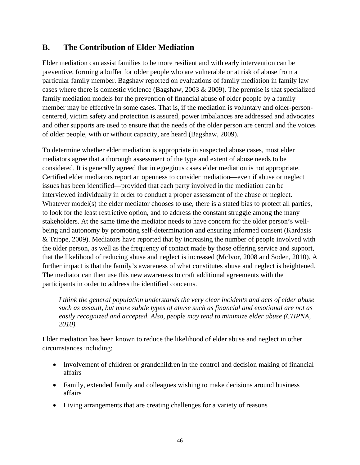## **B. The Contribution of Elder Mediation**

Elder mediation can assist families to be more resilient and with early intervention can be preventive, forming a buffer for older people who are vulnerable or at risk of abuse from a particular family member. Bagshaw reported on evaluations of family mediation in family law cases where there is domestic violence (Bagshaw, 2003  $& 2009$ ). The premise is that specialized family mediation models for the prevention of financial abuse of older people by a family member may be effective in some cases. That is, if the mediation is voluntary and older-personcentered, victim safety and protection is assured, power imbalances are addressed and advocates and other supports are used to ensure that the needs of the older person are central and the voices of older people, with or without capacity, are heard (Bagshaw, 2009).

To determine whether elder mediation is appropriate in suspected abuse cases, most elder mediators agree that a thorough assessment of the type and extent of abuse needs to be considered. It is generally agreed that in egregious cases elder mediation is not appropriate. Certified elder mediators report an openness to consider mediation—even if abuse or neglect issues has been identified—provided that each party involved in the mediation can be interviewed individually in order to conduct a proper assessment of the abuse or neglect. Whatever model(s) the elder mediator chooses to use, there is a stated bias to protect all parties, to look for the least restrictive option, and to address the constant struggle among the many stakeholders. At the same time the mediator needs to have concern for the older person's wellbeing and autonomy by promoting self-determination and ensuring informed consent (Kardasis & Trippe, 2009). Mediators have reported that by increasing the number of people involved with the older person, as well as the frequency of contact made by those offering service and support, that the likelihood of reducing abuse and neglect is increased (McIvor, 2008 and Soden, 2010). A further impact is that the family's awareness of what constitutes abuse and neglect is heightened. The mediator can then use this new awareness to craft additional agreements with the participants in order to address the identified concerns.

*I think the general population understands the very clear incidents and acts of elder abuse such as assault, but more subtle types of abuse such as financial and emotional are not as easily recognized and accepted. Also, people may tend to minimize elder abuse (CHPNA, 2010).* 

Elder mediation has been known to reduce the likelihood of elder abuse and neglect in other circumstances including:

- Involvement of children or grandchildren in the control and decision making of financial affairs
- Family, extended family and colleagues wishing to make decisions around business affairs
- Living arrangements that are creating challenges for a variety of reasons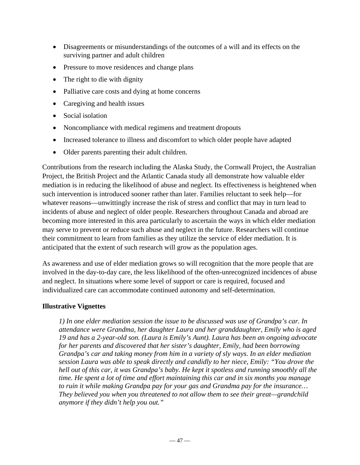- Disagreements or misunderstandings of the outcomes of a will and its effects on the surviving partner and adult children
- Pressure to move residences and change plans
- The right to die with dignity
- Palliative care costs and dying at home concerns
- Caregiving and health issues
- Social isolation
- Noncompliance with medical regimens and treatment dropouts
- Increased tolerance to illness and discomfort to which older people have adapted
- Older parents parenting their adult children.

Contributions from the research including the Alaska Study, the Cornwall Project, the Australian Project, the British Project and the Atlantic Canada study all demonstrate how valuable elder mediation is in reducing the likelihood of abuse and neglect. Its effectiveness is heightened when such intervention is introduced sooner rather than later. Families reluctant to seek help—for whatever reasons—unwittingly increase the risk of stress and conflict that may in turn lead to incidents of abuse and neglect of older people. Researchers throughout Canada and abroad are becoming more interested in this area particularly to ascertain the ways in which elder mediation may serve to prevent or reduce such abuse and neglect in the future. Researchers will continue their commitment to learn from families as they utilize the service of elder mediation. It is anticipated that the extent of such research will grow as the population ages.

As awareness and use of elder mediation grows so will recognition that the more people that are involved in the day-to-day care, the less likelihood of the often-unrecognized incidences of abuse and neglect. In situations where some level of support or care is required, focused and individualized care can accommodate continued autonomy and self-determination.

#### **Illustrative Vignettes**

*1) In one elder mediation session the issue to be discussed was use of Grandpa's car. In attendance were Grandma, her daughter Laura and her granddaughter, Emily who is aged 19 and has a 2-year-old son. (Laura is Emily's Aunt). Laura has been an ongoing advocate for her parents and discovered that her sister's daughter, Emily, had been borrowing Grandpa's car and taking money from him in a variety of sly ways. In an elder mediation session Laura was able to speak directly and candidly to her niece, Emily: "You drove the hell out of this car, it was Grandpa's baby. He kept it spotless and running smoothly all the time. He spent a lot of time and effort maintaining this car and in six months you manage to ruin it while making Grandpa pay for your gas and Grandma pay for the insurance… They believed you when you threatened to not allow them to see their great—grandchild anymore if they didn't help you out."*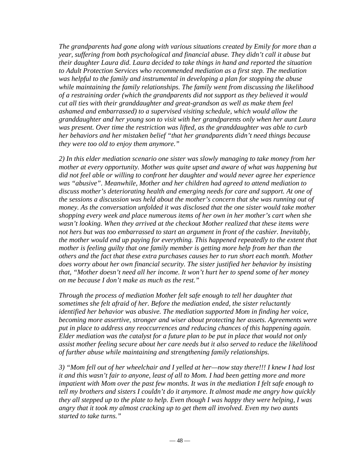*The grandparents had gone along with various situations created by Emily for more than a year, suffering from both psychological and financial abuse. They didn't call it abuse but their daughter Laura did. Laura decided to take things in hand and reported the situation to Adult Protection Services who recommended mediation as a first step. The mediation was helpful to the family and instrumental in developing a plan for stopping the abuse while maintaining the family relationships. The family went from discussing the likelihood of a restraining order (which the grandparents did not support as they believed it would cut all ties with their granddaughter and great-grandson as well as make them feel ashamed and embarrassed) to a supervised visiting schedule, which would allow the granddaughter and her young son to visit with her grandparents only when her aunt Laura was present. Over time the restriction was lifted, as the granddaughter was able to curb her behaviors and her mistaken belief "that her grandparents didn't need things because they were too old to enjoy them anymore."* 

*2) In this elder mediation scenario one sister was slowly managing to take money from her mother at every opportunity. Mother was quite upset and aware of what was happening but did not feel able or willing to confront her daughter and would never agree her experience was "abusive". Meanwhile, Mother and her children had agreed to attend mediation to discuss mother's deteriorating health and emerging needs for care and support. At one of the sessions a discussion was held about the mother's concern that she was running out of money. As the conversation unfolded it was disclosed that the one sister would take mother shopping every week and place numerous items of her own in her mother's cart when she wasn't looking. When they arrived at the checkout Mother realized that these items were not hers but was too embarrassed to start an argument in front of the cashier. Inevitably, the mother would end up paying for everything. This happened repeatedly to the extent that mother is feeling guilty that one family member is getting more help from her than the others and the fact that these extra purchases causes her to run short each month. Mother does worry about her own financial security. The sister justified her behavior by insisting that, "Mother doesn't need all her income. It won't hurt her to spend some of her money on me because I don't make as much as the rest."* 

*Through the process of mediation Mother felt safe enough to tell her daughter that sometimes she felt afraid of her. Before the mediation ended, the sister reluctantly identified her behavior was abusive. The mediation supported Mom in finding her voice, becoming more assertive, stronger and wiser about protecting her assets. Agreements were put in place to address any reoccurrences and reducing chances of this happening again. Elder mediation was the catalyst for a future plan to be put in place that would not only assist mother feeling secure about her care needs but it also served to reduce the likelihood of further abuse while maintaining and strengthening family relationships.* 

*3) "Mom fell out of her wheelchair and I yelled at her—now stay there!!! I knew I had lost it and this wasn't fair to anyone, least of all to Mom. I had been getting more and more impatient with Mom over the past few months. It was in the mediation I felt safe enough to tell my brothers and sisters I couldn't do it anymore. It almost made me angry how quickly they all stepped up to the plate to help. Even though I was happy they were helping, I was angry that it took my almost cracking up to get them all involved. Even my two aunts started to take turns."*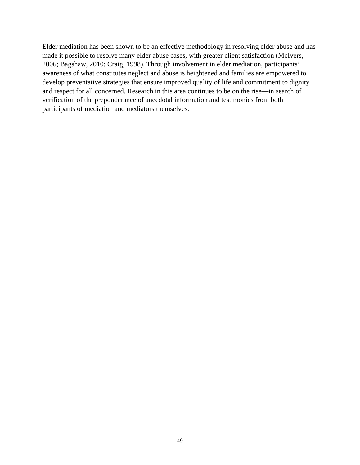Elder mediation has been shown to be an effective methodology in resolving elder abuse and has made it possible to resolve many elder abuse cases, with greater client satisfaction (McIvers, 2006; Bagshaw, 2010; Craig, 1998). Through involvement in elder mediation, participants' awareness of what constitutes neglect and abuse is heightened and families are empowered to develop preventative strategies that ensure improved quality of life and commitment to dignity and respect for all concerned. Research in this area continues to be on the rise—in search of verification of the preponderance of anecdotal information and testimonies from both participants of mediation and mediators themselves.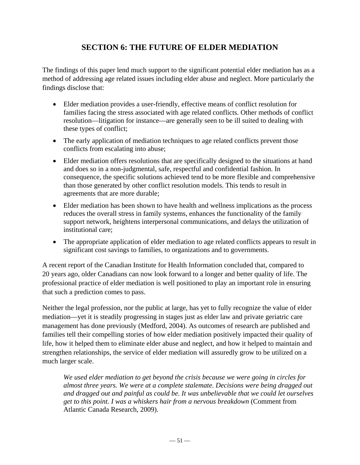## **SECTION 6: THE FUTURE OF ELDER MEDIATION**

The findings of this paper lend much support to the significant potential elder mediation has as a method of addressing age related issues including elder abuse and neglect. More particularly the findings disclose that:

- Elder mediation provides a user-friendly, effective means of conflict resolution for families facing the stress associated with age related conflicts. Other methods of conflict resolution—litigation for instance—are generally seen to be ill suited to dealing with these types of conflict;
- The early application of mediation techniques to age related conflicts prevent those conflicts from escalating into abuse;
- Elder mediation offers resolutions that are specifically designed to the situations at hand and does so in a non-judgmental, safe, respectful and confidential fashion. In consequence, the specific solutions achieved tend to be more flexible and comprehensive than those generated by other conflict resolution models. This tends to result in agreements that are more durable;
- Elder mediation has been shown to have health and wellness implications as the process reduces the overall stress in family systems, enhances the functionality of the family support network, heightens interpersonal communications, and delays the utilization of institutional care;
- The appropriate application of elder mediation to age related conflicts appears to result in significant cost savings to families, to organizations and to governments.

A recent report of the Canadian Institute for Health Information concluded that, compared to 20 years ago, older Canadians can now look forward to a longer and better quality of life. The professional practice of elder mediation is well positioned to play an important role in ensuring that such a prediction comes to pass.

Neither the legal profession, nor the public at large, has yet to fully recognize the value of elder mediation—yet it is steadily progressing in stages just as elder law and private geriatric care management has done previously (Medford, 2004). As outcomes of research are published and families tell their compelling stories of how elder mediation positively impacted their quality of life, how it helped them to eliminate elder abuse and neglect, and how it helped to maintain and strengthen relationships, the service of elder mediation will assuredly grow to be utilized on a much larger scale.

*We used elder mediation to get beyond the crisis because we were going in circles for almost three years. We were at a complete stalemate. Decisions were being dragged out and dragged out and painful as could be. It was unbelievable that we could let ourselves get to this point. I was a whiskers hair from a nervous breakdown* (Comment from Atlantic Canada Research, 2009).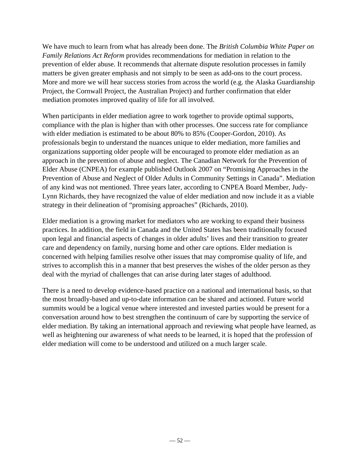We have much to learn from what has already been done. The *British Columbia White Paper on Family Relations Act Reform* provides recommendations for mediation in relation to the prevention of elder abuse. It recommends that alternate dispute resolution processes in family matters be given greater emphasis and not simply to be seen as add-ons to the court process. More and more we will hear success stories from across the world (e.g. the Alaska Guardianship Project, the Cornwall Project, the Australian Project) and further confirmation that elder mediation promotes improved quality of life for all involved.

When participants in elder mediation agree to work together to provide optimal supports, compliance with the plan is higher than with other processes. One success rate for compliance with elder mediation is estimated to be about 80% to 85% (Cooper-Gordon, 2010). As professionals begin to understand the nuances unique to elder mediation, more families and organizations supporting older people will be encouraged to promote elder mediation as an approach in the prevention of abuse and neglect. The Canadian Network for the Prevention of Elder Abuse (CNPEA) for example published Outlook 2007 on "Promising Approaches in the Prevention of Abuse and Neglect of Older Adults in Community Settings in Canada". Mediation of any kind was not mentioned. Three years later, according to CNPEA Board Member, Judy-Lynn Richards, they have recognized the value of elder mediation and now include it as a viable strategy in their delineation of "promising approaches" (Richards, 2010).

Elder mediation is a growing market for mediators who are working to expand their business practices. In addition, the field in Canada and the United States has been traditionally focused upon legal and financial aspects of changes in older adults' lives and their transition to greater care and dependency on family, nursing home and other care options. Elder mediation is concerned with helping families resolve other issues that may compromise quality of life, and strives to accomplish this in a manner that best preserves the wishes of the older person as they deal with the myriad of challenges that can arise during later stages of adulthood.

There is a need to develop evidence-based practice on a national and international basis, so that the most broadly-based and up-to-date information can be shared and actioned. Future world summits would be a logical venue where interested and invested parties would be present for a conversation around how to best strengthen the continuum of care by supporting the service of elder mediation. By taking an international approach and reviewing what people have learned, as well as heightening our awareness of what needs to be learned, it is hoped that the profession of elder mediation will come to be understood and utilized on a much larger scale.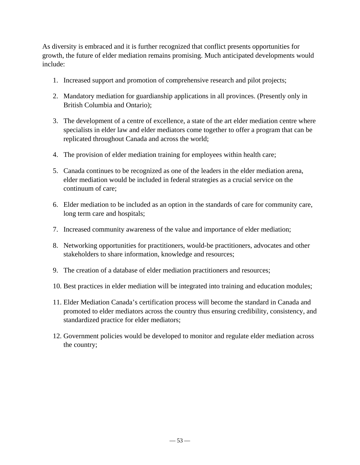As diversity is embraced and it is further recognized that conflict presents opportunities for growth, the future of elder mediation remains promising. Much anticipated developments would include:

- 1. Increased support and promotion of comprehensive research and pilot projects;
- 2. Mandatory mediation for guardianship applications in all provinces. (Presently only in British Columbia and Ontario);
- 3. The development of a centre of excellence, a state of the art elder mediation centre where specialists in elder law and elder mediators come together to offer a program that can be replicated throughout Canada and across the world;
- 4. The provision of elder mediation training for employees within health care;
- 5. Canada continues to be recognized as one of the leaders in the elder mediation arena, elder mediation would be included in federal strategies as a crucial service on the continuum of care;
- 6. Elder mediation to be included as an option in the standards of care for community care, long term care and hospitals;
- 7. Increased community awareness of the value and importance of elder mediation;
- 8. Networking opportunities for practitioners, would-be practitioners, advocates and other stakeholders to share information, knowledge and resources;
- 9. The creation of a database of elder mediation practitioners and resources;
- 10. Best practices in elder mediation will be integrated into training and education modules;
- 11. Elder Mediation Canada's certification process will become the standard in Canada and promoted to elder mediators across the country thus ensuring credibility, consistency, and standardized practice for elder mediators;
- 12. Government policies would be developed to monitor and regulate elder mediation across the country;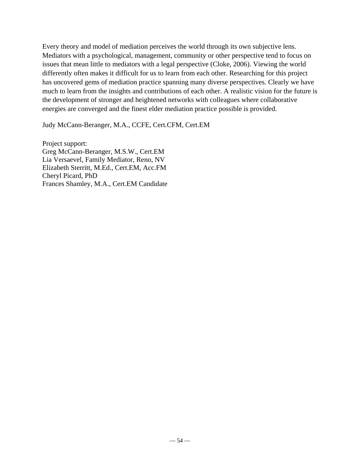Every theory and model of mediation perceives the world through its own subjective lens. Mediators with a psychological, management, community or other perspective tend to focus on issues that mean little to mediators with a legal perspective (Cloke, 2006). Viewing the world differently often makes it difficult for us to learn from each other. Researching for this project has uncovered gems of mediation practice spanning many diverse perspectives. Clearly we have much to learn from the insights and contributions of each other. A realistic vision for the future is the development of stronger and heightened networks with colleagues where collaborative energies are converged and the finest elder mediation practice possible is provided.

Judy McCann-Beranger, M.A., CCFE, Cert.CFM, Cert.EM

Project support: Greg McCann-Beranger, M.S.W., Cert.EM Lia Versaevel, Family Mediator, Reno, NV Elizabeth Sterritt, M.Ed., Cert.EM, Acc.FM Cheryl Picard, PhD Frances Shamley, M.A., Cert.EM Candidate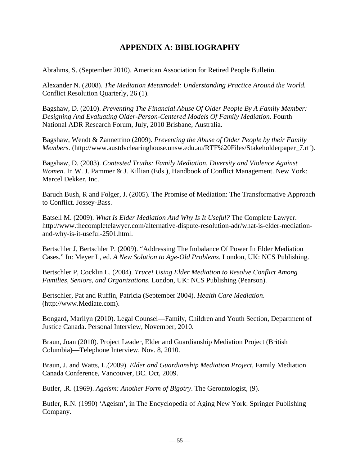## **APPENDIX A: BIBLIOGRAPHY**

Abrahms, S. (September 2010). American Association for Retired People Bulletin.

Alexander N. (2008). *The Mediation Metamodel: Understanding Practice Around the World.* Conflict Resolution Quarterly, 26 (1).

Bagshaw, D. (2010). *Preventing The Financial Abuse Of Older People By A Family Member: Designing And Evaluating Older-Person-Centered Models Of Family Mediation.* Fourth National ADR Research Forum, July, 2010 Brisbane, Australia.

Bagshaw, Wendt & Zannettino (2009). *Preventing the Abuse of Older People by their Family Members.* (http://www.austdvclearinghouse.unsw.edu.au/RTF%20Files/Stakeholderpaper\_7.rtf).

Bagshaw, D. (2003). *Contested Truths: Family Mediation, Diversity and Violence Against Women.* In W. J. Pammer & J. Killian (Eds.), Handbook of Conflict Management. New York: Marcel Dekker, Inc.

Baruch Bush, R and Folger, J. (2005). The Promise of Mediation: The Transformative Approach to Conflict. Jossey-Bass.

Batsell M. (2009). *What Is Elder Mediation And Why Is It Useful?* The Complete Lawyer. http://www.thecompletelawyer.com/alternative-dispute-resolution-adr/what-is-elder-mediationand-why-is-it-useful-2501.html.

Bertschler J, Bertschler P. (2009). "Addressing The Imbalance Of Power In Elder Mediation Cases." In: Meyer L, ed. *A New Solution to Age-Old Problems*. London, UK: NCS Publishing.

Bertschler P, Cocklin L. (2004). *Truce! Using Elder Mediation to Resolve Conflict Among Families, Seniors, and Organizations*. London, UK: NCS Publishing (Pearson).

Bertschler, Pat and Ruffin, Patricia (September 2004). *Health Care Mediation*. (http://www.Mediate.com).

Bongard, Marilyn (2010). Legal Counsel—Family, Children and Youth Section, Department of Justice Canada. Personal Interview, November, 2010.

Braun, Joan (2010). Project Leader, Elder and Guardianship Mediation Project (British Columbia)—Telephone Interview, Nov. 8, 2010.

Braun, J. and Watts, L.(2009). *Elder and Guardianship Mediation Project*, Family Mediation Canada Conference, Vancouver, BC. Oct, 2009.

Butler, .R. (1969). *Ageism: Another Form of Bigotry*. The Gerontologist, (9).

Butler, R.N. (1990) 'Ageism', in The Encyclopedia of Aging New York: Springer Publishing Company.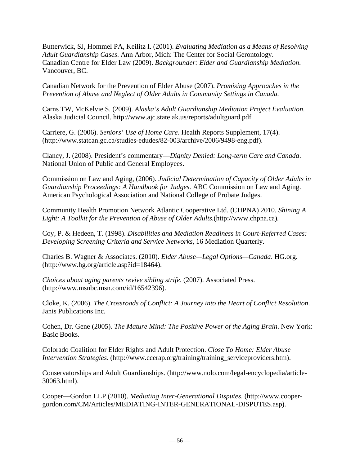Butterwick, SJ, Hommel PA, Keilitz I. (2001). *Evaluating Mediation as a Means of Resolving Adult Guardianship Cases*. Ann Arbor, Mich: The Center for Social Gerontology. Canadian Centre for Elder Law (2009). *Backgrounder: Elder and Guardianship Mediation*. Vancouver, BC.

Canadian Network for the Prevention of Elder Abuse (2007). *Promising Approaches in the Prevention of Abuse and Neglect of Older Adults in Community Settings in Canada.* 

Carns TW, McKelvie S. (2009). *Alaska's Adult Guardianship Mediation Project Evaluation*. Alaska Judicial Council. http://www.ajc.state.ak.us/reports/adultguard.pdf

Carriere, G. (2006). *Seniors' Use of Home Care*. Health Reports Supplement, 17(4). (http://www.statcan.gc.ca/studies-edudes/82-003/archive/2006/9498-eng.pdf).

Clancy, J. (2008). President's commentary—*Dignity Denied: Long-term Care and Canada*. National Union of Public and General Employees.

Commission on Law and Aging, (2006). *Judicial Determination of Capacity of Older Adults in Guardianship Proceedings: A Handbook for Judges*. ABC Commission on Law and Aging. American Psychological Association and National College of Probate Judges.

Community Health Promotion Network Atlantic Cooperative Ltd. (CHPNA) 2010. *Shining A Light: A Toolkit for the Prevention of Abuse of Older Adults.*(http://www.chpna.ca)*.* 

Coy, P. & Hedeen, T. (1998). *Disabilities and Mediation Readiness in Court-Referred Cases: Developing Screening Criteria and Service Networks*, 16 Mediation Quarterly.

Charles B. Wagner & Associates. (2010). *Elder Abuse—Legal Options—Canada*. HG.org. (http://www.hg.org/article.asp?id=18464).

*Choices about aging parents revive sibling strife*. (2007). Associated Press. (http://www.msnbc.msn.com/id/16542396).

Cloke, K. (2006). *The Crossroads of Conflict: A Journey into the Heart of Conflict Resolution*. Janis Publications Inc.

Cohen, Dr. Gene (2005). *The Mature Mind: The Positive Power of the Aging Brain*. New York: Basic Books.

Colorado Coalition for Elder Rights and Adult Protection. *Close To Home: Elder Abuse Intervention Strategies.* (http://www.ccerap.org/training/training\_serviceproviders.htm).

Conservatorships and Adult Guardianships. (http://www.nolo.com/legal-encyclopedia/article-30063.html).

Cooper—Gordon LLP (2010). *Mediating Inter-Generational Disputes*. (http://www.coopergordon.com/CM/Articles/MEDIATING-INTER-GENERATIONAL-DISPUTES.asp).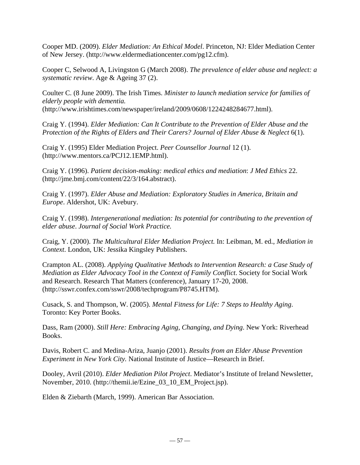Cooper MD. (2009). *Elder Mediation: An Ethical Model*. Princeton, NJ: Elder Mediation Center of New Jersey. (http://www.eldermediationcenter.com/pg12.cfm).

Cooper C, Selwood A, Livingston G (March 2008). *The prevalence of elder abuse and neglect: a systematic review*. Age & Ageing 37 (2).

Coulter C. (8 June 2009). The Irish Times. *Minister to launch mediation service for families of elderly people with dementia.* (http://www.irishtimes.com/newspaper/ireland/2009/0608/1224248284677.html).

Craig Y. (1994). *Elder Mediation: Can It Contribute to the Prevention of Elder Abuse and the Protection of the Rights of Elders and Their Carers? Journal of Elder Abuse & Neglect* 6(1).

Craig Y. (1995) Elder Mediation Project. *Peer Counsellor Journal* 12 (1). (http://www.mentors.ca/PCJ12.1EMP.html).

Craig Y. (1996). *Patient decision-making: medical ethics and mediation*: *J Med Ethics* 22. (http://jme.bmj.com/content/22/3/164.abstract).

Craig Y. (1997). *Elder Abuse and Mediation: Exploratory Studies in America, Britain and Europe*. Aldershot, UK: Avebury.

Craig Y. (1998). *Intergenerational mediation: Its potential for contributing to the prevention of elder abuse*. *Journal of Social Work Practice.* 

Craig, Y. (2000). *The Multicultural Elder Mediation Project.* In: Leibman, M. ed., *Mediation in Context*. London, UK: Jessika Kingsley Publishers.

Crampton AL. (2008). *Applying Qualitative Methods to Intervention Research: a Case Study of Mediation as Elder Advocacy Tool in the Context of Family Conflict*. Society for Social Work and Research. Research That Matters (conference), January 17-20, 2008. (http://sswr.confex.com/sswr/2008/techprogram/P8745.HTM).

Cusack, S. and Thompson, W. (2005). *Mental Fitness for Life: 7 Steps to Healthy Aging*. Toronto: Key Porter Books.

Dass, Ram (2000). *Still Here: Embracing Aging, Changing, and Dying*. New York: Riverhead Books.

Davis, Robert C. and Medina-Ariza, Juanjo (2001). *Results from an Elder Abuse Prevention Experiment in New York City.* National Institute of Justice—Research in Brief.

Dooley, Avril (2010). *Elder Mediation Pilot Project*. Mediator's Institute of Ireland Newsletter, November, 2010. (http://themii.ie/Ezine\_03\_10\_EM\_Project.jsp).

Elden & Ziebarth (March, 1999). American Bar Association.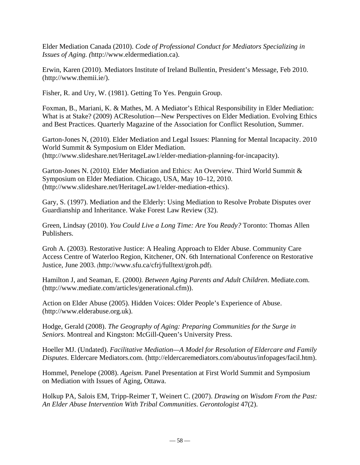Elder Mediation Canada (2010). *Code of Professional Conduct for Mediators Specializing in Issues of Aging. (*http://www.eldermediation.ca).

Erwin, Karen (2010). Mediators Institute of Ireland Bullentin, President's Message, Feb 2010. (http://www.themii.ie/).

Fisher, R. and Ury, W. (1981). Getting To Yes. Penguin Group.

Foxman, B., Mariani, K. & Mathes, M. A Mediator's Ethical Responsibility in Elder Mediation: What is at Stake? (2009) ACResolution—New Perspectives on Elder Mediation. Evolving Ethics and Best Practices. Quarterly Magazine of the Association for Conflict Resolution, Summer.

Garton-Jones N, (2010). Elder Mediation and Legal Issues: Planning for Mental Incapacity. 2010 World Summit & Symposium on Elder Mediation. (http://www.slideshare.net/HeritageLaw1/elder-mediation-planning-for-incapacity).

Garton-Jones N. (2010*).* Elder Mediation and Ethics: An Overview. Third World Summit & Symposium on Elder Mediation. Chicago, USA, May 10–12, 2010. (http://www.slideshare.net/HeritageLaw1/elder-mediation-ethics).

Gary, S. (1997). Mediation and the Elderly: Using Mediation to Resolve Probate Disputes over Guardianship and Inheritance. Wake Forest Law Review (32).

Green, Lindsay (2010). *You Could Live a Long Time: Are You Ready?* Toronto: Thomas Allen Publishers.

Groh A. (2003). Restorative Justice: A Healing Approach to Elder Abuse. Community Care Access Centre of Waterloo Region, Kitchener, ON. 6th International Conference on Restorative Justice, June 2003. (http://www.sfu.ca/cfrj/fulltext/groh.pdf).

Hamilton J, and Seaman, E. (2000*). Between Aging Parents and Adult Children*. Mediate.com. (http://www.mediate.com/articles/generational.cfm)).

Action on Elder Abuse (2005). Hidden Voices: Older People's Experience of Abuse. (http://www.elderabuse.org.uk).

Hodge, Gerald (2008). *The Geography of Aging: Preparing Communities for the Surge in Seniors.* Montreal and Kingston: McGill-Queen's University Press.

Hoeller MJ. (Undated). *Facilitative Mediation—A Model for Resolution of Eldercare and Family Disputes*. Eldercare Mediators.com. (http://eldercaremediators.com/aboutus/infopages/facil.htm).

Hommel, Penelope (2008). *Ageism.* Panel Presentation at First World Summit and Symposium on Mediation with Issues of Aging, Ottawa.

Holkup PA, Salois EM, Tripp-Reimer T, Weinert C. (2007). *Drawing on Wisdom From the Past: An Elder Abuse Intervention With Tribal Communities*. *Gerontologist* 47(2).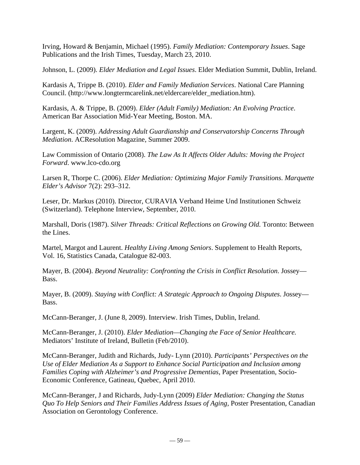Irving, Howard & Benjamin, Michael (1995). *Family Mediation: Contemporary Issues*. Sage Publications and the Irish Times, Tuesday, March 23, 2010.

Johnson, L. (2009). *Elder Mediation and Legal Issues*. Elder Mediation Summit, Dublin, Ireland.

Kardasis A, Trippe B. (2010). *Elder and Family Mediation Services*. National Care Planning Council. (http://www.longtermcarelink.net/eldercare/elder\_mediation.htm).

Kardasis, A. & Trippe, B. (2009). *Elder (Adult Family) Mediation: An Evolving Practice*. American Bar Association Mid-Year Meeting, Boston. MA.

Largent, K. (2009). *Addressing Adult Guardianship and Conservatorship Concerns Through Mediation*. ACResolution Magazine, Summer 2009.

Law Commission of Ontario (2008). *The Law As It Affects Older Adults: Moving the Project Forward*. www.lco-cdo.org

Larsen R, Thorpe C. (2006). *Elder Mediation: Optimizing Major Family Transitions*. *Marquette Elder's Advisor* 7(2): 293–312.

Leser, Dr. Markus (2010). Director, CURAVIA Verband Heime Und Institutionen Schweiz (Switzerland). Telephone Interview, September, 2010.

Marshall, Doris (1987). *Silver Threads: Critical Reflections on Growing Old.* Toronto: Between the Lines.

Martel, Margot and Laurent. *Healthy Living Among Seniors*. Supplement to Health Reports, Vol. 16, Statistics Canada, Catalogue 82-003.

Mayer, B. (2004). *Beyond Neutrality: Confronting the Crisis in Conflict Resolution*. Jossey— Bass.

Mayer, B. (2009). *Staying with Conflict: A Strategic Approach to Ongoing Disputes*. Jossey— Bass.

McCann-Beranger, J. (June 8, 2009). Interview. Irish Times, Dublin, Ireland.

McCann-Beranger, J. (2010). *Elder Mediation—Changing the Face of Senior Healthcare.* Mediators' Institute of Ireland, Bulletin (Feb/2010).

McCann-Beranger, Judith and Richards, Judy- Lynn (2010). *Participants' Perspectives on the Use of Elder Mediation As a Support to Enhance Social Participation and Inclusion among Families Coping with Alzheimer's and Progressive Dementias*, Paper Presentation, Socio-Economic Conference, Gatineau, Quebec, April 2010.

McCann-Beranger, J and Richards, Judy-Lynn (2009) *Elder Mediation: Changing the Status Quo To Help Seniors and Their Families Address Issues of Aging,* Poster Presentation, Canadian Association on Gerontology Conference.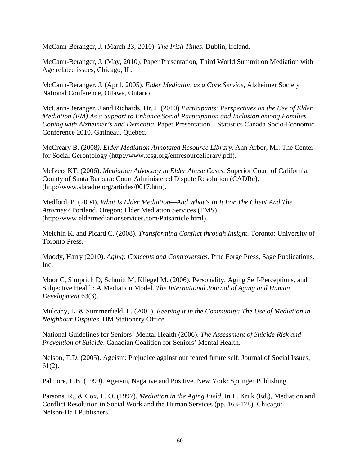McCann-Beranger, J. (March 23, 2010). *The Irish Times*. Dublin, Ireland.

McCann-Beranger, J. (May, 2010). Paper Presentation, Third World Summit on Mediation with Age related issues, Chicago, IL.

McCann-Beranger, J. (April, 2005). *Elder Mediation as a Core Service*, Alzheimer Society National Conference, Ottawa, Ontario

McCann-Beranger, J and Richards, Dr. J. (2010) *Participants' Perspectives on the Use of Elder Mediation (EM) As a Support to Enhance Social Participation and Inclusion among Families Coping with Alzheimer's and Dementia.* Paper Presentation—Statistics Canada Socio-Economic Conference 2010, Gatineau, Quebec.

McCreary B. (2008*). Elder Mediation Annotated Resource Library*. Ann Arbor, MI: The Center for Social Gerontology (http://www.tcsg.org/emresourcelibrary.pdf).

McIvers KT. (2006). *Mediation Advocacy in Elder Abuse Cases.* Superior Court of California, County of Santa Barbara: Court Administered Dispute Resolution (CADRe). (http://www.sbcadre.org/articles/0017.htm).

Medford, P. (2004). *What Is Elder Mediation—And What's In It For The Client And The Attorney?* Portland, Oregon: Elder Mediation Services (EMS). (http://www.eldermediationservices.com/Patsarticle.html).

Melchin K. and Picard C. (2008). *Transforming Conflict through Insight.* Toronto: University of Toronto Press.

Moody, Harry (2010). *Aging: Concepts and Controversies*. Pine Forge Press, Sage Publications, Inc.

Moor C, Simprich D, Schmitt M, Kliegel M. (2006). Personality, Aging Self-Perceptions, and Subjective Health: A Mediation Model. *The International Journal of Aging and Human Development* 63(3).

Mulcahy, L. & Summerfield, L. (2001). *Keeping it in the Community: The Use of Mediation in Neighbour Disputes*. HM Stationery Office.

National Guidelines for Seniors' Mental Health (2006). *The Assessment of Suicide Risk and Prevention of Suicide*. Canadian Coalition for Seniors' Mental Health.

Nelson, T.D. (2005). Ageism: Prejudice against our feared future self. Journal of Social Issues, 61(2).

Palmore, E.B. (1999). Ageism, Negative and Positive. New York: Springer Publishing.

Parsons, R., & Cox, E. O. (1997). *Mediation in the Aging Field*. In E. Kruk (Ed.), Mediation and Conflict Resolution in Social Work and the Human Services (pp. 163-178). Chicago: Nelson-Hall Publishers.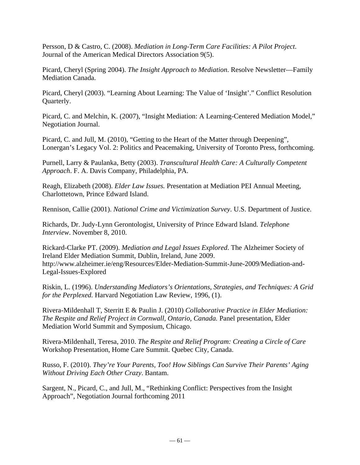Persson, D & Castro, C. (2008). *Mediation in Long-Term Care Facilities: A Pilot Project*. Journal of the American Medical Directors Association 9(5).

Picard, Cheryl (Spring 2004). *The Insight Approach to Mediation*. Resolve Newsletter—Family Mediation Canada.

Picard, Cheryl (2003). "Learning About Learning: The Value of 'Insight'." Conflict Resolution Quarterly.

Picard, C. and Melchin, K. (2007), "Insight Mediation: A Learning-Centered Mediation Model," Negotiation Journal.

Picard, C. and Jull, M. (2010), "Getting to the Heart of the Matter through Deepening", Lonergan's Legacy Vol. 2: Politics and Peacemaking, University of Toronto Press, forthcoming.

Purnell, Larry & Paulanka, Betty (2003). *Transcultural Health Care: A Culturally Competent Approach*. F. A. Davis Company, Philadelphia, PA.

Reagh, Elizabeth (2008). *Elder Law Issues.* Presentation at Mediation PEI Annual Meeting, Charlottetown, Prince Edward Island.

Rennison, Callie (2001). *National Crime and Victimization Survey*. U.S. Department of Justice.

Richards, Dr. Judy-Lynn Gerontologist, University of Prince Edward Island. *Telephone Interview*. November 8, 2010.

Rickard-Clarke PT. (2009). *Mediation and Legal Issues Explored*. The Alzheimer Society of Ireland Elder Mediation Summit, Dublin, Ireland, June 2009. http://www.alzheimer.ie/eng/Resources/Elder-Mediation-Summit-June-2009/Mediation-and-Legal-Issues-Explored

Riskin, L. (1996). *Understanding Mediators's Orientations, Strategies, and Techniques: A Grid for the Perplexed.* Harvard Negotiation Law Review, 1996, (1).

Rivera-Mildenhall T, Sterritt E & Paulin J. (2010) *Collaborative Practice in Elder Mediation: The Respite and Relief Project in Cornwall, Ontario, Canada.* Panel presentation, Elder Mediation World Summit and Symposium, Chicago.

Rivera-Mildenhall, Teresa, 2010. *The Respite and Relief Program: Creating a Circle of Care* Workshop Presentation, Home Care Summit. Quebec City, Canada.

Russo, F. (2010). *They're Your Parents, Too! How Siblings Can Survive Their Parents' Aging Without Driving Each Other Crazy*. Bantam.

Sargent, N., Picard, C., and Jull, M., "Rethinking Conflict: Perspectives from the Insight Approach", Negotiation Journal forthcoming 2011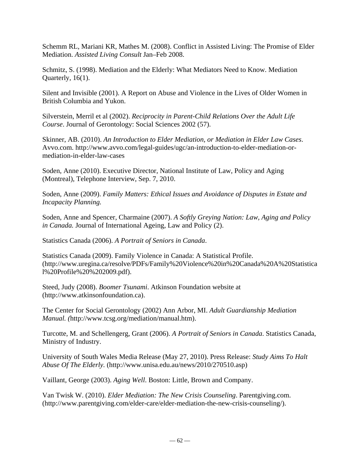Schemm RL, Mariani KR, Mathes M. (2008). Conflict in Assisted Living: The Promise of Elder Mediation. *Assisted Living Consult* Jan–Feb 2008.

Schmitz, S. (1998). Mediation and the Elderly: What Mediators Need to Know. Mediation Quarterly, 16(1).

Silent and Invisible (2001). A Report on Abuse and Violence in the Lives of Older Women in British Columbia and Yukon.

Silverstein, Merril et al (2002). *Reciprocity in Parent-Child Relations Over the Adult Life Course*. Journal of Gerontology: Social Sciences 2002 (57).

Skinner, AB. (2010). *An Introduction to Elder Mediation, or Mediation in Elder Law Cases*. Avvo.com. http://www.avvo.com/legal-guides/ugc/an-introduction-to-elder-mediation-ormediation-in-elder-law-cases

Soden, Anne (2010). Executive Director, National Institute of Law, Policy and Aging (Montreal), Telephone Interview, Sep. 7, 2010.

Soden, Anne (2009). *Family Matters: Ethical Issues and Avoidance of Disputes in Estate and Incapacity Planning.*

Soden, Anne and Spencer, Charmaine (2007). *A Softly Greying Nation: Law, Aging and Policy in Canada.* Journal of International Ageing, Law and Policy (2).

Statistics Canada (2006). *A Portrait of Seniors in Canada*.

Statistics Canada (2009). Family Violence in Canada: A Statistical Profile. (http://www.uregina.ca/resolve/PDFs/Family%20Violence%20in%20Canada%20A%20Statistica l%20Profile%20%202009.pdf).

Steed, Judy (2008). *Boomer Tsunami*. Atkinson Foundation website at (http://www.atkinsonfoundation.ca).

The Center for Social Gerontology (2002) Ann Arbor, MI. *Adult Guardianship Mediation Manual. (*http://www.tcsg.org/mediation/manual.htm).

Turcotte, M. and Schellengerg, Grant (2006). *A Portrait of Seniors in Canada*. Statistics Canada, Ministry of Industry.

University of South Wales Media Release (May 27, 2010). Press Release: *Study Aims To Halt Abuse Of The Elderly.* (http://www.unisa.edu.au/news/2010/270510.asp)

Vaillant, George (2003). *Aging Well*. Boston: Little, Brown and Company.

Van Twisk W. (2010). *Elder Mediation: The New Crisis Counseling*. Parentgiving.com. (http://www.parentgiving.com/elder-care/elder-mediation-the-new-crisis-counseling/).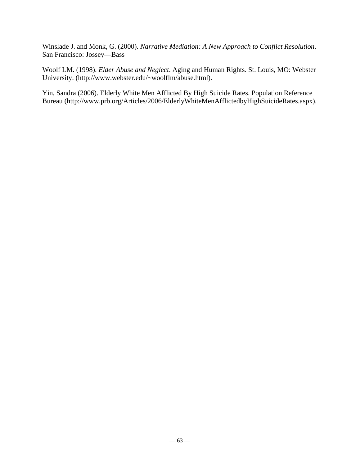Winslade J. and Monk, G. (2000). *Narrative Mediation: A New Approach to Conflict Resolution*. San Francisco: Jossey—Bass

Woolf LM. (1998). *Elder Abuse and Neglect*. Aging and Human Rights. St. Louis, MO: Webster University. (http://www.webster.edu/~woolflm/abuse.html).

Yin, Sandra (2006). Elderly White Men Afflicted By High Suicide Rates. Population Reference Bureau (http://www.prb.org/Articles/2006/ElderlyWhiteMenAfflictedbyHighSuicideRates.aspx).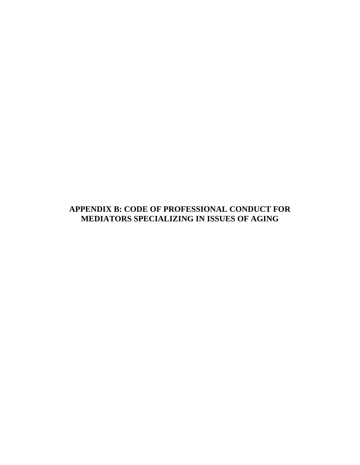## **APPENDIX B: CODE OF PROFESSIONAL CONDUCT FOR MEDIATORS SPECIALIZING IN ISSUES OF AGING**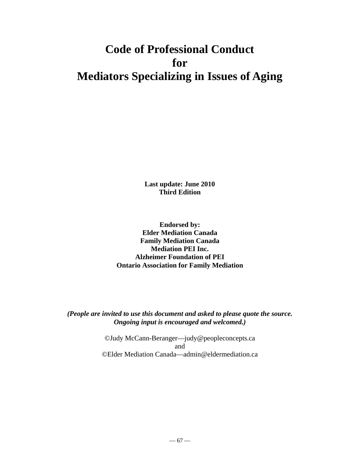# **Code of Professional Conduct for Mediators Specializing in Issues of Aging**

**Last update: June 2010 Third Edition** 

**Endorsed by: Elder Mediation Canada Family Mediation Canada Mediation PEI Inc. Alzheimer Foundation of PEI Ontario Association for Family Mediation**

*(People are invited to use this document and asked to please quote the source. Ongoing input is encouraged and welcomed.)* 

> ©Judy McCann-Beranger—judy@peopleconcepts.ca and ©Elder Mediation Canada—admin@eldermediation.ca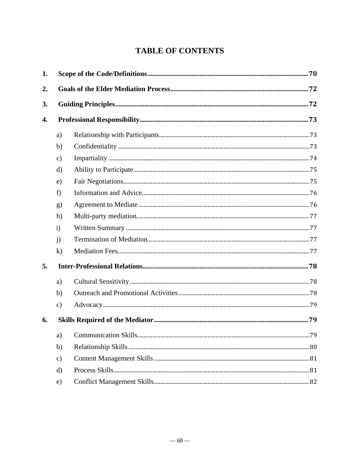# **TABLE OF CONTENTS**

| 1. |               |  |  |
|----|---------------|--|--|
| 2. |               |  |  |
| 3. |               |  |  |
| 4. |               |  |  |
|    | a)            |  |  |
|    | b)            |  |  |
|    | $\mathbf{c})$ |  |  |
|    | d)            |  |  |
|    | e)            |  |  |
|    | f)            |  |  |
|    | g)            |  |  |
|    | h)            |  |  |
|    | i)            |  |  |
|    | $\mathbf{j}$  |  |  |
|    | $\bf k)$      |  |  |
| 5. |               |  |  |
|    | a)            |  |  |
|    | b)            |  |  |
|    | $\mathbf{c})$ |  |  |
| 6. |               |  |  |
|    | a)            |  |  |
|    | b)            |  |  |
|    | $\mathbf{c})$ |  |  |
|    | d)            |  |  |
|    | e)            |  |  |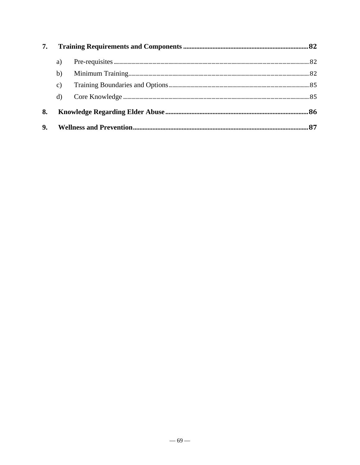| 7.             |                 |  |  |
|----------------|-----------------|--|--|
|                | a)              |  |  |
|                | b)              |  |  |
|                | $\mathcal{C}$ ) |  |  |
|                | d)              |  |  |
| 8.             |                 |  |  |
| 9 <sub>r</sub> |                 |  |  |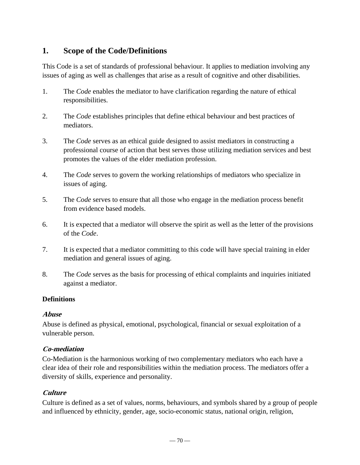# **1. Scope of the Code/Definitions**

This Code is a set of standards of professional behaviour. It applies to mediation involving any issues of aging as well as challenges that arise as a result of cognitive and other disabilities.

- 1. The *Code* enables the mediator to have clarification regarding the nature of ethical responsibilities.
- 2. The *Code* establishes principles that define ethical behaviour and best practices of mediators.
- 3. The *Code* serves as an ethical guide designed to assist mediators in constructing a professional course of action that best serves those utilizing mediation services and best promotes the values of the elder mediation profession.
- 4. The *Code* serves to govern the working relationships of mediators who specialize in issues of aging.
- 5. The *Code* serves to ensure that all those who engage in the mediation process benefit from evidence based models.
- 6. It is expected that a mediator will observe the spirit as well as the letter of the provisions of the *Code*.
- 7. It is expected that a mediator committing to this code will have special training in elder mediation and general issues of aging.
- 8. The *Code* serves as the basis for processing of ethical complaints and inquiries initiated against a mediator.

## **Definitions**

#### **Abuse**

Abuse is defined as physical, emotional, psychological, financial or sexual exploitation of a vulnerable person.

## **Co-mediation**

Co-Mediation is the harmonious working of two complementary mediators who each have a clear idea of their role and responsibilities within the mediation process. The mediators offer a diversity of skills, experience and personality.

## **Culture**

Culture is defined as a set of values, norms, behaviours, and symbols shared by a group of people and influenced by ethnicity, gender, age, socio-economic status, national origin, religion,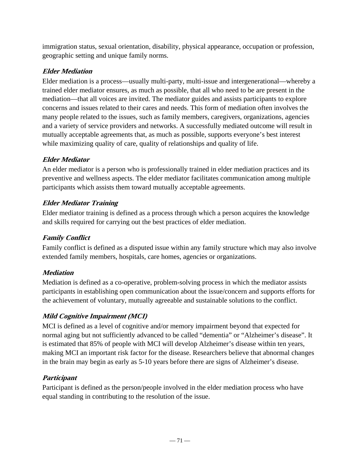immigration status, sexual orientation, disability, physical appearance, occupation or profession, geographic setting and unique family norms.

## **Elder Mediation**

Elder mediation is a process—usually multi-party, multi-issue and intergenerational—whereby a trained elder mediator ensures, as much as possible, that all who need to be are present in the mediation—that all voices are invited. The mediator guides and assists participants to explore concerns and issues related to their cares and needs. This form of mediation often involves the many people related to the issues, such as family members, caregivers, organizations, agencies and a variety of service providers and networks. A successfully mediated outcome will result in mutually acceptable agreements that, as much as possible, supports everyone's best interest while maximizing quality of care, quality of relationships and quality of life.

# **Elder Mediator**

An elder mediator is a person who is professionally trained in elder mediation practices and its preventive and wellness aspects. The elder mediator facilitates communication among multiple participants which assists them toward mutually acceptable agreements.

## **Elder Mediator Training**

Elder mediator training is defined as a process through which a person acquires the knowledge and skills required for carrying out the best practices of elder mediation.

## **Family Conflict**

Family conflict is defined as a disputed issue within any family structure which may also involve extended family members, hospitals, care homes, agencies or organizations.

## **Mediation**

Mediation is defined as a co-operative, problem-solving process in which the mediator assists participants in establishing open communication about the issue/concern and supports efforts for the achievement of voluntary, mutually agreeable and sustainable solutions to the conflict.

# **Mild Cognitive Impairment (MCI)**

MCI is defined as a level of cognitive and/or memory impairment beyond that expected for normal aging but not sufficiently advanced to be called "dementia" or "Alzheimer's disease". It is estimated that 85% of people with MCI will develop Alzheimer's disease within ten years, making MCI an important risk factor for the disease. Researchers believe that abnormal changes in the brain may begin as early as 5-10 years before there are signs of Alzheimer's disease.

## **Participant**

Participant is defined as the person/people involved in the elder mediation process who have equal standing in contributing to the resolution of the issue.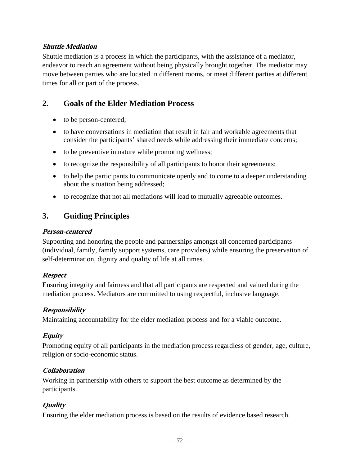### **Shuttle Mediation**

Shuttle mediation is a process in which the participants, with the assistance of a mediator, endeavor to reach an agreement without being physically brought together. The mediator may move between parties who are located in different rooms, or meet different parties at different times for all or part of the process.

# **2. Goals of the Elder Mediation Process**

- to be person-centered;
- to have conversations in mediation that result in fair and workable agreements that consider the participants' shared needs while addressing their immediate concerns;
- to be preventive in nature while promoting wellness;
- to recognize the responsibility of all participants to honor their agreements;
- to help the participants to communicate openly and to come to a deeper understanding about the situation being addressed;
- to recognize that not all mediations will lead to mutually agreeable outcomes.

# **3. Guiding Principles**

#### **Person-centered**

Supporting and honoring the people and partnerships amongst all concerned participants (individual, family, family support systems, care providers) while ensuring the preservation of self-determination, dignity and quality of life at all times.

## **Respect**

Ensuring integrity and fairness and that all participants are respected and valued during the mediation process. Mediators are committed to using respectful, inclusive language.

## **Responsibility**

Maintaining accountability for the elder mediation process and for a viable outcome.

## **Equity**

Promoting equity of all participants in the mediation process regardless of gender, age, culture, religion or socio-economic status.

## **Collaboration**

Working in partnership with others to support the best outcome as determined by the participants.

## **Quality**

Ensuring the elder mediation process is based on the results of evidence based research.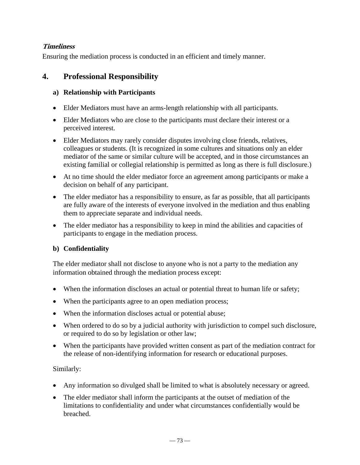## **Timeliness**

Ensuring the mediation process is conducted in an efficient and timely manner.

## **4. Professional Responsibility**

### **a) Relationship with Participants**

- Elder Mediators must have an arms-length relationship with all participants.
- Elder Mediators who are close to the participants must declare their interest or a perceived interest.
- Elder Mediators may rarely consider disputes involving close friends, relatives, colleagues or students. (It is recognized in some cultures and situations only an elder mediator of the same or similar culture will be accepted, and in those circumstances an existing familial or collegial relationship is permitted as long as there is full disclosure.)
- At no time should the elder mediator force an agreement among participants or make a decision on behalf of any participant.
- The elder mediator has a responsibility to ensure, as far as possible, that all participants are fully aware of the interests of everyone involved in the mediation and thus enabling them to appreciate separate and individual needs.
- The elder mediator has a responsibility to keep in mind the abilities and capacities of participants to engage in the mediation process.

## **b) Confidentiality**

The elder mediator shall not disclose to anyone who is not a party to the mediation any information obtained through the mediation process except:

- When the information discloses an actual or potential threat to human life or safety;
- When the participants agree to an open mediation process;
- When the information discloses actual or potential abuse;
- When ordered to do so by a judicial authority with jurisdiction to compel such disclosure, or required to do so by legislation or other law;
- When the participants have provided written consent as part of the mediation contract for the release of non-identifying information for research or educational purposes.

## Similarly:

- Any information so divulged shall be limited to what is absolutely necessary or agreed.
- The elder mediator shall inform the participants at the outset of mediation of the limitations to confidentiality and under what circumstances confidentially would be breached.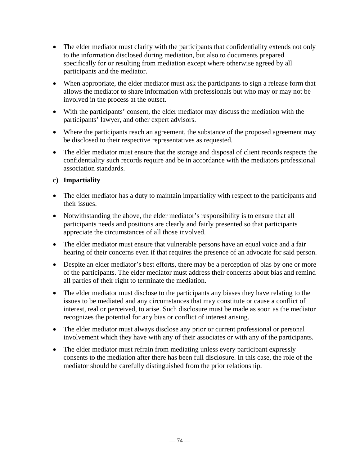- The elder mediator must clarify with the participants that confidentiality extends not only to the information disclosed during mediation, but also to documents prepared specifically for or resulting from mediation except where otherwise agreed by all participants and the mediator.
- When appropriate, the elder mediator must ask the participants to sign a release form that allows the mediator to share information with professionals but who may or may not be involved in the process at the outset.
- With the participants' consent, the elder mediator may discuss the mediation with the participants' lawyer, and other expert advisors.
- Where the participants reach an agreement, the substance of the proposed agreement may be disclosed to their respective representatives as requested.
- The elder mediator must ensure that the storage and disposal of client records respects the confidentiality such records require and be in accordance with the mediators professional association standards.

### **c) Impartiality**

- The elder mediator has a duty to maintain impartiality with respect to the participants and their issues.
- Notwithstanding the above, the elder mediator's responsibility is to ensure that all participants needs and positions are clearly and fairly presented so that participants appreciate the circumstances of all those involved.
- The elder mediator must ensure that vulnerable persons have an equal voice and a fair hearing of their concerns even if that requires the presence of an advocate for said person.
- Despite an elder mediator's best efforts, there may be a perception of bias by one or more of the participants. The elder mediator must address their concerns about bias and remind all parties of their right to terminate the mediation.
- The elder mediator must disclose to the participants any biases they have relating to the issues to be mediated and any circumstances that may constitute or cause a conflict of interest, real or perceived, to arise. Such disclosure must be made as soon as the mediator recognizes the potential for any bias or conflict of interest arising.
- The elder mediator must always disclose any prior or current professional or personal involvement which they have with any of their associates or with any of the participants.
- The elder mediator must refrain from mediating unless every participant expressly consents to the mediation after there has been full disclosure. In this case, the role of the mediator should be carefully distinguished from the prior relationship.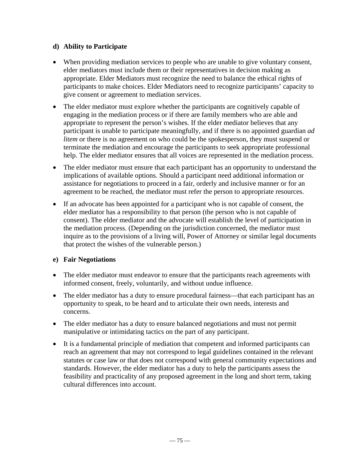### **d) Ability to Participate**

- When providing mediation services to people who are unable to give voluntary consent, elder mediators must include them or their representatives in decision making as appropriate. Elder Mediators must recognize the need to balance the ethical rights of participants to make choices. Elder Mediators need to recognize participants' capacity to give consent or agreement to mediation services.
- The elder mediator must explore whether the participants are cognitively capable of engaging in the mediation process or if there are family members who are able and appropriate to represent the person's wishes. If the elder mediator believes that any participant is unable to participate meaningfully, and if there is no appointed guardian *ad litem* or there is no agreement on who could be the spokesperson, they must suspend or terminate the mediation and encourage the participants to seek appropriate professional help. The elder mediator ensures that all voices are represented in the mediation process.
- The elder mediator must ensure that each participant has an opportunity to understand the implications of available options. Should a participant need additional information or assistance for negotiations to proceed in a fair, orderly and inclusive manner or for an agreement to be reached, the mediator must refer the person to appropriate resources.
- If an advocate has been appointed for a participant who is not capable of consent, the elder mediator has a responsibility to that person (the person who is not capable of consent). The elder mediator and the advocate will establish the level of participation in the mediation process. (Depending on the jurisdiction concerned, the mediator must inquire as to the provisions of a living will, Power of Attorney or similar legal documents that protect the wishes of the vulnerable person.)

## **e) Fair Negotiations**

- The elder mediator must endeavor to ensure that the participants reach agreements with informed consent, freely, voluntarily, and without undue influence.
- The elder mediator has a duty to ensure procedural fairness—that each participant has an opportunity to speak, to be heard and to articulate their own needs, interests and concerns.
- The elder mediator has a duty to ensure balanced negotiations and must not permit manipulative or intimidating tactics on the part of any participant.
- It is a fundamental principle of mediation that competent and informed participants can reach an agreement that may not correspond to legal guidelines contained in the relevant statutes or case law or that does not correspond with general community expectations and standards. However, the elder mediator has a duty to help the participants assess the feasibility and practicality of any proposed agreement in the long and short term, taking cultural differences into account.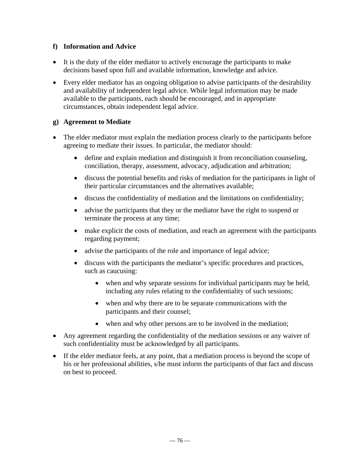#### **f) Information and Advice**

- It is the duty of the elder mediator to actively encourage the participants to make decisions based upon full and available information, knowledge and advice.
- Every elder mediator has an ongoing obligation to advise participants of the desirability and availability of independent legal advice. While legal information may be made available to the participants, each should be encouraged, and in appropriate circumstances, obtain independent legal advice.

### **g) Agreement to Mediate**

- The elder mediator must explain the mediation process clearly to the participants before agreeing to mediate their issues. In particular, the mediator should:
	- define and explain mediation and distinguish it from reconciliation counseling, conciliation, therapy, assessment, advocacy, adjudication and arbitration;
	- discuss the potential benefits and risks of mediation for the participants in light of their particular circumstances and the alternatives available;
	- discuss the confidentiality of mediation and the limitations on confidentiality;
	- advise the participants that they or the mediator have the right to suspend or terminate the process at any time;
	- make explicit the costs of mediation, and reach an agreement with the participants regarding payment;
	- advise the participants of the role and importance of legal advice;
	- discuss with the participants the mediator's specific procedures and practices, such as caucusing:
		- when and why separate sessions for individual participants may be held, including any rules relating to the confidentiality of such sessions;
		- when and why there are to be separate communications with the participants and their counsel;
		- when and why other persons are to be involved in the mediation;
- Any agreement regarding the confidentiality of the mediation sessions or any waiver of such confidentiality must be acknowledged by all participants.
- If the elder mediator feels, at any point, that a mediation process is beyond the scope of his or her professional abilities, s/he must inform the participants of that fact and discuss on best to proceed.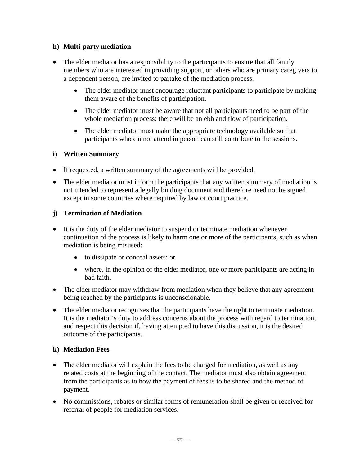#### **h) Multi-party mediation**

- The elder mediator has a responsibility to the participants to ensure that all family members who are interested in providing support, or others who are primary caregivers to a dependent person, are invited to partake of the mediation process.
	- The elder mediator must encourage reluctant participants to participate by making them aware of the benefits of participation.
	- The elder mediator must be aware that not all participants need to be part of the whole mediation process: there will be an ebb and flow of participation.
	- The elder mediator must make the appropriate technology available so that participants who cannot attend in person can still contribute to the sessions.

## **i) Written Summary**

- If requested, a written summary of the agreements will be provided.
- The elder mediator must inform the participants that any written summary of mediation is not intended to represent a legally binding document and therefore need not be signed except in some countries where required by law or court practice.

## **j) Termination of Mediation**

- It is the duty of the elder mediator to suspend or terminate mediation whenever continuation of the process is likely to harm one or more of the participants, such as when mediation is being misused:
	- to dissipate or conceal assets; or
	- where, in the opinion of the elder mediator, one or more participants are acting in bad faith.
- The elder mediator may withdraw from mediation when they believe that any agreement being reached by the participants is unconscionable.
- The elder mediator recognizes that the participants have the right to terminate mediation. It is the mediator's duty to address concerns about the process with regard to termination, and respect this decision if, having attempted to have this discussion, it is the desired outcome of the participants.

#### **k) Mediation Fees**

- The elder mediator will explain the fees to be charged for mediation, as well as any related costs at the beginning of the contact. The mediator must also obtain agreement from the participants as to how the payment of fees is to be shared and the method of payment.
- No commissions, rebates or similar forms of remuneration shall be given or received for referral of people for mediation services.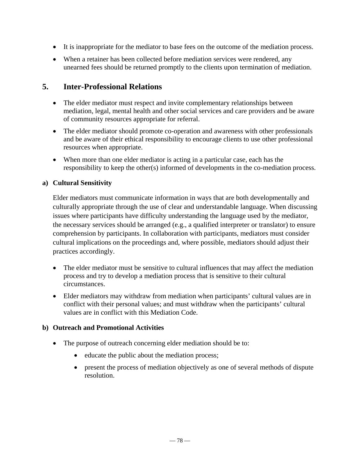- It is inappropriate for the mediator to base fees on the outcome of the mediation process.
- When a retainer has been collected before mediation services were rendered, any unearned fees should be returned promptly to the clients upon termination of mediation.

# **5. Inter-Professional Relations**

- The elder mediator must respect and invite complementary relationships between mediation, legal, mental health and other social services and care providers and be aware of community resources appropriate for referral.
- The elder mediator should promote co-operation and awareness with other professionals and be aware of their ethical responsibility to encourage clients to use other professional resources when appropriate.
- When more than one elder mediator is acting in a particular case, each has the responsibility to keep the other(s) informed of developments in the co-mediation process.

### **a) Cultural Sensitivity**

Elder mediators must communicate information in ways that are both developmentally and culturally appropriate through the use of clear and understandable language. When discussing issues where participants have difficulty understanding the language used by the mediator, the necessary services should be arranged (e.g., a qualified interpreter or translator) to ensure comprehension by participants. In collaboration with participants, mediators must consider cultural implications on the proceedings and, where possible, mediators should adjust their practices accordingly.

- The elder mediator must be sensitive to cultural influences that may affect the mediation process and try to develop a mediation process that is sensitive to their cultural circumstances.
- Elder mediators may withdraw from mediation when participants' cultural values are in conflict with their personal values; and must withdraw when the participants' cultural values are in conflict with this Mediation Code.

#### **b) Outreach and Promotional Activities**

- The purpose of outreach concerning elder mediation should be to:
	- educate the public about the mediation process;
	- present the process of mediation objectively as one of several methods of dispute resolution.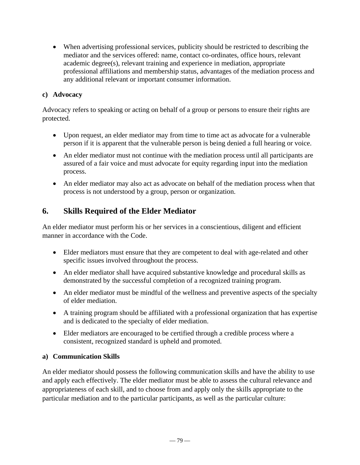When advertising professional services, publicity should be restricted to describing the mediator and the services offered: name, contact co-ordinates, office hours, relevant academic degree(s), relevant training and experience in mediation, appropriate professional affiliations and membership status, advantages of the mediation process and any additional relevant or important consumer information.

#### **c) Advocacy**

Advocacy refers to speaking or acting on behalf of a group or persons to ensure their rights are protected.

- Upon request, an elder mediator may from time to time act as advocate for a vulnerable person if it is apparent that the vulnerable person is being denied a full hearing or voice.
- An elder mediator must not continue with the mediation process until all participants are assured of a fair voice and must advocate for equity regarding input into the mediation process.
- An elder mediator may also act as advocate on behalf of the mediation process when that process is not understood by a group, person or organization.

# **6. Skills Required of the Elder Mediator**

An elder mediator must perform his or her services in a conscientious, diligent and efficient manner in accordance with the Code.

- Elder mediators must ensure that they are competent to deal with age-related and other specific issues involved throughout the process.
- An elder mediator shall have acquired substantive knowledge and procedural skills as demonstrated by the successful completion of a recognized training program.
- An elder mediator must be mindful of the wellness and preventive aspects of the specialty of elder mediation.
- A training program should be affiliated with a professional organization that has expertise and is dedicated to the specialty of elder mediation.
- Elder mediators are encouraged to be certified through a credible process where a consistent, recognized standard is upheld and promoted.

#### **a) Communication Skills**

An elder mediator should possess the following communication skills and have the ability to use and apply each effectively. The elder mediator must be able to assess the cultural relevance and appropriateness of each skill, and to choose from and apply only the skills appropriate to the particular mediation and to the particular participants, as well as the particular culture: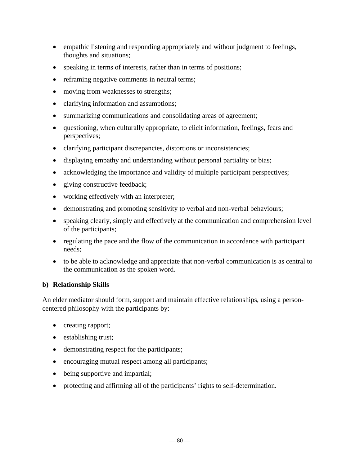- empathic listening and responding appropriately and without judgment to feelings, thoughts and situations;
- speaking in terms of interests, rather than in terms of positions;
- reframing negative comments in neutral terms;
- moving from weaknesses to strengths;
- clarifying information and assumptions;
- summarizing communications and consolidating areas of agreement;
- questioning, when culturally appropriate, to elicit information, feelings, fears and perspectives;
- clarifying participant discrepancies, distortions or inconsistencies;
- displaying empathy and understanding without personal partiality or bias;
- acknowledging the importance and validity of multiple participant perspectives;
- giving constructive feedback;
- working effectively with an interpreter;
- demonstrating and promoting sensitivity to verbal and non-verbal behaviours;
- speaking clearly, simply and effectively at the communication and comprehension level of the participants;
- regulating the pace and the flow of the communication in accordance with participant needs;
- to be able to acknowledge and appreciate that non-verbal communication is as central to the communication as the spoken word.

#### **b) Relationship Skills**

An elder mediator should form, support and maintain effective relationships, using a personcentered philosophy with the participants by:

- creating rapport;
- establishing trust;
- demonstrating respect for the participants;
- encouraging mutual respect among all participants;
- being supportive and impartial;
- protecting and affirming all of the participants' rights to self-determination.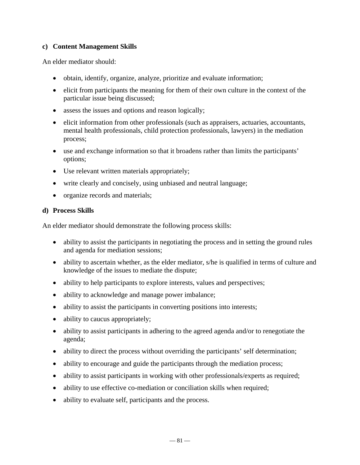#### **c) Content Management Skills**

An elder mediator should:

- obtain, identify, organize, analyze, prioritize and evaluate information;
- elicit from participants the meaning for them of their own culture in the context of the particular issue being discussed;
- assess the issues and options and reason logically;
- elicit information from other professionals (such as appraisers, actuaries, accountants, mental health professionals, child protection professionals, lawyers) in the mediation process;
- use and exchange information so that it broadens rather than limits the participants' options;
- Use relevant written materials appropriately;
- write clearly and concisely, using unbiased and neutral language;
- organize records and materials;

#### **d) Process Skills**

An elder mediator should demonstrate the following process skills:

- ability to assist the participants in negotiating the process and in setting the ground rules and agenda for mediation sessions;
- ability to ascertain whether, as the elder mediator, s/he is qualified in terms of culture and knowledge of the issues to mediate the dispute;
- ability to help participants to explore interests, values and perspectives;
- ability to acknowledge and manage power imbalance;
- ability to assist the participants in converting positions into interests;
- ability to caucus appropriately;
- ability to assist participants in adhering to the agreed agenda and/or to renegotiate the agenda;
- ability to direct the process without overriding the participants' self determination;
- ability to encourage and guide the participants through the mediation process;
- ability to assist participants in working with other professionals/experts as required;
- ability to use effective co-mediation or conciliation skills when required;
- ability to evaluate self, participants and the process.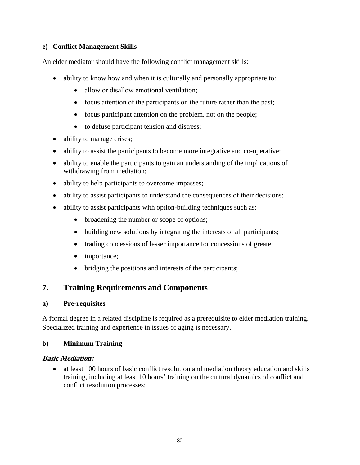### **e) Conflict Management Skills**

An elder mediator should have the following conflict management skills:

- ability to know how and when it is culturally and personally appropriate to:
	- allow or disallow emotional ventilation:
	- focus attention of the participants on the future rather than the past;
	- focus participant attention on the problem, not on the people;
	- to defuse participant tension and distress;
- ability to manage crises;
- ability to assist the participants to become more integrative and co-operative;
- ability to enable the participants to gain an understanding of the implications of withdrawing from mediation;
- ability to help participants to overcome impasses;
- ability to assist participants to understand the consequences of their decisions;
- ability to assist participants with option-building techniques such as:
	- broadening the number or scope of options;
	- building new solutions by integrating the interests of all participants;
	- trading concessions of lesser importance for concessions of greater
	- importance;
	- bridging the positions and interests of the participants;

## **7. Training Requirements and Components**

#### **a) Pre-requisites**

A formal degree in a related discipline is required as a prerequisite to elder mediation training. Specialized training and experience in issues of aging is necessary.

#### **b) Minimum Training**

#### **Basic Mediation:**

 at least 100 hours of basic conflict resolution and mediation theory education and skills training, including at least 10 hours' training on the cultural dynamics of conflict and conflict resolution processes;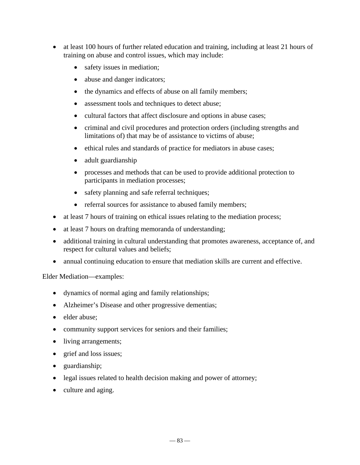- at least 100 hours of further related education and training, including at least 21 hours of training on abuse and control issues, which may include:
	- safety issues in mediation;
	- abuse and danger indicators;
	- the dynamics and effects of abuse on all family members;
	- assessment tools and techniques to detect abuse;
	- cultural factors that affect disclosure and options in abuse cases;
	- criminal and civil procedures and protection orders (including strengths and limitations of) that may be of assistance to victims of abuse;
	- ethical rules and standards of practice for mediators in abuse cases;
	- adult guardianship
	- processes and methods that can be used to provide additional protection to participants in mediation processes;
	- safety planning and safe referral techniques;
	- referral sources for assistance to abused family members;
- at least 7 hours of training on ethical issues relating to the mediation process;
- at least 7 hours on drafting memoranda of understanding;
- additional training in cultural understanding that promotes awareness, acceptance of, and respect for cultural values and beliefs;
- annual continuing education to ensure that mediation skills are current and effective.

#### Elder Mediation—examples:

- dynamics of normal aging and family relationships;
- Alzheimer's Disease and other progressive dementias;
- elder abuse;
- community support services for seniors and their families;
- living arrangements;
- grief and loss issues;
- guardianship;
- legal issues related to health decision making and power of attorney;
- culture and aging.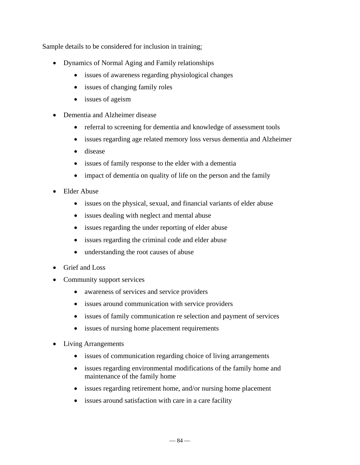Sample details to be considered for inclusion in training:

- Dynamics of Normal Aging and Family relationships
	- issues of awareness regarding physiological changes
	- issues of changing family roles
	- issues of ageism
- Dementia and Alzheimer disease
	- referral to screening for dementia and knowledge of assessment tools
	- issues regarding age related memory loss versus dementia and Alzheimer
	- disease
	- issues of family response to the elder with a dementia
	- impact of dementia on quality of life on the person and the family
- Elder Abuse
	- issues on the physical, sexual, and financial variants of elder abuse
	- issues dealing with neglect and mental abuse
	- issues regarding the under reporting of elder abuse
	- issues regarding the criminal code and elder abuse
	- understanding the root causes of abuse
- Grief and Loss
- Community support services
	- awareness of services and service providers
	- issues around communication with service providers
	- issues of family communication re selection and payment of services
	- issues of nursing home placement requirements
- Living Arrangements
	- issues of communication regarding choice of living arrangements
	- issues regarding environmental modifications of the family home and maintenance of the family home
	- issues regarding retirement home, and/or nursing home placement
	- issues around satisfaction with care in a care facility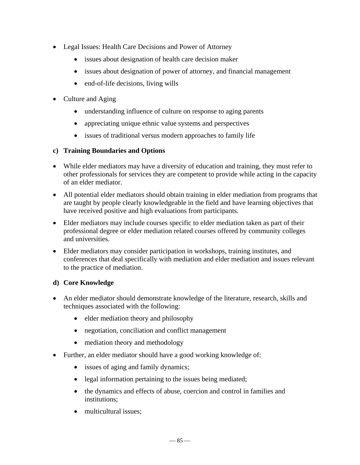- Legal Issues: Health Care Decisions and Power of Attorney
	- issues about designation of health care decision maker
	- issues about designation of power of attorney, and financial management
	- end-of-life decisions, living wills
- Culture and Aging
	- understanding influence of culture on response to aging parents
	- appreciating unique ethnic value systems and perspectives
	- issues of traditional versus modern approaches to family life

#### **c) Training Boundaries and Options**

- While elder mediators may have a diversity of education and training, they must refer to other professionals for services they are competent to provide while acting in the capacity of an elder mediator.
- All potential elder mediators should obtain training in elder mediation from programs that are taught by people clearly knowledgeable in the field and have learning objectives that have received positive and high evaluations from participants.
- Elder mediators may include courses specific to elder mediation taken as part of their professional degree or elder mediation related courses offered by community colleges and universities.
- Elder mediators may consider participation in workshops, training institutes, and conferences that deal specifically with mediation and elder mediation and issues relevant to the practice of mediation.

## **d) Core Knowledge**

- An elder mediator should demonstrate knowledge of the literature, research, skills and techniques associated with the following:
	- elder mediation theory and philosophy
	- negotiation, conciliation and conflict management
	- mediation theory and methodology
- Further, an elder mediator should have a good working knowledge of:
	- issues of aging and family dynamics;
	- legal information pertaining to the issues being mediated;
	- the dynamics and effects of abuse, coercion and control in families and institutions;
	- multicultural issues;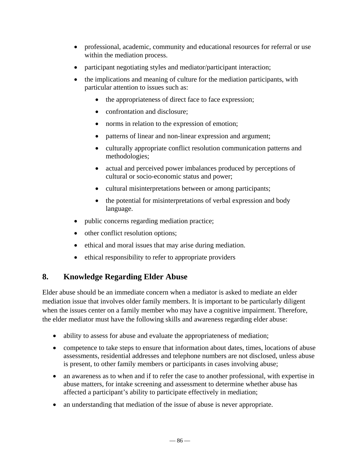- professional, academic, community and educational resources for referral or use within the mediation process.
- participant negotiating styles and mediator/participant interaction;
- the implications and meaning of culture for the mediation participants, with particular attention to issues such as:
	- the appropriateness of direct face to face expression;
	- confrontation and disclosure:
	- norms in relation to the expression of emotion;
	- patterns of linear and non-linear expression and argument;
	- culturally appropriate conflict resolution communication patterns and methodologies;
	- actual and perceived power imbalances produced by perceptions of cultural or socio-economic status and power;
	- cultural misinterpretations between or among participants;
	- the potential for misinterpretations of verbal expression and body language.
- public concerns regarding mediation practice;
- other conflict resolution options;
- ethical and moral issues that may arise during mediation.
- ethical responsibility to refer to appropriate providers

# **8. Knowledge Regarding Elder Abuse**

Elder abuse should be an immediate concern when a mediator is asked to mediate an elder mediation issue that involves older family members. It is important to be particularly diligent when the issues center on a family member who may have a cognitive impairment. Therefore, the elder mediator must have the following skills and awareness regarding elder abuse:

- ability to assess for abuse and evaluate the appropriateness of mediation;
- competence to take steps to ensure that information about dates, times, locations of abuse assessments, residential addresses and telephone numbers are not disclosed, unless abuse is present, to other family members or participants in cases involving abuse;
- an awareness as to when and if to refer the case to another professional, with expertise in abuse matters, for intake screening and assessment to determine whether abuse has affected a participant's ability to participate effectively in mediation;
- an understanding that mediation of the issue of abuse is never appropriate.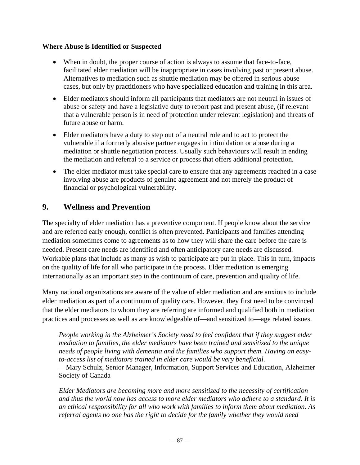#### **Where Abuse is Identified or Suspected**

- When in doubt, the proper course of action is always to assume that face-to-face, facilitated elder mediation will be inappropriate in cases involving past or present abuse. Alternatives to mediation such as shuttle mediation may be offered in serious abuse cases, but only by practitioners who have specialized education and training in this area.
- Elder mediators should inform all participants that mediators are not neutral in issues of abuse or safety and have a legislative duty to report past and present abuse, (if relevant that a vulnerable person is in need of protection under relevant legislation) and threats of future abuse or harm.
- Elder mediators have a duty to step out of a neutral role and to act to protect the vulnerable if a formerly abusive partner engages in intimidation or abuse during a mediation or shuttle negotiation process. Usually such behaviours will result in ending the mediation and referral to a service or process that offers additional protection.
- The elder mediator must take special care to ensure that any agreements reached in a case involving abuse are products of genuine agreement and not merely the product of financial or psychological vulnerability.

## **9. Wellness and Prevention**

The specialty of elder mediation has a preventive component. If people know about the service and are referred early enough, conflict is often prevented. Participants and families attending mediation sometimes come to agreements as to how they will share the care before the care is needed. Present care needs are identified and often anticipatory care needs are discussed. Workable plans that include as many as wish to participate are put in place. This in turn, impacts on the quality of life for all who participate in the process. Elder mediation is emerging internationally as an important step in the continuum of care, prevention and quality of life.

Many national organizations are aware of the value of elder mediation and are anxious to include elder mediation as part of a continuum of quality care. However, they first need to be convinced that the elder mediators to whom they are referring are informed and qualified both in mediation practices and processes as well as are knowledgeable of—and sensitized to—age related issues.

*People working in the Alzheimer's Society need to feel confident that if they suggest elder mediation to families, the elder mediators have been trained and sensitized to the unique needs of people living with dementia and the families who support them. Having an easyto-access list of mediators trained in elder care would be very beneficial.*

—Mary Schulz, Senior Manager, Information, Support Services and Education, Alzheimer Society of Canada

*Elder Mediators are becoming more and more sensitized to the necessity of certification and thus the world now has access to more elder mediators who adhere to a standard. It is an ethical responsibility for all who work with families to inform them about mediation. As referral agents no one has the right to decide for the family whether they would need*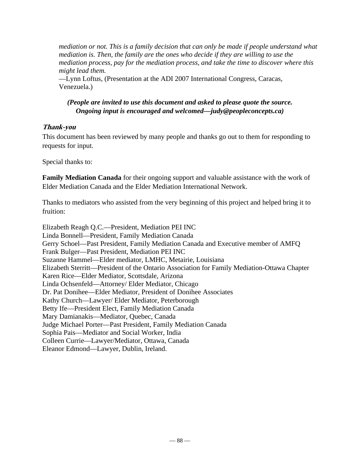*mediation or not. This is a family decision that can only be made if people understand what mediation is. Then, the family are the ones who decide if they are willing to use the mediation process, pay for the mediation process, and take the time to discover where this might lead them.*

—Lynn Loftus, (Presentation at the ADI 2007 International Congress, Caracas, Venezuela.)

## *(People are invited to use this document and asked to please quote the source. Ongoing input is encouraged and welcomed—judy@peopleconcepts.ca)*

## **Thank-you**

This document has been reviewed by many people and thanks go out to them for responding to requests for input.

Special thanks to:

**Family Mediation Canada** for their ongoing support and valuable assistance with the work of Elder Mediation Canada and the Elder Mediation International Network.

Thanks to mediators who assisted from the very beginning of this project and helped bring it to fruition:

Elizabeth Reagh Q.C.—President, Mediation PEI INC Linda Bonnell—President, Family Mediation Canada Gerry Schoel—Past President, Family Mediation Canada and Executive member of AMFQ Frank Bulger—Past President, Mediation PEI INC Suzanne Hammel—Elder mediator, LMHC, Metairie, Louisiana Elizabeth Sterritt—President of the Ontario Association for Family Mediation-Ottawa Chapter Karen Rice—Elder Mediator, Scottsdale, Arizona Linda Ochsenfeld—Attorney/ Elder Mediator, Chicago Dr. Pat Donihee—Elder Mediator, President of Donihee Associates Kathy Church—Lawyer/ Elder Mediator, Peterborough Betty Ife—President Elect, Family Mediation Canada Mary Damianakis—Mediator, Quebec, Canada Judge Michael Porter—Past President, Family Mediation Canada Sophia Pais—Mediator and Social Worker, India Colleen Currie—Lawyer/Mediator, Ottawa, Canada Eleanor Edmond—Lawyer, Dublin, Ireland.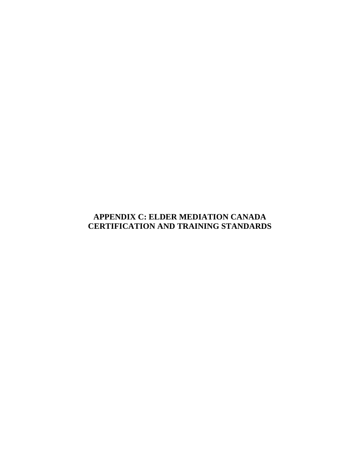# **APPENDIX C: ELDER MEDIATION CANADA CERTIFICATION AND TRAINING STANDARDS**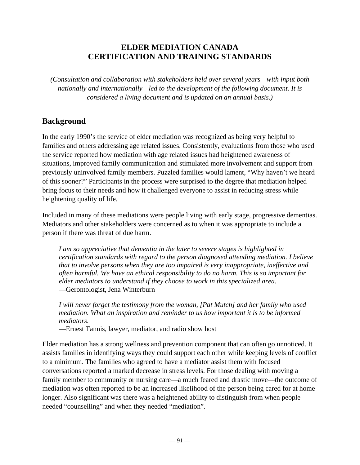# **ELDER MEDIATION CANADA CERTIFICATION AND TRAINING STANDARDS**

*(Consultation and collaboration with stakeholders held over several years—with input both nationally and internationally—led to the development of the following document. It is considered a living document and is updated on an annual basis.)* 

# **Background**

In the early 1990's the service of elder mediation was recognized as being very helpful to families and others addressing age related issues. Consistently, evaluations from those who used the service reported how mediation with age related issues had heightened awareness of situations, improved family communication and stimulated more involvement and support from previously uninvolved family members. Puzzled families would lament, "Why haven't we heard of this sooner?" Participants in the process were surprised to the degree that mediation helped bring focus to their needs and how it challenged everyone to assist in reducing stress while heightening quality of life.

Included in many of these mediations were people living with early stage, progressive dementias. Mediators and other stakeholders were concerned as to when it was appropriate to include a person if there was threat of due harm.

*I am so appreciative that dementia in the later to severe stages is highlighted in certification standards with regard to the person diagnosed attending mediation. I believe that to involve persons when they are too impaired is very inappropriate, ineffective and often harmful. We have an ethical responsibility to do no harm. This is so important for elder mediators to understand if they choose to work in this specialized area.* —Gerontologist, Jena Winterburn

*I will never forget the testimony from the woman, [Pat Mutch] and her family who used mediation. What an inspiration and reminder to us how important it is to be informed mediators.*

—Ernest Tannis, lawyer, mediator, and radio show host

Elder mediation has a strong wellness and prevention component that can often go unnoticed. It assists families in identifying ways they could support each other while keeping levels of conflict to a minimum. The families who agreed to have a mediator assist them with focused conversations reported a marked decrease in stress levels. For those dealing with moving a family member to community or nursing care—a much feared and drastic move—the outcome of mediation was often reported to be an increased likelihood of the person being cared for at home longer. Also significant was there was a heightened ability to distinguish from when people needed "counselling" and when they needed "mediation".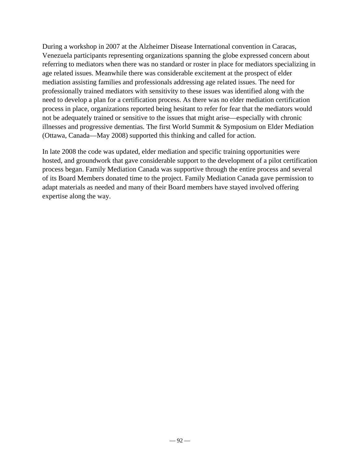During a workshop in 2007 at the Alzheimer Disease International convention in Caracas, Venezuela participants representing organizations spanning the globe expressed concern about referring to mediators when there was no standard or roster in place for mediators specializing in age related issues. Meanwhile there was considerable excitement at the prospect of elder mediation assisting families and professionals addressing age related issues. The need for professionally trained mediators with sensitivity to these issues was identified along with the need to develop a plan for a certification process. As there was no elder mediation certification process in place, organizations reported being hesitant to refer for fear that the mediators would not be adequately trained or sensitive to the issues that might arise—especially with chronic illnesses and progressive dementias. The first World Summit & Symposium on Elder Mediation (Ottawa, Canada—May 2008) supported this thinking and called for action.

In late 2008 the code was updated, elder mediation and specific training opportunities were hosted, and groundwork that gave considerable support to the development of a pilot certification process began. Family Mediation Canada was supportive through the entire process and several of its Board Members donated time to the project. Family Mediation Canada gave permission to adapt materials as needed and many of their Board members have stayed involved offering expertise along the way.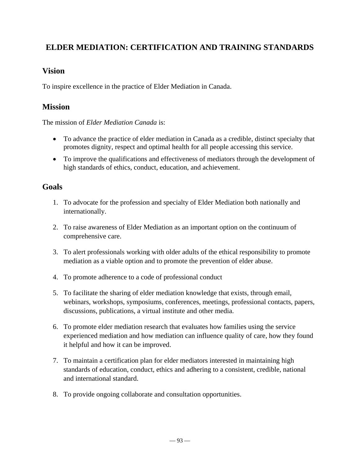# **ELDER MEDIATION: CERTIFICATION AND TRAINING STANDARDS**

## **Vision**

To inspire excellence in the practice of Elder Mediation in Canada.

## **Mission**

The mission of *Elder Mediation Canada* is:

- To advance the practice of elder mediation in Canada as a credible, distinct specialty that promotes dignity, respect and optimal health for all people accessing this service.
- To improve the qualifications and effectiveness of mediators through the development of high standards of ethics, conduct, education, and achievement.

# **Goals**

- 1. To advocate for the profession and specialty of Elder Mediation both nationally and internationally.
- 2. To raise awareness of Elder Mediation as an important option on the continuum of comprehensive care.
- 3. To alert professionals working with older adults of the ethical responsibility to promote mediation as a viable option and to promote the prevention of elder abuse.
- 4. To promote adherence to a code of professional conduct
- 5. To facilitate the sharing of elder mediation knowledge that exists, through email, webinars, workshops, symposiums, conferences, meetings, professional contacts, papers, discussions, publications, a virtual institute and other media.
- 6. To promote elder mediation research that evaluates how families using the service experienced mediation and how mediation can influence quality of care, how they found it helpful and how it can be improved.
- 7. To maintain a certification plan for elder mediators interested in maintaining high standards of education, conduct, ethics and adhering to a consistent, credible, national and international standard.
- 8. To provide ongoing collaborate and consultation opportunities.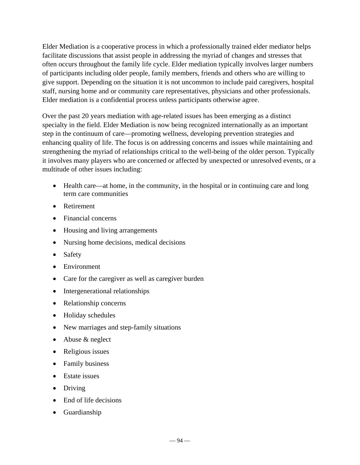Elder Mediation is a cooperative process in which a professionally trained elder mediator helps facilitate discussions that assist people in addressing the myriad of changes and stresses that often occurs throughout the family life cycle. Elder mediation typically involves larger numbers of participants including older people, family members, friends and others who are willing to give support. Depending on the situation it is not uncommon to include paid caregivers, hospital staff, nursing home and or community care representatives, physicians and other professionals. Elder mediation is a confidential process unless participants otherwise agree.

Over the past 20 years mediation with age-related issues has been emerging as a distinct specialty in the field. Elder Mediation is now being recognized internationally as an important step in the continuum of care—promoting wellness, developing prevention strategies and enhancing quality of life. The focus is on addressing concerns and issues while maintaining and strengthening the myriad of relationships critical to the well-being of the older person. Typically it involves many players who are concerned or affected by unexpected or unresolved events, or a multitude of other issues including:

- Health care—at home, in the community, in the hospital or in continuing care and long term care communities
- Retirement
- Financial concerns
- Housing and living arrangements
- Nursing home decisions, medical decisions
- Safety
- Environment
- Care for the caregiver as well as caregiver burden
- Intergenerational relationships
- Relationship concerns
- Holiday schedules
- New marriages and step-family situations
- Abuse & neglect
- Religious issues
- Family business
- Estate issues
- Driving
- End of life decisions
- Guardianship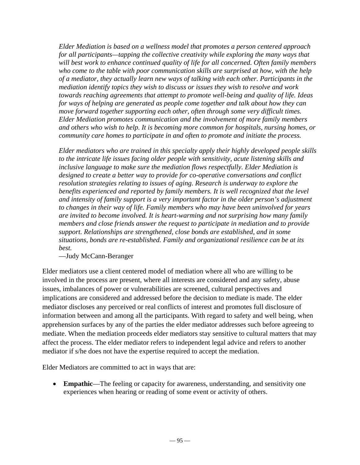*Elder Mediation is based on a wellness model that promotes a person centered approach for all participants—tapping the collective creativity while exploring the many ways that will best work to enhance continued quality of life for all concerned. Often family members who come to the table with poor communication skills are surprised at how, with the help of a mediator, they actually learn new ways of talking with each other. Participants in the mediation identify topics they wish to discuss or issues they wish to resolve and work towards reaching agreements that attempt to promote well-being and quality of life. Ideas for ways of helping are generated as people come together and talk about how they can move forward together supporting each other, often through some very difficult times. Elder Mediation promotes communication and the involvement of more family members and others who wish to help. It is becoming more common for hospitals, nursing homes, or community care homes to participate in and often to promote and initiate the process.* 

*Elder mediators who are trained in this specialty apply their highly developed people skills to the intricate life issues facing older people with sensitivity, acute listening skills and inclusive language to make sure the mediation flows respectfully. Elder Mediation is designed to create a better way to provide for co-operative conversations and conflict resolution strategies relating to issues of aging. Research is underway to explore the benefits experienced and reported by family members. It is well recognized that the level and intensity of family support is a very important factor in the older person's adjustment to changes in their way of life. Family members who may have been uninvolved for years are invited to become involved. It is heart-warming and not surprising how many family members and close friends answer the request to participate in mediation and to provide support. Relationships are strengthened, close bonds are established, and in some situations, bonds are re-established. Family and organizational resilience can be at its best.* 

#### —Judy McCann-Beranger

Elder mediators use a client centered model of mediation where all who are willing to be involved in the process are present, where all interests are considered and any safety, abuse issues, imbalances of power or vulnerabilities are screened, cultural perspectives and implications are considered and addressed before the decision to mediate is made. The elder mediator discloses any perceived or real conflicts of interest and promotes full disclosure of information between and among all the participants. With regard to safety and well being, when apprehension surfaces by any of the parties the elder mediator addresses such before agreeing to mediate. When the mediation proceeds elder mediators stay sensitive to cultural matters that may affect the process. The elder mediator refers to independent legal advice and refers to another mediator if s/he does not have the expertise required to accept the mediation.

Elder Mediators are committed to act in ways that are:

 **Empathic**—The feeling or capacity for awareness, understanding, and sensitivity one experiences when hearing or reading of some event or activity of others.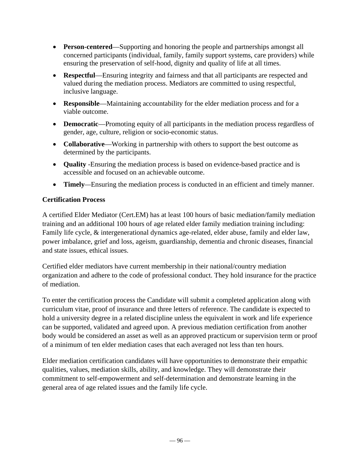- **Person-centered**—Supporting and honoring the people and partnerships amongst all concerned participants (individual, family, family support systems, care providers) while ensuring the preservation of self-hood, dignity and quality of life at all times.
- **Respectful**—Ensuring integrity and fairness and that all participants are respected and valued during the mediation process. Mediators are committed to using respectful, inclusive language.
- **Responsible**—Maintaining accountability for the elder mediation process and for a viable outcome.
- **Democratic**—Promoting equity of all participants in the mediation process regardless of gender, age, culture, religion or socio-economic status.
- **Collaborative**—Working in partnership with others to support the best outcome as determined by the participants.
- **Quality** -Ensuring the mediation process is based on evidence-based practice and is accessible and focused on an achievable outcome.
- **Timely***—*Ensuring the mediation process is conducted in an efficient and timely manner.

## **Certification Process**

A certified Elder Mediator (Cert.EM) has at least 100 hours of basic mediation/family mediation training and an additional 100 hours of age related elder family mediation training including: Family life cycle, & intergenerational dynamics age-related, elder abuse, family and elder law, power imbalance, grief and loss, ageism, guardianship, dementia and chronic diseases, financial and state issues, ethical issues.

Certified elder mediators have current membership in their national/country mediation organization and adhere to the code of professional conduct. They hold insurance for the practice of mediation.

To enter the certification process the Candidate will submit a completed application along with curriculum vitae, proof of insurance and three letters of reference. The candidate is expected to hold a university degree in a related discipline unless the equivalent in work and life experience can be supported, validated and agreed upon. A previous mediation certification from another body would be considered an asset as well as an approved practicum or supervision term or proof of a minimum of ten elder mediation cases that each averaged not less than ten hours.

Elder mediation certification candidates will have opportunities to demonstrate their empathic qualities, values, mediation skills, ability, and knowledge. They will demonstrate their commitment to self-empowerment and self-determination and demonstrate learning in the general area of age related issues and the family life cycle.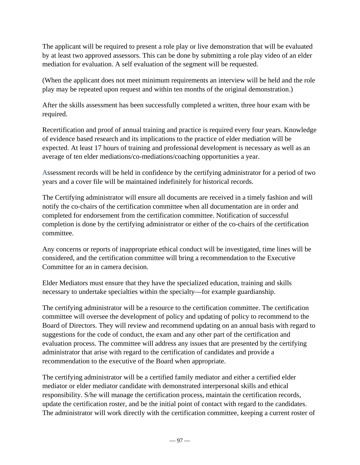The applicant will be required to present a role play or live demonstration that will be evaluated by at least two approved assessors. This can be done by submitting a role play video of an elder mediation for evaluation. A self evaluation of the segment will be requested.

(When the applicant does not meet minimum requirements an interview will be held and the role play may be repeated upon request and within ten months of the original demonstration.)

After the skills assessment has been successfully completed a written, three hour exam with be required.

Recertification and proof of annual training and practice is required every four years. Knowledge of evidence based research and its implications to the practice of elder mediation will be expected. At least 17 hours of training and professional development is necessary as well as an average of ten elder mediations/co-mediations/coaching opportunities a year.

Assessment records will be held in confidence by the certifying administrator for a period of two years and a cover file will be maintained indefinitely for historical records.

The Certifying administrator will ensure all documents are received in a timely fashion and will notify the co-chairs of the certification committee when all documentation are in order and completed for endorsement from the certification committee. Notification of successful completion is done by the certifying administrator or either of the co-chairs of the certification committee.

Any concerns or reports of inappropriate ethical conduct will be investigated, time lines will be considered, and the certification committee will bring a recommendation to the Executive Committee for an in camera decision.

Elder Mediators must ensure that they have the specialized education, training and skills necessary to undertake specialties within the specialty—for example guardianship.

The certifying administrator will be a resource to the certification committee. The certification committee will oversee the development of policy and updating of policy to recommend to the Board of Directors. They will review and recommend updating on an annual basis with regard to suggestions for the code of conduct, the exam and any other part of the certification and evaluation process. The committee will address any issues that are presented by the certifying administrator that arise with regard to the certification of candidates and provide a recommendation to the executive of the Board when appropriate.

The certifying administrator will be a certified family mediator and either a certified elder mediator or elder mediator candidate with demonstrated interpersonal skills and ethical responsibility. S/he will manage the certification process, maintain the certification records, update the certification roster, and be the initial point of contact with regard to the candidates. The administrator will work directly with the certification committee, keeping a current roster of